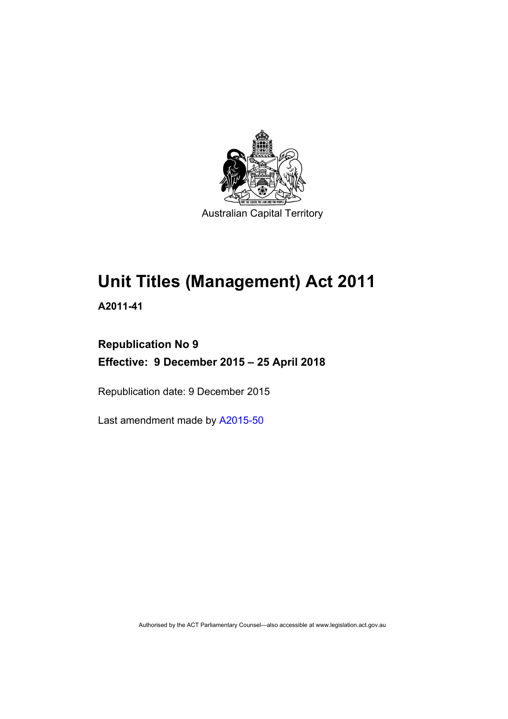

# **Unit Titles (Management) Act 2011**

**A2011-41** 

# **Republication No 9 Effective: 9 December 2015 – 25 April 2018**

Republication date: 9 December 2015

Last amendment made by [A2015-50](http://www.legislation.act.gov.au/a/2015-50)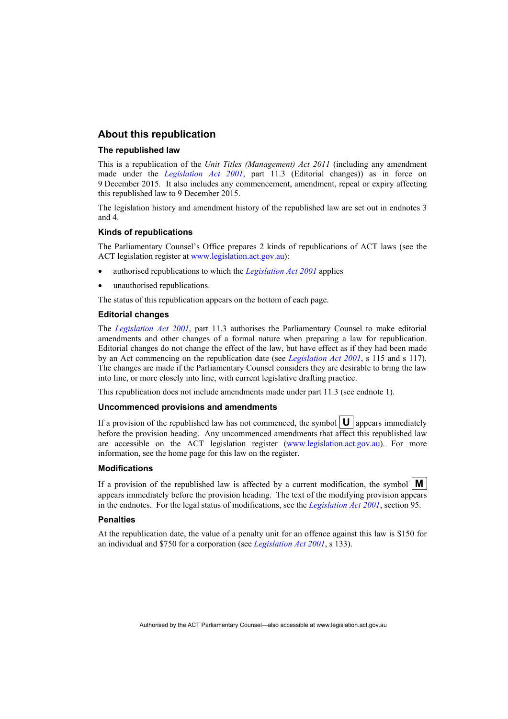#### **About this republication**

#### **The republished law**

This is a republication of the *Unit Titles (Management) Act 2011* (including any amendment made under the *[Legislation Act 2001](http://www.legislation.act.gov.au/a/2001-14)*, part 11.3 (Editorial changes)) as in force on 9 December 2015*.* It also includes any commencement, amendment, repeal or expiry affecting this republished law to 9 December 2015.

The legislation history and amendment history of the republished law are set out in endnotes 3 and 4.

#### **Kinds of republications**

The Parliamentary Counsel's Office prepares 2 kinds of republications of ACT laws (see the ACT legislation register at [www.legislation.act.gov.au](http://www.legislation.act.gov.au/)):

- authorised republications to which the *[Legislation Act 2001](http://www.legislation.act.gov.au/a/2001-14)* applies
- unauthorised republications.

The status of this republication appears on the bottom of each page.

#### **Editorial changes**

The *[Legislation Act 2001](http://www.legislation.act.gov.au/a/2001-14)*, part 11.3 authorises the Parliamentary Counsel to make editorial amendments and other changes of a formal nature when preparing a law for republication. Editorial changes do not change the effect of the law, but have effect as if they had been made by an Act commencing on the republication date (see *[Legislation Act 2001](http://www.legislation.act.gov.au/a/2001-14)*, s 115 and s 117). The changes are made if the Parliamentary Counsel considers they are desirable to bring the law into line, or more closely into line, with current legislative drafting practice.

This republication does not include amendments made under part 11.3 (see endnote 1).

#### **Uncommenced provisions and amendments**

If a provision of the republished law has not commenced, the symbol  $\mathbf{U}$  appears immediately before the provision heading. Any uncommenced amendments that affect this republished law are accessible on the ACT legislation register [\(www.legislation.act.gov.au\)](http://www.legislation.act.gov.au/). For more information, see the home page for this law on the register.

#### **Modifications**

If a provision of the republished law is affected by a current modification, the symbol  $\mathbf{M}$ appears immediately before the provision heading. The text of the modifying provision appears in the endnotes. For the legal status of modifications, see the *[Legislation Act 2001](http://www.legislation.act.gov.au/a/2001-14)*, section 95.

#### **Penalties**

At the republication date, the value of a penalty unit for an offence against this law is \$150 for an individual and \$750 for a corporation (see *[Legislation Act 2001](http://www.legislation.act.gov.au/a/2001-14)*, s 133).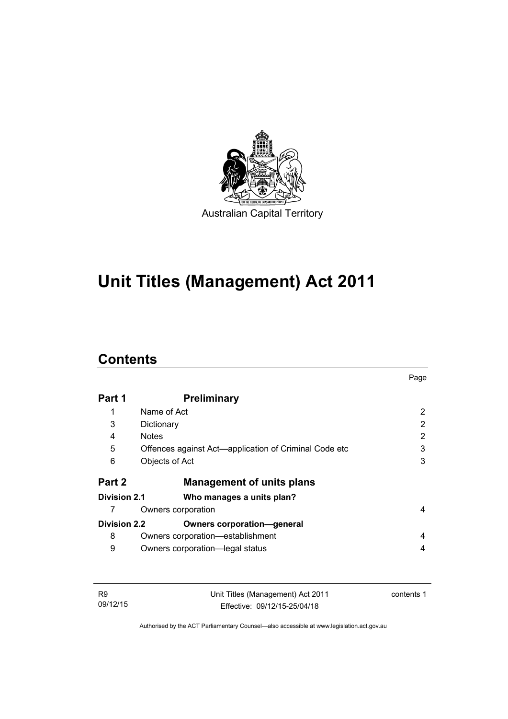

# **Unit Titles (Management) Act 2011**

# **Contents**

|                     |                                                       | Page           |
|---------------------|-------------------------------------------------------|----------------|
| Part 1              | <b>Preliminary</b>                                    |                |
| 1                   | Name of Act                                           | $\overline{2}$ |
| 3                   | Dictionary                                            | 2              |
| 4                   | <b>Notes</b>                                          | 2              |
| 5                   | Offences against Act—application of Criminal Code etc | 3              |
| 6                   | Objects of Act                                        | 3              |
| Part 2              | <b>Management of units plans</b>                      |                |
| <b>Division 2.1</b> | Who manages a units plan?                             |                |
|                     | Owners corporation                                    | 4              |
| <b>Division 2.2</b> | <b>Owners corporation-general</b>                     |                |
| 8                   | Owners corporation—establishment                      | 4              |
| 9                   | Owners corporation-legal status                       | 4              |

| <b>R9</b> | Unit Titles (Management) Act 2011 | contents 1 |
|-----------|-----------------------------------|------------|
| 09/12/15  | Effective: 09/12/15-25/04/18      |            |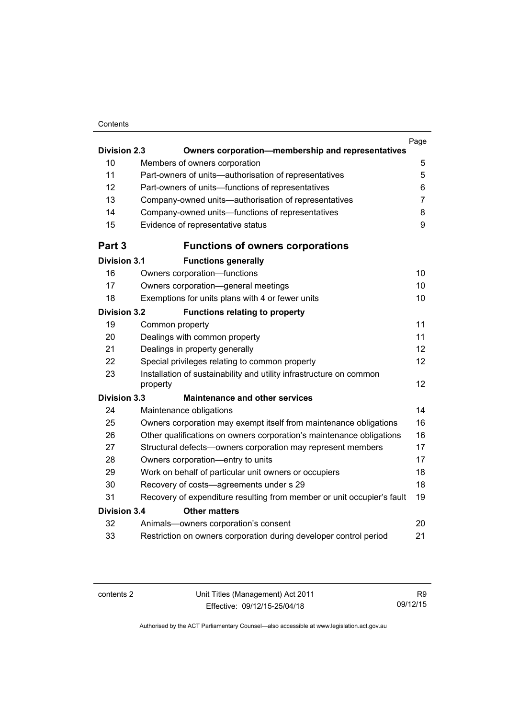#### **Contents**

|                     |                                                                                 | Page           |
|---------------------|---------------------------------------------------------------------------------|----------------|
| <b>Division 2.3</b> | Owners corporation-membership and representatives                               |                |
| 10                  | Members of owners corporation                                                   | 5              |
| 11                  | Part-owners of units-authorisation of representatives                           | 5              |
| 12                  | Part-owners of units-functions of representatives                               | 6              |
| 13                  | Company-owned units-authorisation of representatives                            | $\overline{7}$ |
| 14                  | Company-owned units-functions of representatives                                | 8              |
| 15                  | Evidence of representative status                                               | 9              |
| Part 3              | <b>Functions of owners corporations</b>                                         |                |
| <b>Division 3.1</b> | <b>Functions generally</b>                                                      |                |
| 16                  | Owners corporation-functions                                                    | 10             |
| 17                  | Owners corporation-general meetings                                             | 10             |
| 18                  | Exemptions for units plans with 4 or fewer units                                | 10             |
| <b>Division 3.2</b> | <b>Functions relating to property</b>                                           |                |
| 19                  | Common property                                                                 | 11             |
| 20                  | Dealings with common property                                                   | 11             |
| 21                  | Dealings in property generally                                                  | 12             |
| 22                  | Special privileges relating to common property                                  | 12             |
| 23                  | Installation of sustainability and utility infrastructure on common<br>property | 12             |
| <b>Division 3.3</b> | <b>Maintenance and other services</b>                                           |                |
| 24                  | Maintenance obligations                                                         | 14             |
| 25                  | Owners corporation may exempt itself from maintenance obligations               | 16             |
| 26                  | Other qualifications on owners corporation's maintenance obligations            | 16             |
| 27                  | Structural defects-owners corporation may represent members                     | 17             |
| 28                  | Owners corporation-entry to units                                               | 17             |
| 29                  | Work on behalf of particular unit owners or occupiers                           | 18             |
| 30                  | Recovery of costs-agreements under s 29                                         | 18             |
| 31                  | Recovery of expenditure resulting from member or unit occupier's fault          | 19             |
| <b>Division 3.4</b> | <b>Other matters</b>                                                            |                |
| 32                  | Animals-owners corporation's consent                                            | 20             |
| 33                  | Restriction on owners corporation during developer control period               | 21             |
|                     |                                                                                 |                |

contents 2 Unit Titles (Management) Act 2011 Effective: 09/12/15-25/04/18

R9 09/12/15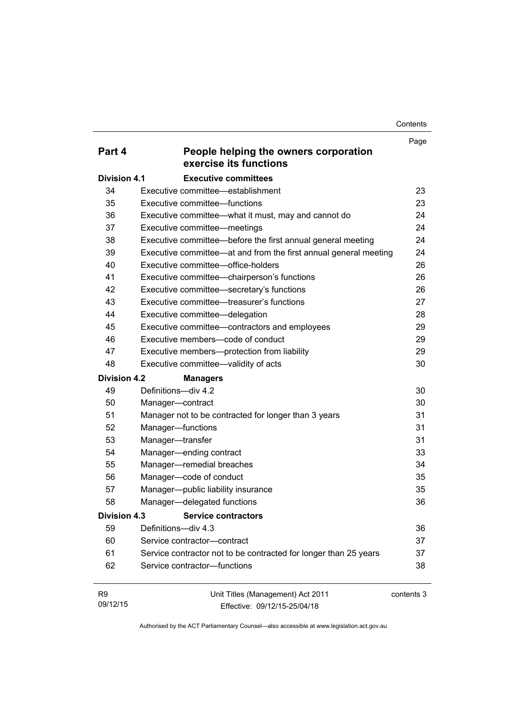**Contents** 

|                     |                                                                  | Page       |
|---------------------|------------------------------------------------------------------|------------|
| Part 4              | People helping the owners corporation<br>exercise its functions  |            |
| <b>Division 4.1</b> | <b>Executive committees</b>                                      |            |
| 34                  | Executive committee—establishment                                | 23         |
| 35                  | Executive committee—functions                                    | 23         |
| 36                  | Executive committee-what it must, may and cannot do              | 24         |
| 37                  | Executive committee—meetings                                     | 24         |
| 38                  | Executive committee—before the first annual general meeting      | 24         |
| 39                  | Executive committee—at and from the first annual general meeting | 24         |
| 40                  | Executive committee—office-holders                               | 26         |
| 41                  | Executive committee-chairperson's functions                      | 26         |
| 42                  | Executive committee-secretary's functions                        | 26         |
| 43                  | Executive committee—treasurer's functions                        | 27         |
| 44                  | Executive committee-delegation                                   | 28         |
| 45                  | Executive committee-contractors and employees                    | 29         |
| 46                  | Executive members-code of conduct                                | 29         |
| 47                  | Executive members-protection from liability                      | 29         |
| 48                  | Executive committee-validity of acts                             | 30         |
| <b>Division 4.2</b> | <b>Managers</b>                                                  |            |
| 49                  | Definitions-div 4.2                                              | 30         |
| 50                  | Manager-contract                                                 | 30         |
| 51                  | Manager not to be contracted for longer than 3 years             | 31         |
| 52                  | Manager-functions                                                | 31         |
| 53                  | Manager-transfer                                                 | 31         |
| 54                  | Manager-ending contract                                          | 33         |
| 55                  | Manager-remedial breaches                                        | 34         |
| 56                  | Manager-code of conduct                                          | 35         |
| 57                  | Manager-public liability insurance                               | 35         |
| 58                  | Manager-delegated functions                                      | 36         |
| Division 4.3        | <b>Service contractors</b>                                       |            |
| 59                  | Definitions-div 4.3                                              | 36         |
| 60                  | Service contractor-contract                                      | 37         |
| 61                  | Service contractor not to be contracted for longer than 25 years | 37         |
| 62                  | Service contractor-functions                                     | 38         |
| R <sub>9</sub>      | Unit Titles (Management) Act 2011                                | contents 3 |
| 09/12/15            | Effective: 09/12/15-25/04/18                                     |            |

Effective: 09/12/15-25/04/18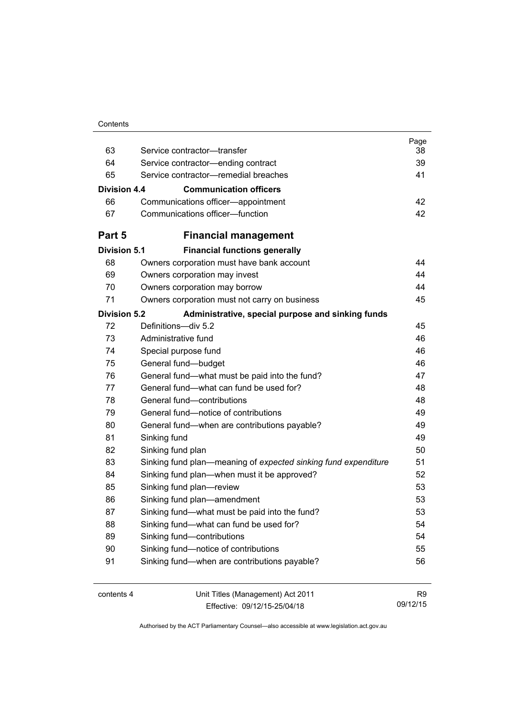| Contents |
|----------|
|----------|

| 64<br>Service contractor-ending contract<br>39<br>65<br>Service contractor-remedial breaches<br>41<br>Division 4.4<br><b>Communication officers</b><br>66<br>Communications officer-appointment<br>42<br>Communications officer-function<br>67<br>Part 5<br><b>Financial management</b><br><b>Division 5.1</b><br><b>Financial functions generally</b><br>68<br>Owners corporation must have bank account<br>69<br>Owners corporation may invest<br>70<br>Owners corporation may borrow<br>71<br>Owners corporation must not carry on business<br><b>Division 5.2</b><br>Administrative, special purpose and sinking funds<br>72<br>Definitions-div 5.2<br>73<br>Administrative fund<br>74<br>Special purpose fund<br>75<br>General fund-budget<br>76<br>General fund-what must be paid into the fund?<br>General fund—what can fund be used for?<br>77<br>General fund-contributions<br>78<br>General fund-notice of contributions<br>79<br>80<br>General fund—when are contributions payable?<br>81<br>Sinking fund<br>82<br>Sinking fund plan<br>83<br>Sinking fund plan—meaning of expected sinking fund expenditure<br>84<br>Sinking fund plan—when must it be approved?<br>85<br>Sinking fund plan-review<br>86<br>Sinking fund plan-amendment<br>87<br>Sinking fund—what must be paid into the fund?<br>Sinking fund-what can fund be used for?<br>88<br>89<br>Sinking fund-contributions<br>90<br>Sinking fund-notice of contributions<br>Sinking fund-when are contributions payable?<br>91<br>contents 4<br>Unit Titles (Management) Act 2011 | 63 | Service contractor-transfer | Page<br>38     |
|---------------------------------------------------------------------------------------------------------------------------------------------------------------------------------------------------------------------------------------------------------------------------------------------------------------------------------------------------------------------------------------------------------------------------------------------------------------------------------------------------------------------------------------------------------------------------------------------------------------------------------------------------------------------------------------------------------------------------------------------------------------------------------------------------------------------------------------------------------------------------------------------------------------------------------------------------------------------------------------------------------------------------------------------------------------------------------------------------------------------------------------------------------------------------------------------------------------------------------------------------------------------------------------------------------------------------------------------------------------------------------------------------------------------------------------------------------------------------------------------------------------------------------------------------------|----|-----------------------------|----------------|
|                                                                                                                                                                                                                                                                                                                                                                                                                                                                                                                                                                                                                                                                                                                                                                                                                                                                                                                                                                                                                                                                                                                                                                                                                                                                                                                                                                                                                                                                                                                                                         |    |                             |                |
|                                                                                                                                                                                                                                                                                                                                                                                                                                                                                                                                                                                                                                                                                                                                                                                                                                                                                                                                                                                                                                                                                                                                                                                                                                                                                                                                                                                                                                                                                                                                                         |    |                             |                |
|                                                                                                                                                                                                                                                                                                                                                                                                                                                                                                                                                                                                                                                                                                                                                                                                                                                                                                                                                                                                                                                                                                                                                                                                                                                                                                                                                                                                                                                                                                                                                         |    |                             |                |
|                                                                                                                                                                                                                                                                                                                                                                                                                                                                                                                                                                                                                                                                                                                                                                                                                                                                                                                                                                                                                                                                                                                                                                                                                                                                                                                                                                                                                                                                                                                                                         |    |                             |                |
|                                                                                                                                                                                                                                                                                                                                                                                                                                                                                                                                                                                                                                                                                                                                                                                                                                                                                                                                                                                                                                                                                                                                                                                                                                                                                                                                                                                                                                                                                                                                                         |    |                             |                |
|                                                                                                                                                                                                                                                                                                                                                                                                                                                                                                                                                                                                                                                                                                                                                                                                                                                                                                                                                                                                                                                                                                                                                                                                                                                                                                                                                                                                                                                                                                                                                         |    |                             | 42             |
|                                                                                                                                                                                                                                                                                                                                                                                                                                                                                                                                                                                                                                                                                                                                                                                                                                                                                                                                                                                                                                                                                                                                                                                                                                                                                                                                                                                                                                                                                                                                                         |    |                             |                |
|                                                                                                                                                                                                                                                                                                                                                                                                                                                                                                                                                                                                                                                                                                                                                                                                                                                                                                                                                                                                                                                                                                                                                                                                                                                                                                                                                                                                                                                                                                                                                         |    |                             |                |
|                                                                                                                                                                                                                                                                                                                                                                                                                                                                                                                                                                                                                                                                                                                                                                                                                                                                                                                                                                                                                                                                                                                                                                                                                                                                                                                                                                                                                                                                                                                                                         |    |                             | 44             |
|                                                                                                                                                                                                                                                                                                                                                                                                                                                                                                                                                                                                                                                                                                                                                                                                                                                                                                                                                                                                                                                                                                                                                                                                                                                                                                                                                                                                                                                                                                                                                         |    |                             | 44             |
|                                                                                                                                                                                                                                                                                                                                                                                                                                                                                                                                                                                                                                                                                                                                                                                                                                                                                                                                                                                                                                                                                                                                                                                                                                                                                                                                                                                                                                                                                                                                                         |    |                             | 44             |
|                                                                                                                                                                                                                                                                                                                                                                                                                                                                                                                                                                                                                                                                                                                                                                                                                                                                                                                                                                                                                                                                                                                                                                                                                                                                                                                                                                                                                                                                                                                                                         |    |                             | 45             |
|                                                                                                                                                                                                                                                                                                                                                                                                                                                                                                                                                                                                                                                                                                                                                                                                                                                                                                                                                                                                                                                                                                                                                                                                                                                                                                                                                                                                                                                                                                                                                         |    |                             |                |
|                                                                                                                                                                                                                                                                                                                                                                                                                                                                                                                                                                                                                                                                                                                                                                                                                                                                                                                                                                                                                                                                                                                                                                                                                                                                                                                                                                                                                                                                                                                                                         |    |                             | 45             |
|                                                                                                                                                                                                                                                                                                                                                                                                                                                                                                                                                                                                                                                                                                                                                                                                                                                                                                                                                                                                                                                                                                                                                                                                                                                                                                                                                                                                                                                                                                                                                         |    |                             | 46             |
|                                                                                                                                                                                                                                                                                                                                                                                                                                                                                                                                                                                                                                                                                                                                                                                                                                                                                                                                                                                                                                                                                                                                                                                                                                                                                                                                                                                                                                                                                                                                                         |    |                             | 46             |
|                                                                                                                                                                                                                                                                                                                                                                                                                                                                                                                                                                                                                                                                                                                                                                                                                                                                                                                                                                                                                                                                                                                                                                                                                                                                                                                                                                                                                                                                                                                                                         |    |                             | 46             |
|                                                                                                                                                                                                                                                                                                                                                                                                                                                                                                                                                                                                                                                                                                                                                                                                                                                                                                                                                                                                                                                                                                                                                                                                                                                                                                                                                                                                                                                                                                                                                         |    |                             | 47             |
|                                                                                                                                                                                                                                                                                                                                                                                                                                                                                                                                                                                                                                                                                                                                                                                                                                                                                                                                                                                                                                                                                                                                                                                                                                                                                                                                                                                                                                                                                                                                                         |    |                             | 48             |
|                                                                                                                                                                                                                                                                                                                                                                                                                                                                                                                                                                                                                                                                                                                                                                                                                                                                                                                                                                                                                                                                                                                                                                                                                                                                                                                                                                                                                                                                                                                                                         |    |                             | 48             |
|                                                                                                                                                                                                                                                                                                                                                                                                                                                                                                                                                                                                                                                                                                                                                                                                                                                                                                                                                                                                                                                                                                                                                                                                                                                                                                                                                                                                                                                                                                                                                         |    |                             | 49             |
|                                                                                                                                                                                                                                                                                                                                                                                                                                                                                                                                                                                                                                                                                                                                                                                                                                                                                                                                                                                                                                                                                                                                                                                                                                                                                                                                                                                                                                                                                                                                                         |    |                             | 49             |
|                                                                                                                                                                                                                                                                                                                                                                                                                                                                                                                                                                                                                                                                                                                                                                                                                                                                                                                                                                                                                                                                                                                                                                                                                                                                                                                                                                                                                                                                                                                                                         |    |                             | 49             |
|                                                                                                                                                                                                                                                                                                                                                                                                                                                                                                                                                                                                                                                                                                                                                                                                                                                                                                                                                                                                                                                                                                                                                                                                                                                                                                                                                                                                                                                                                                                                                         |    |                             | 50             |
|                                                                                                                                                                                                                                                                                                                                                                                                                                                                                                                                                                                                                                                                                                                                                                                                                                                                                                                                                                                                                                                                                                                                                                                                                                                                                                                                                                                                                                                                                                                                                         |    |                             | 51             |
|                                                                                                                                                                                                                                                                                                                                                                                                                                                                                                                                                                                                                                                                                                                                                                                                                                                                                                                                                                                                                                                                                                                                                                                                                                                                                                                                                                                                                                                                                                                                                         |    |                             | 52             |
|                                                                                                                                                                                                                                                                                                                                                                                                                                                                                                                                                                                                                                                                                                                                                                                                                                                                                                                                                                                                                                                                                                                                                                                                                                                                                                                                                                                                                                                                                                                                                         |    |                             | 53             |
|                                                                                                                                                                                                                                                                                                                                                                                                                                                                                                                                                                                                                                                                                                                                                                                                                                                                                                                                                                                                                                                                                                                                                                                                                                                                                                                                                                                                                                                                                                                                                         |    |                             | 53             |
|                                                                                                                                                                                                                                                                                                                                                                                                                                                                                                                                                                                                                                                                                                                                                                                                                                                                                                                                                                                                                                                                                                                                                                                                                                                                                                                                                                                                                                                                                                                                                         |    |                             | 53             |
|                                                                                                                                                                                                                                                                                                                                                                                                                                                                                                                                                                                                                                                                                                                                                                                                                                                                                                                                                                                                                                                                                                                                                                                                                                                                                                                                                                                                                                                                                                                                                         |    |                             | 54             |
|                                                                                                                                                                                                                                                                                                                                                                                                                                                                                                                                                                                                                                                                                                                                                                                                                                                                                                                                                                                                                                                                                                                                                                                                                                                                                                                                                                                                                                                                                                                                                         |    |                             | 54             |
|                                                                                                                                                                                                                                                                                                                                                                                                                                                                                                                                                                                                                                                                                                                                                                                                                                                                                                                                                                                                                                                                                                                                                                                                                                                                                                                                                                                                                                                                                                                                                         |    |                             | 55             |
|                                                                                                                                                                                                                                                                                                                                                                                                                                                                                                                                                                                                                                                                                                                                                                                                                                                                                                                                                                                                                                                                                                                                                                                                                                                                                                                                                                                                                                                                                                                                                         |    |                             | 56             |
|                                                                                                                                                                                                                                                                                                                                                                                                                                                                                                                                                                                                                                                                                                                                                                                                                                                                                                                                                                                                                                                                                                                                                                                                                                                                                                                                                                                                                                                                                                                                                         |    |                             | R <sub>9</sub> |

Effective: 09/12/15-25/04/18

09/12/15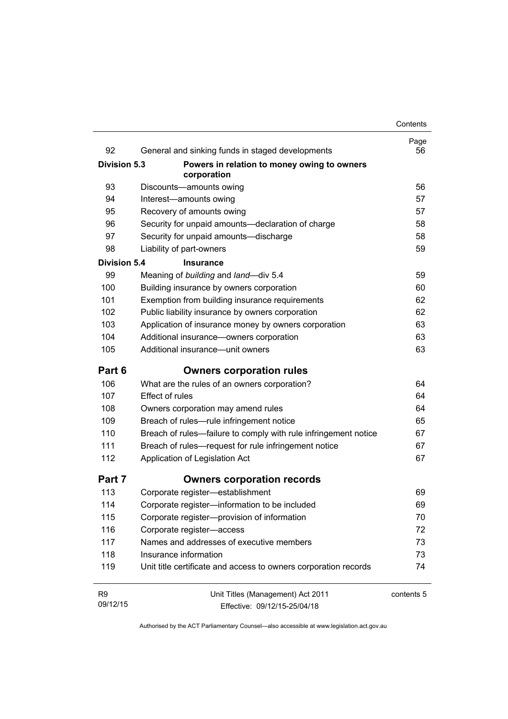| 92                  | General and sinking funds in staged developments                | Page<br>56 |
|---------------------|-----------------------------------------------------------------|------------|
| Division 5.3        | Powers in relation to money owing to owners                     |            |
|                     | corporation                                                     |            |
| 93                  | Discounts-amounts owing                                         | 56         |
| 94                  | Interest-amounts owing                                          | 57         |
| 95                  | Recovery of amounts owing                                       | 57         |
| 96                  | Security for unpaid amounts-declaration of charge               | 58         |
| 97                  | Security for unpaid amounts-discharge                           | 58         |
| 98                  | Liability of part-owners                                        | 59         |
| <b>Division 5.4</b> | <b>Insurance</b>                                                |            |
| 99                  | Meaning of building and land-div 5.4                            | 59         |
| 100                 | Building insurance by owners corporation                        | 60         |
| 101                 | Exemption from building insurance requirements                  | 62         |
| 102                 | Public liability insurance by owners corporation                | 62         |
| 103                 | Application of insurance money by owners corporation            | 63         |
| 104                 | Additional insurance-owners corporation                         | 63         |
| 105                 | Additional insurance—unit owners                                | 63         |
| Part 6              | <b>Owners corporation rules</b>                                 |            |
| 106                 | What are the rules of an owners corporation?                    | 64         |
| 107                 | <b>Effect of rules</b>                                          | 64         |
| 108                 | Owners corporation may amend rules                              | 64         |
| 109                 | Breach of rules-rule infringement notice                        | 65         |
| 110                 | Breach of rules—failure to comply with rule infringement notice | 67         |
| 111                 | Breach of rules—request for rule infringement notice            | 67         |
| 112                 | Application of Legislation Act                                  | 67         |
| Part 7              | <b>Owners corporation records</b>                               |            |
| 113                 | Corporate register-establishment                                | 69         |
| 114                 | Corporate register-information to be included                   | 69         |
| 115                 | Corporate register-provision of information                     | 70         |
| 116                 | Corporate register-access                                       | 72         |
| 117                 | Names and addresses of executive members                        | 73         |
| 118                 | Insurance information                                           | 73         |
| 119                 | Unit title certificate and access to owners corporation records | 74         |
| R <sub>9</sub>      | Unit Titles (Management) Act 2011                               | contents 5 |
| 09/12/15            | Effective: 09/12/15-25/04/18                                    |            |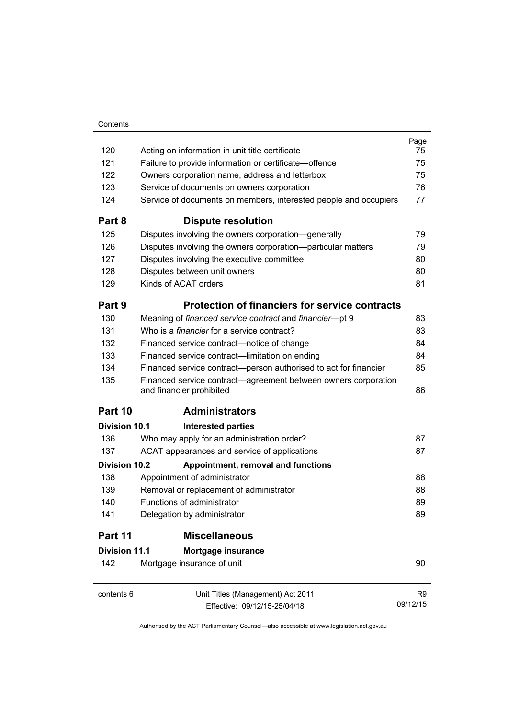|                      |                                                                                            | Page     |
|----------------------|--------------------------------------------------------------------------------------------|----------|
| 120                  | Acting on information in unit title certificate                                            | 75       |
| 121                  | Failure to provide information or certificate—offence                                      | 75       |
| 122                  | Owners corporation name, address and letterbox                                             | 75       |
| 123                  | Service of documents on owners corporation                                                 | 76       |
| 124                  | Service of documents on members, interested people and occupiers                           | 77       |
| Part 8               | <b>Dispute resolution</b>                                                                  |          |
| 125                  | Disputes involving the owners corporation—generally                                        | 79       |
| 126                  | Disputes involving the owners corporation--particular matters                              | 79       |
| 127                  | Disputes involving the executive committee                                                 | 80       |
| 128                  | Disputes between unit owners                                                               | 80       |
| 129                  | Kinds of ACAT orders                                                                       | 81       |
| Part 9               | <b>Protection of financiers for service contracts</b>                                      |          |
| 130                  | Meaning of financed service contract and financier-pt 9                                    | 83       |
| 131                  | Who is a <i>financier</i> for a service contract?                                          | 83       |
| 132                  | Financed service contract—notice of change                                                 | 84       |
| 133                  | Financed service contract—limitation on ending                                             | 84       |
| 134                  | Financed service contract—person authorised to act for financier                           | 85       |
| 135                  | Financed service contract—agreement between owners corporation<br>and financier prohibited | 86       |
| Part 10              | <b>Administrators</b>                                                                      |          |
| Division 10.1        | <b>Interested parties</b>                                                                  |          |
| 136                  | Who may apply for an administration order?                                                 | 87       |
| 137                  | ACAT appearances and service of applications                                               | 87       |
| <b>Division 10.2</b> | Appointment, removal and functions                                                         |          |
| 138                  | Appointment of administrator                                                               | 88       |
| 139                  | Removal or replacement of administrator                                                    | 88       |
| 140                  | Functions of administrator                                                                 | 89       |
| 141                  | Delegation by administrator                                                                | 89       |
| Part 11              | <b>Miscellaneous</b>                                                                       |          |
| <b>Division 11.1</b> | Mortgage insurance                                                                         |          |
| 142                  | Mortgage insurance of unit                                                                 | 90       |
| contents 6           | Unit Titles (Management) Act 2011                                                          | R9       |
|                      | Effective: 09/12/15-25/04/18                                                               | 09/12/15 |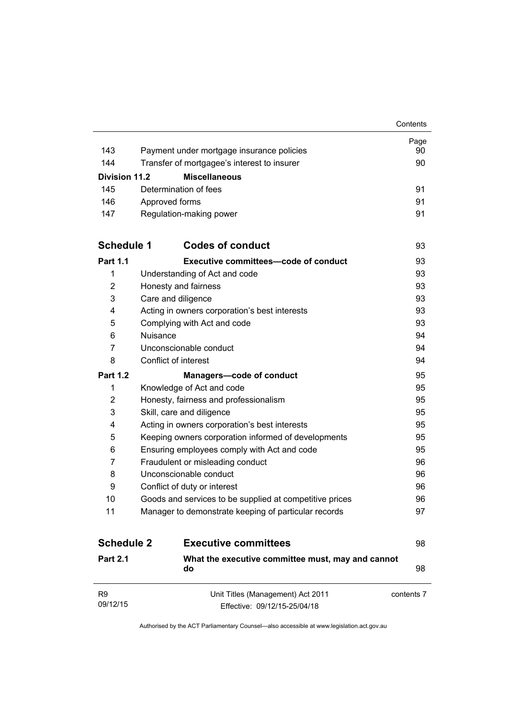|                            |                                                                   | Contents   |
|----------------------------|-------------------------------------------------------------------|------------|
|                            |                                                                   | Page       |
| 143                        | Payment under mortgage insurance policies                         | 90         |
| 144                        | Transfer of mortgagee's interest to insurer                       | 90         |
| Division 11.2              | <b>Miscellaneous</b>                                              |            |
| 145                        | Determination of fees                                             | 91         |
| 146                        | Approved forms                                                    | 91         |
| 147                        | Regulation-making power                                           | 91         |
| <b>Schedule 1</b>          | <b>Codes of conduct</b>                                           | 93         |
| <b>Part 1.1</b>            | <b>Executive committees-code of conduct</b>                       | 93         |
| $\mathbf{1}$               | Understanding of Act and code                                     | 93         |
| $\overline{2}$             | Honesty and fairness                                              | 93         |
| 3                          | Care and diligence                                                | 93         |
| 4                          | Acting in owners corporation's best interests                     | 93         |
| 5                          | Complying with Act and code                                       | 93         |
| 6                          | <b>Nuisance</b>                                                   | 94         |
| 7                          | Unconscionable conduct                                            | 94         |
| 8                          | Conflict of interest                                              | 94         |
| <b>Part 1.2</b>            | <b>Managers-code of conduct</b>                                   | 95         |
| 1                          | Knowledge of Act and code                                         | 95         |
| 2                          | Honesty, fairness and professionalism                             | 95         |
| 3                          | Skill, care and diligence                                         | 95         |
| 4                          | Acting in owners corporation's best interests                     | 95         |
| 5                          | Keeping owners corporation informed of developments               | 95         |
| 6                          | Ensuring employees comply with Act and code                       | 95         |
| $\overline{7}$             | Fraudulent or misleading conduct                                  | 96         |
| 8                          | Unconscionable conduct                                            | 96         |
| 9                          | Conflict of duty or interest                                      | 96         |
| 10                         | Goods and services to be supplied at competitive prices           | 96         |
| 11                         | Manager to demonstrate keeping of particular records              | 97         |
| <b>Schedule 2</b>          | <b>Executive committees</b>                                       | 98         |
| <b>Part 2.1</b>            | What the executive committee must, may and cannot<br>do           | 98         |
| R <sub>9</sub><br>09/12/15 | Unit Titles (Management) Act 2011<br>Effective: 09/12/15-25/04/18 | contents 7 |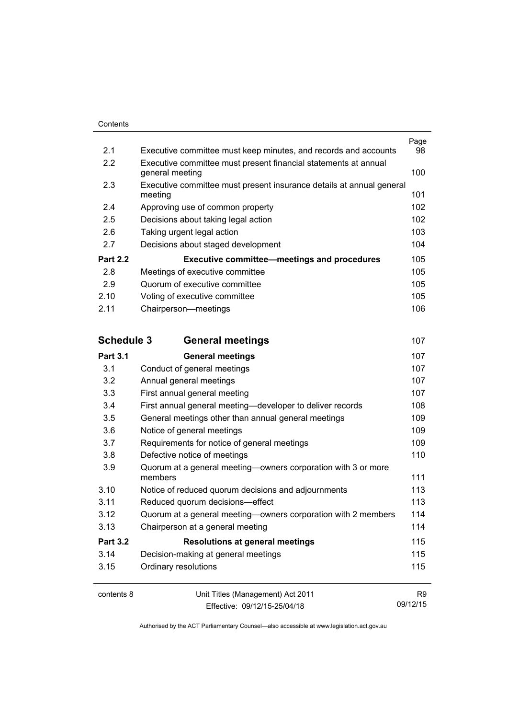| 2.1               | Executive committee must keep minutes, and records and accounts          | Page<br>98     |
|-------------------|--------------------------------------------------------------------------|----------------|
| 2.2               | Executive committee must present financial statements at annual          |                |
|                   | general meeting                                                          | 100            |
| 2.3               | Executive committee must present insurance details at annual general     |                |
|                   | meeting                                                                  | 101            |
| 2.4               | Approving use of common property                                         | 102            |
| 2.5               | Decisions about taking legal action                                      | 102            |
| 2.6               | Taking urgent legal action                                               | 103            |
| 2.7               | Decisions about staged development                                       | 104            |
| <b>Part 2.2</b>   | <b>Executive committee-meetings and procedures</b>                       | 105            |
| 2.8               | Meetings of executive committee                                          | 105            |
| 2.9               | Quorum of executive committee                                            | 105            |
| 2.10              | Voting of executive committee                                            | 105            |
| 2.11              | Chairperson-meetings                                                     | 106            |
| <b>Schedule 3</b> | <b>General meetings</b>                                                  | 107            |
| <b>Part 3.1</b>   | <b>General meetings</b>                                                  | 107            |
| 3.1               | Conduct of general meetings                                              | 107            |
| 3.2               | Annual general meetings                                                  | 107            |
| 3.3               | First annual general meeting                                             | 107            |
| 3.4               | First annual general meeting-developer to deliver records                | 108            |
| 3.5               | General meetings other than annual general meetings                      | 109            |
| 3.6               | Notice of general meetings                                               | 109            |
| 3.7               | Requirements for notice of general meetings                              | 109            |
| 3.8               | Defective notice of meetings                                             | 110            |
| 3.9               | Quorum at a general meeting—owners corporation with 3 or more<br>members | 111            |
| 3.10              | Notice of reduced quorum decisions and adjournments                      | 113            |
| 3.11              | Reduced quorum decisions-effect                                          | 113            |
| 3.12              | Quorum at a general meeting-owners corporation with 2 members            | 114            |
| 3.13              | Chairperson at a general meeting                                         | 114            |
| <b>Part 3.2</b>   | <b>Resolutions at general meetings</b>                                   | 115            |
| 3.14              | Decision-making at general meetings                                      | 115            |
| 3.15              | Ordinary resolutions                                                     | 115            |
| contents 8        | Unit Titles (Management) Act 2011                                        | R <sub>9</sub> |

Effective: 09/12/15-25/04/18

09/12/15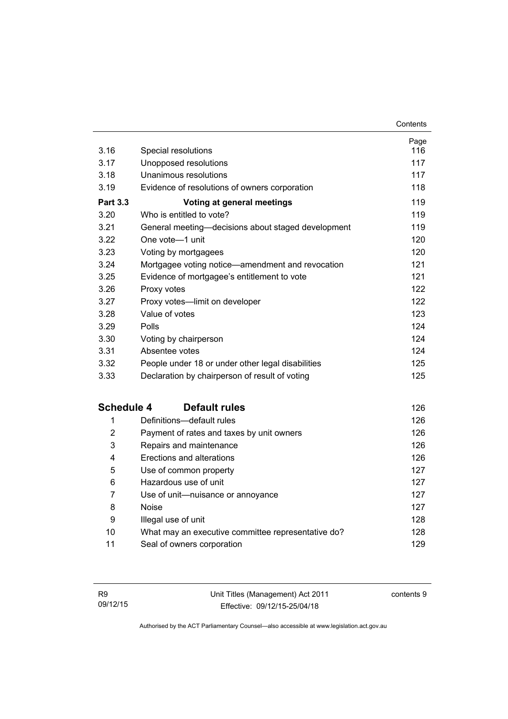| 3.16              | Special resolutions                                | Page<br>116 |
|-------------------|----------------------------------------------------|-------------|
| 3.17              | Unopposed resolutions                              | 117         |
| 3.18              | Unanimous resolutions                              | 117         |
| 3.19              | Evidence of resolutions of owners corporation      | 118         |
| <b>Part 3.3</b>   | <b>Voting at general meetings</b>                  | 119         |
| 3.20              | Who is entitled to vote?                           | 119         |
| 3.21              | General meeting-decisions about staged development | 119         |
| 3.22              | One vote-1 unit                                    | 120         |
| 3.23              | Voting by mortgagees                               | 120         |
| 3.24              | Mortgagee voting notice—amendment and revocation   | 121         |
| 3.25              | Evidence of mortgagee's entitlement to vote        | 121         |
| 3.26              | Proxy votes                                        | 122         |
| 3.27              | Proxy votes-limit on developer                     | 122         |
| 3.28              | Value of votes                                     | 123         |
| 3.29              | Polls                                              | 124         |
| 3.30              | Voting by chairperson                              | 124         |
| 3.31              | Absentee votes                                     | 124         |
| 3.32              | People under 18 or under other legal disabilities  | 125         |
| 3.33              | Declaration by chairperson of result of voting     | 125         |
| <b>Schedule 4</b> | <b>Default rules</b>                               | 126         |
| 1                 | Definitions-default rules                          | 126         |
| $\overline{2}$    | Payment of rates and taxes by unit owners          | 126         |
| 3                 | Repairs and maintenance                            | 126         |
| 4                 | Erections and alterations                          | 126         |
| 5                 | Use of common property                             | 127         |
| 6                 | Hazardous use of unit                              | 127         |
| $\overline{7}$    | Use of unit-nuisance or annoyance                  | 127         |
| 8                 | <b>Noise</b>                                       | 127         |
| 9                 | Illegal use of unit                                | 128         |
| 10                | What may an executive committee representative do? | 128         |
| 11                | Seal of owners corporation                         | 129         |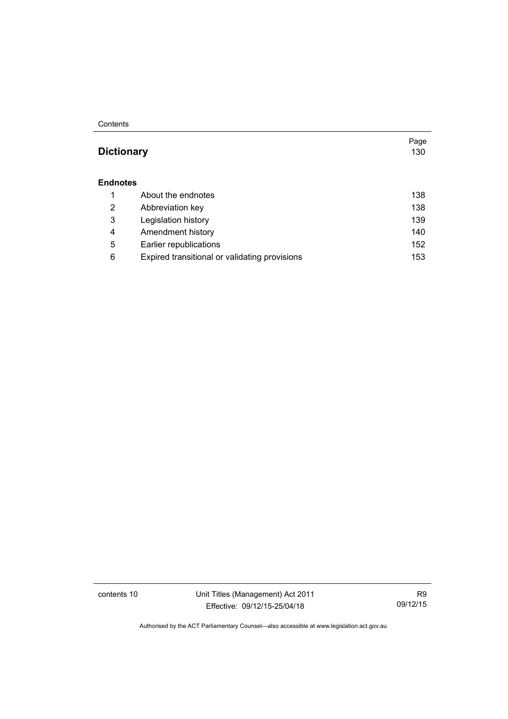#### **Contents**

#### **Dictionary** [130](#page-141-0)

#### **[Endnotes](#page-149-0)**

|   | About the endnotes                            | 138 |
|---|-----------------------------------------------|-----|
| 2 | Abbreviation key                              | 138 |
| 3 | Legislation history                           | 139 |
| 4 | Amendment history                             | 140 |
| 5 | Earlier republications                        | 152 |
| 6 | Expired transitional or validating provisions | 153 |

contents 10 Unit Titles (Management) Act 2011 Effective: 09/12/15-25/04/18

R9 09/12/15

Page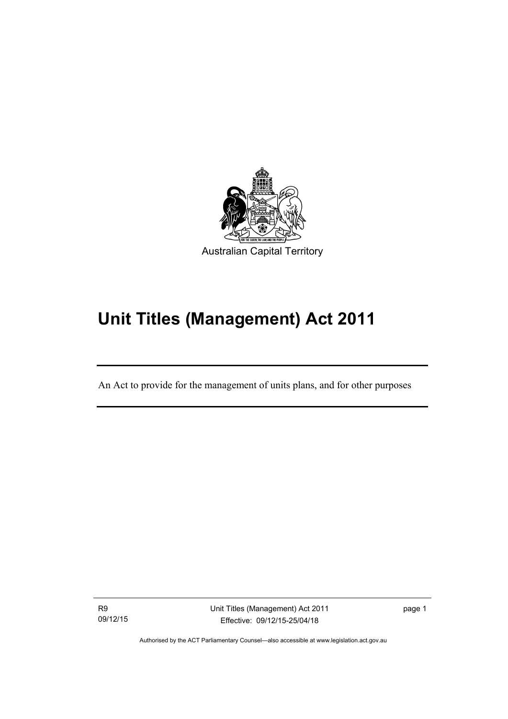

# **Unit Titles (Management) Act 2011**

An Act to provide for the management of units plans, and for other purposes

R9 09/12/15

l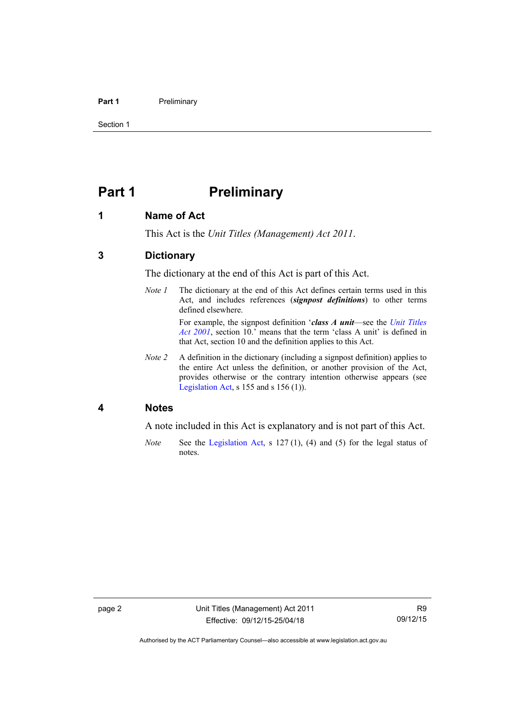#### **Part 1** Preliminary

Section 1

# <span id="page-13-0"></span>**Part 1** Preliminary

#### <span id="page-13-1"></span>**1 Name of Act**

This Act is the *Unit Titles (Management) Act 2011*.

#### <span id="page-13-2"></span>**3 Dictionary**

The dictionary at the end of this Act is part of this Act.

*Note 1* The dictionary at the end of this Act defines certain terms used in this Act, and includes references (*signpost definitions*) to other terms defined elsewhere.

> For example, the signpost definition '*class A unit*—see the *[Unit Titles](http://www.legislation.act.gov.au/a/2001-16)  [Act 2001](http://www.legislation.act.gov.au/a/2001-16)*, section 10.' means that the term 'class A unit' is defined in that Act, section 10 and the definition applies to this Act.

*Note 2* A definition in the dictionary (including a signpost definition) applies to the entire Act unless the definition, or another provision of the Act, provides otherwise or the contrary intention otherwise appears (see [Legislation Act,](http://www.legislation.act.gov.au/a/2001-14) s 155 and s 156 (1)).

#### <span id="page-13-3"></span>**4 Notes**

A note included in this Act is explanatory and is not part of this Act.

*Note* See the [Legislation Act,](http://www.legislation.act.gov.au/a/2001-14) s 127 (1), (4) and (5) for the legal status of notes.

Authorised by the ACT Parliamentary Counsel—also accessible at www.legislation.act.gov.au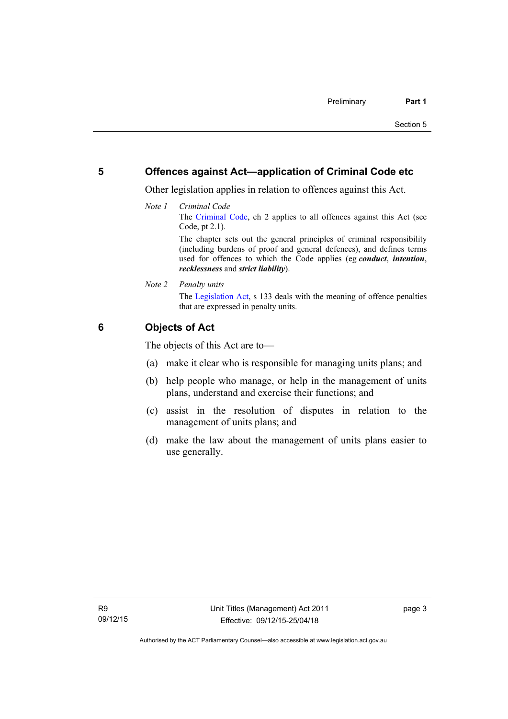#### <span id="page-14-0"></span>**5 Offences against Act—application of Criminal Code etc**

Other legislation applies in relation to offences against this Act.

*Note 1 Criminal Code* The [Criminal Code](http://www.legislation.act.gov.au/a/2002-51), ch 2 applies to all offences against this Act (see Code, pt 2.1). The chapter sets out the general principles of criminal responsibility

(including burdens of proof and general defences), and defines terms used for offences to which the Code applies (eg *conduct*, *intention*, *recklessness* and *strict liability*).

*Note 2 Penalty units*  The [Legislation Act](http://www.legislation.act.gov.au/a/2001-14), s 133 deals with the meaning of offence penalties that are expressed in penalty units.

#### <span id="page-14-1"></span>**6 Objects of Act**

The objects of this Act are to—

- (a) make it clear who is responsible for managing units plans; and
- (b) help people who manage, or help in the management of units plans, understand and exercise their functions; and
- (c) assist in the resolution of disputes in relation to the management of units plans; and
- (d) make the law about the management of units plans easier to use generally.

page 3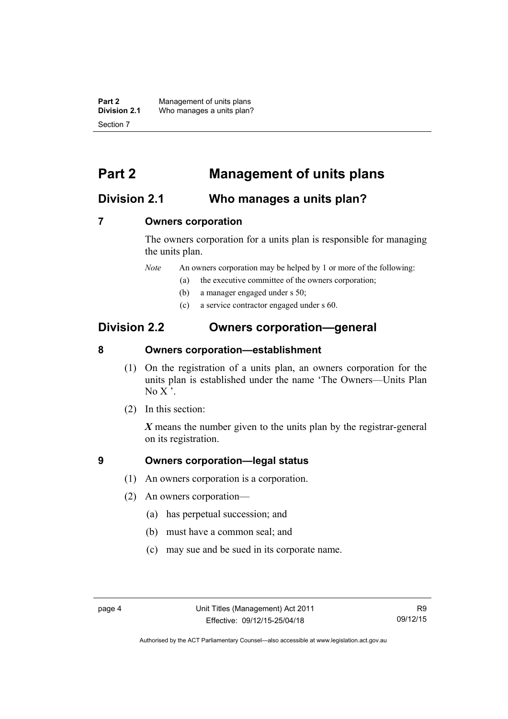**Part 2** Management of units plans<br>**Division 2.1** Who manages a units plan? Who manages a units plan? Section 7

# <span id="page-15-0"></span>**Part 2 Management of units plans**

#### <span id="page-15-1"></span>**Division 2.1 Who manages a units plan?**

#### <span id="page-15-2"></span>**7 Owners corporation**

The owners corporation for a units plan is responsible for managing the units plan.

*Note* An owners corporation may be helped by 1 or more of the following:

- (a) the executive committee of the owners corporation;
- (b) a manager engaged under s 50;
- (c) a service contractor engaged under s 60.

### <span id="page-15-3"></span>**Division 2.2 Owners corporation—general**

#### <span id="page-15-4"></span>**8 Owners corporation—establishment**

- (1) On the registration of a units plan, an owners corporation for the units plan is established under the name 'The Owners—Units Plan No  $X'$ .
- (2) In this section:

*X* means the number given to the units plan by the registrar-general on its registration.

#### <span id="page-15-5"></span>**9 Owners corporation—legal status**

- (1) An owners corporation is a corporation.
- (2) An owners corporation—
	- (a) has perpetual succession; and
	- (b) must have a common seal; and
	- (c) may sue and be sued in its corporate name.

Authorised by the ACT Parliamentary Counsel—also accessible at www.legislation.act.gov.au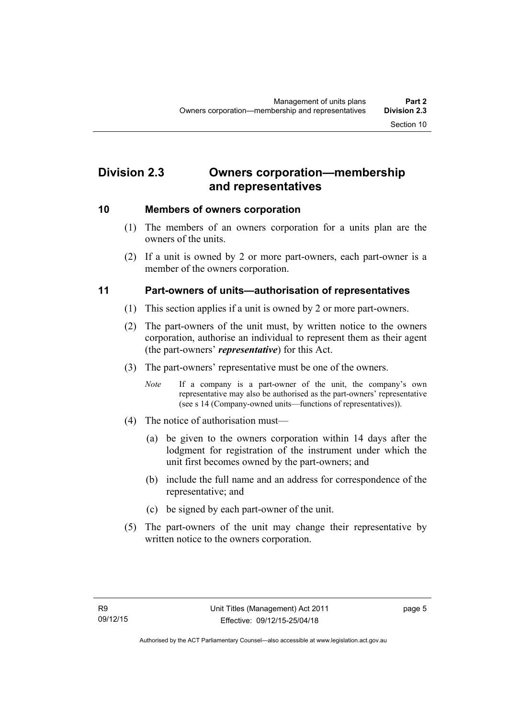# <span id="page-16-0"></span>**Division 2.3 Owners corporation—membership and representatives**

#### <span id="page-16-1"></span>**10 Members of owners corporation**

- (1) The members of an owners corporation for a units plan are the owners of the units.
- (2) If a unit is owned by 2 or more part-owners, each part-owner is a member of the owners corporation.

#### <span id="page-16-2"></span>**11 Part-owners of units—authorisation of representatives**

- (1) This section applies if a unit is owned by 2 or more part-owners.
- (2) The part-owners of the unit must, by written notice to the owners corporation, authorise an individual to represent them as their agent (the part-owners' *representative*) for this Act.
- (3) The part-owners' representative must be one of the owners.
	- *Note* If a company is a part-owner of the unit, the company's own representative may also be authorised as the part-owners' representative (see s 14 (Company-owned units—functions of representatives)).
- (4) The notice of authorisation must—
	- (a) be given to the owners corporation within 14 days after the lodgment for registration of the instrument under which the unit first becomes owned by the part-owners; and
	- (b) include the full name and an address for correspondence of the representative; and
	- (c) be signed by each part-owner of the unit.
- (5) The part-owners of the unit may change their representative by written notice to the owners corporation.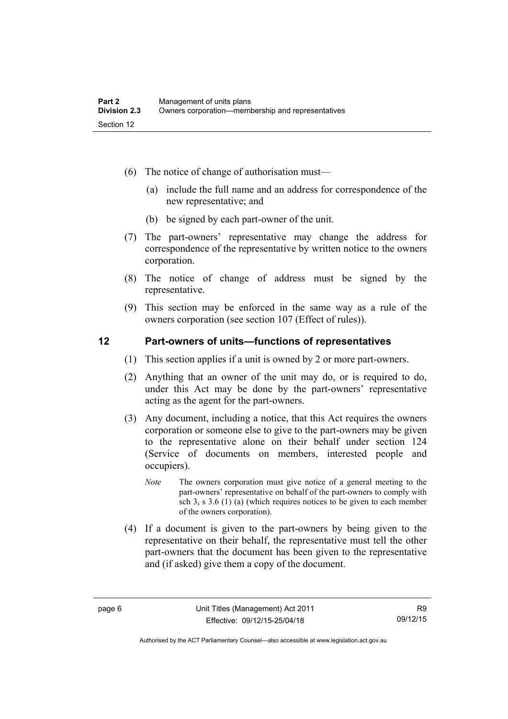- (6) The notice of change of authorisation must—
	- (a) include the full name and an address for correspondence of the new representative; and
	- (b) be signed by each part-owner of the unit.
- (7) The part-owners' representative may change the address for correspondence of the representative by written notice to the owners corporation.
- (8) The notice of change of address must be signed by the representative.
- (9) This section may be enforced in the same way as a rule of the owners corporation (see section 107 (Effect of rules)).

#### <span id="page-17-0"></span>**12 Part-owners of units—functions of representatives**

- (1) This section applies if a unit is owned by 2 or more part-owners.
- (2) Anything that an owner of the unit may do, or is required to do, under this Act may be done by the part-owners' representative acting as the agent for the part-owners.
- (3) Any document, including a notice, that this Act requires the owners corporation or someone else to give to the part-owners may be given to the representative alone on their behalf under section 124 (Service of documents on members, interested people and occupiers).
	- *Note* The owners corporation must give notice of a general meeting to the part-owners' representative on behalf of the part-owners to comply with sch 3, s 3.6 (1) (a) (which requires notices to be given to each member of the owners corporation).
- (4) If a document is given to the part-owners by being given to the representative on their behalf, the representative must tell the other part-owners that the document has been given to the representative and (if asked) give them a copy of the document.

Authorised by the ACT Parliamentary Counsel—also accessible at www.legislation.act.gov.au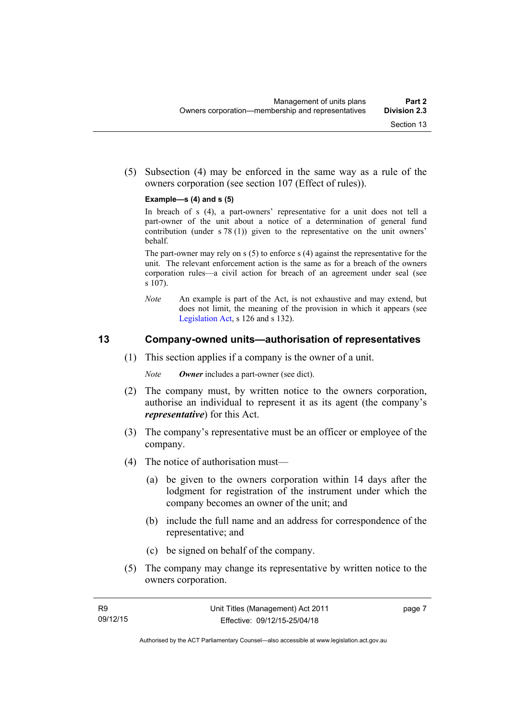(5) Subsection (4) may be enforced in the same way as a rule of the owners corporation (see section 107 (Effect of rules)).

#### **Example—s (4) and s (5)**

In breach of s (4), a part-owners' representative for a unit does not tell a part-owner of the unit about a notice of a determination of general fund contribution (under s 78 (1)) given to the representative on the unit owners' behalf.

The part-owner may rely on s (5) to enforce s (4) against the representative for the unit. The relevant enforcement action is the same as for a breach of the owners corporation rules—a civil action for breach of an agreement under seal (see s 107).

*Note* An example is part of the Act, is not exhaustive and may extend, but does not limit, the meaning of the provision in which it appears (see [Legislation Act,](http://www.legislation.act.gov.au/a/2001-14) s 126 and s 132).

#### <span id="page-18-0"></span>**13 Company-owned units—authorisation of representatives**

- (1) This section applies if a company is the owner of a unit.
	- *Note Owner* includes a part-owner (see dict).
- (2) The company must, by written notice to the owners corporation, authorise an individual to represent it as its agent (the company's *representative*) for this Act.
- (3) The company's representative must be an officer or employee of the company.
- (4) The notice of authorisation must—
	- (a) be given to the owners corporation within 14 days after the lodgment for registration of the instrument under which the company becomes an owner of the unit; and
	- (b) include the full name and an address for correspondence of the representative; and
	- (c) be signed on behalf of the company.
- (5) The company may change its representative by written notice to the owners corporation.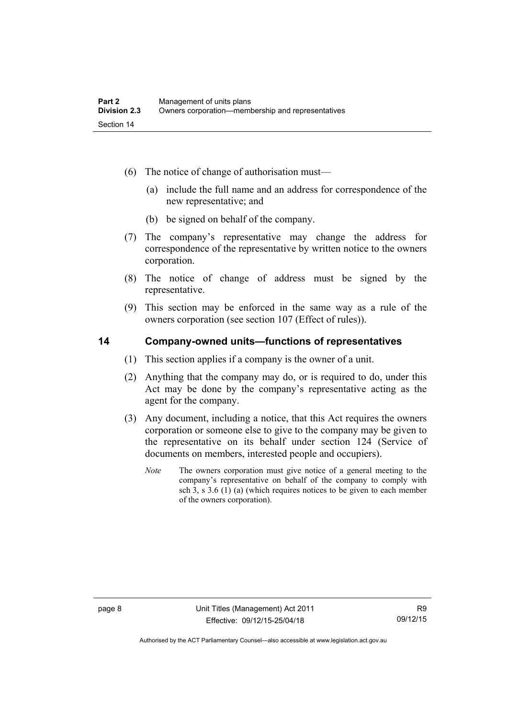- (6) The notice of change of authorisation must—
	- (a) include the full name and an address for correspondence of the new representative; and
	- (b) be signed on behalf of the company.
- (7) The company's representative may change the address for correspondence of the representative by written notice to the owners corporation.
- (8) The notice of change of address must be signed by the representative.
- (9) This section may be enforced in the same way as a rule of the owners corporation (see section 107 (Effect of rules)).

#### <span id="page-19-0"></span>**14 Company-owned units—functions of representatives**

- (1) This section applies if a company is the owner of a unit.
- (2) Anything that the company may do, or is required to do, under this Act may be done by the company's representative acting as the agent for the company.
- (3) Any document, including a notice, that this Act requires the owners corporation or someone else to give to the company may be given to the representative on its behalf under section 124 (Service of documents on members, interested people and occupiers).
	- *Note* The owners corporation must give notice of a general meeting to the company's representative on behalf of the company to comply with sch 3, s 3.6 (1) (a) (which requires notices to be given to each member of the owners corporation).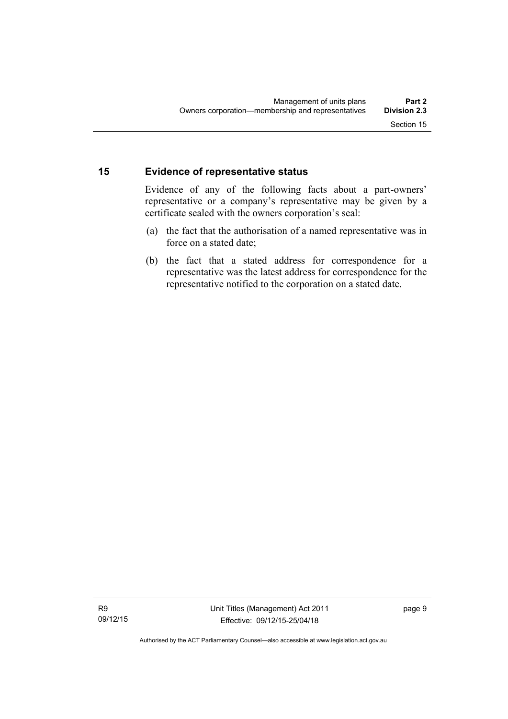#### <span id="page-20-0"></span>**15 Evidence of representative status**

Evidence of any of the following facts about a part-owners' representative or a company's representative may be given by a certificate sealed with the owners corporation's seal:

- (a) the fact that the authorisation of a named representative was in force on a stated date;
- (b) the fact that a stated address for correspondence for a representative was the latest address for correspondence for the representative notified to the corporation on a stated date.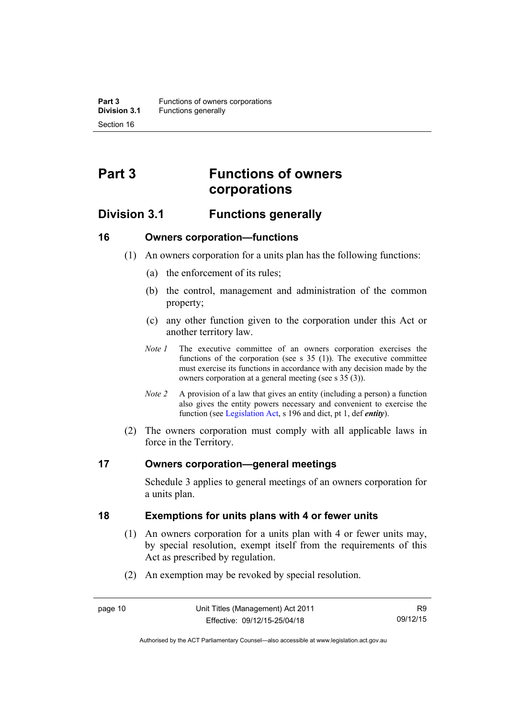# <span id="page-21-0"></span>**Part 3 Functions of owners corporations**

### <span id="page-21-1"></span>**Division 3.1 Functions generally**

#### <span id="page-21-2"></span>**16 Owners corporation—functions**

- (1) An owners corporation for a units plan has the following functions:
	- (a) the enforcement of its rules;
	- (b) the control, management and administration of the common property;
	- (c) any other function given to the corporation under this Act or another territory law.
	- *Note 1* The executive committee of an owners corporation exercises the functions of the corporation (see s 35 (1)). The executive committee must exercise its functions in accordance with any decision made by the owners corporation at a general meeting (see s 35 (3)).
	- *Note 2* A provision of a law that gives an entity (including a person) a function also gives the entity powers necessary and convenient to exercise the function (see [Legislation Act](http://www.legislation.act.gov.au/a/2001-14), s 196 and dict, pt 1, def *entity*).
- (2) The owners corporation must comply with all applicable laws in force in the Territory.

#### <span id="page-21-3"></span>**17 Owners corporation—general meetings**

Schedule 3 applies to general meetings of an owners corporation for a units plan.

#### <span id="page-21-4"></span>**18 Exemptions for units plans with 4 or fewer units**

- (1) An owners corporation for a units plan with 4 or fewer units may, by special resolution, exempt itself from the requirements of this Act as prescribed by regulation.
- (2) An exemption may be revoked by special resolution.

Authorised by the ACT Parliamentary Counsel—also accessible at www.legislation.act.gov.au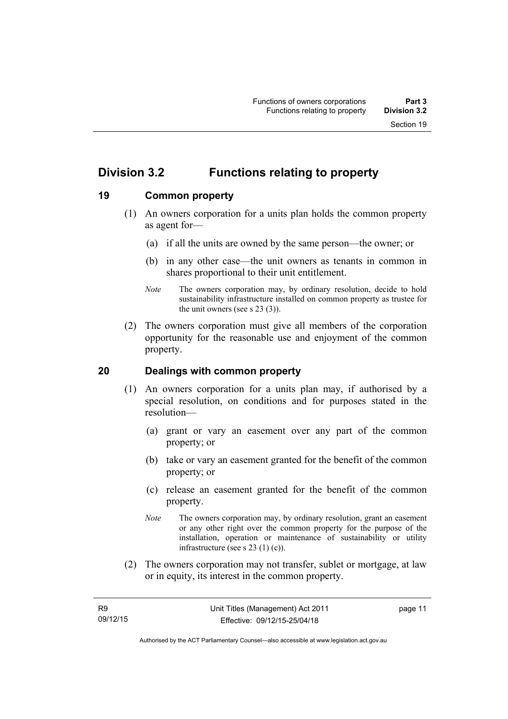# <span id="page-22-0"></span>**Division 3.2 Functions relating to property**

#### <span id="page-22-1"></span>**19 Common property**

- (1) An owners corporation for a units plan holds the common property as agent for—
	- (a) if all the units are owned by the same person—the owner; or
	- (b) in any other case—the unit owners as tenants in common in shares proportional to their unit entitlement.
	- *Note* The owners corporation may, by ordinary resolution, decide to hold sustainability infrastructure installed on common property as trustee for the unit owners (see s 23 (3)).
- (2) The owners corporation must give all members of the corporation opportunity for the reasonable use and enjoyment of the common property.

#### <span id="page-22-2"></span>**20 Dealings with common property**

- (1) An owners corporation for a units plan may, if authorised by a special resolution, on conditions and for purposes stated in the resolution—
	- (a) grant or vary an easement over any part of the common property; or
	- (b) take or vary an easement granted for the benefit of the common property; or
	- (c) release an easement granted for the benefit of the common property.
	- *Note* The owners corporation may, by ordinary resolution, grant an easement or any other right over the common property for the purpose of the installation, operation or maintenance of sustainability or utility infrastructure (see s 23 (1) (c)).
- (2) The owners corporation may not transfer, sublet or mortgage, at law or in equity, its interest in the common property.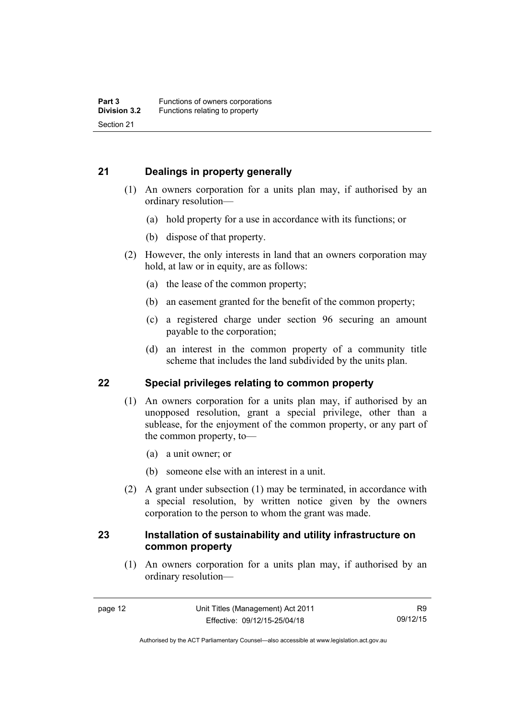#### <span id="page-23-0"></span>**21 Dealings in property generally**

- (1) An owners corporation for a units plan may, if authorised by an ordinary resolution—
	- (a) hold property for a use in accordance with its functions; or
	- (b) dispose of that property.
- (2) However, the only interests in land that an owners corporation may hold, at law or in equity, are as follows:
	- (a) the lease of the common property;
	- (b) an easement granted for the benefit of the common property;
	- (c) a registered charge under section 96 securing an amount payable to the corporation;
	- (d) an interest in the common property of a community title scheme that includes the land subdivided by the units plan.

#### <span id="page-23-1"></span>**22 Special privileges relating to common property**

- (1) An owners corporation for a units plan may, if authorised by an unopposed resolution, grant a special privilege, other than a sublease, for the enjoyment of the common property, or any part of the common property, to—
	- (a) a unit owner; or
	- (b) someone else with an interest in a unit.
- (2) A grant under subsection (1) may be terminated, in accordance with a special resolution, by written notice given by the owners corporation to the person to whom the grant was made.

#### <span id="page-23-2"></span>**23 Installation of sustainability and utility infrastructure on common property**

 (1) An owners corporation for a units plan may, if authorised by an ordinary resolution—

Authorised by the ACT Parliamentary Counsel—also accessible at www.legislation.act.gov.au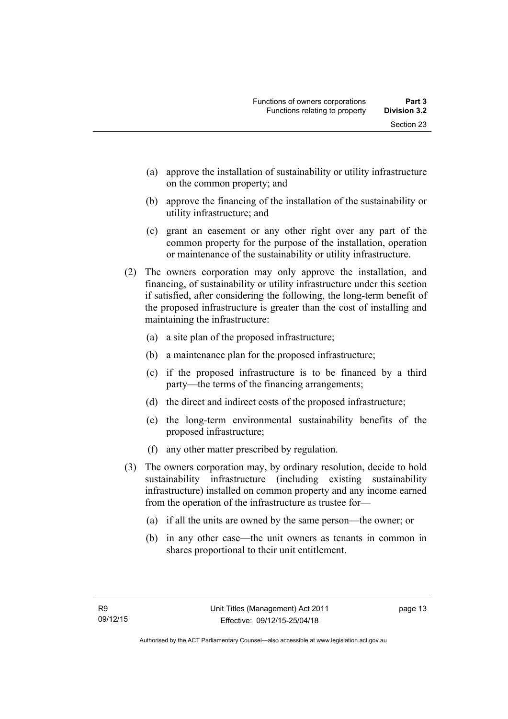- (a) approve the installation of sustainability or utility infrastructure on the common property; and
- (b) approve the financing of the installation of the sustainability or utility infrastructure; and
- (c) grant an easement or any other right over any part of the common property for the purpose of the installation, operation or maintenance of the sustainability or utility infrastructure.
- (2) The owners corporation may only approve the installation, and financing, of sustainability or utility infrastructure under this section if satisfied, after considering the following, the long-term benefit of the proposed infrastructure is greater than the cost of installing and maintaining the infrastructure:
	- (a) a site plan of the proposed infrastructure;
	- (b) a maintenance plan for the proposed infrastructure;
	- (c) if the proposed infrastructure is to be financed by a third party—the terms of the financing arrangements;
	- (d) the direct and indirect costs of the proposed infrastructure;
	- (e) the long-term environmental sustainability benefits of the proposed infrastructure;
	- (f) any other matter prescribed by regulation.
- (3) The owners corporation may, by ordinary resolution, decide to hold sustainability infrastructure (including existing sustainability infrastructure) installed on common property and any income earned from the operation of the infrastructure as trustee for—
	- (a) if all the units are owned by the same person—the owner; or
	- (b) in any other case—the unit owners as tenants in common in shares proportional to their unit entitlement.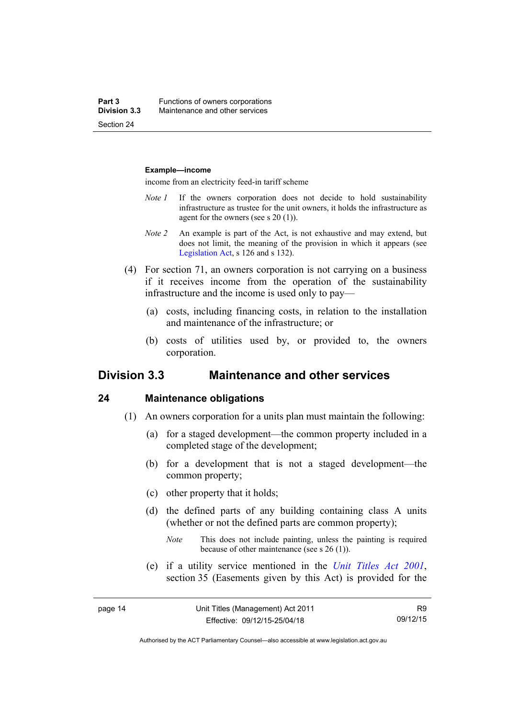#### **Example—income**

income from an electricity feed-in tariff scheme

- *Note 1* If the owners corporation does not decide to hold sustainability infrastructure as trustee for the unit owners, it holds the infrastructure as agent for the owners (see s 20 (1)).
- *Note 2* An example is part of the Act, is not exhaustive and may extend, but does not limit, the meaning of the provision in which it appears (see [Legislation Act,](http://www.legislation.act.gov.au/a/2001-14) s 126 and s 132).
- (4) For section 71, an owners corporation is not carrying on a business if it receives income from the operation of the sustainability infrastructure and the income is used only to pay—
	- (a) costs, including financing costs, in relation to the installation and maintenance of the infrastructure; or
	- (b) costs of utilities used by, or provided to, the owners corporation.

#### <span id="page-25-0"></span>**Division 3.3 Maintenance and other services**

#### <span id="page-25-1"></span>**24 Maintenance obligations**

- (1) An owners corporation for a units plan must maintain the following:
	- (a) for a staged development—the common property included in a completed stage of the development;
	- (b) for a development that is not a staged development—the common property;
	- (c) other property that it holds;
	- (d) the defined parts of any building containing class A units (whether or not the defined parts are common property);
		- *Note* This does not include painting, unless the painting is required because of other maintenance (see s 26 (1)).
	- (e) if a utility service mentioned in the *[Unit Titles Act 2001](http://www.legislation.act.gov.au/a/2001-16)*, section 35 (Easements given by this Act) is provided for the

R9 09/12/15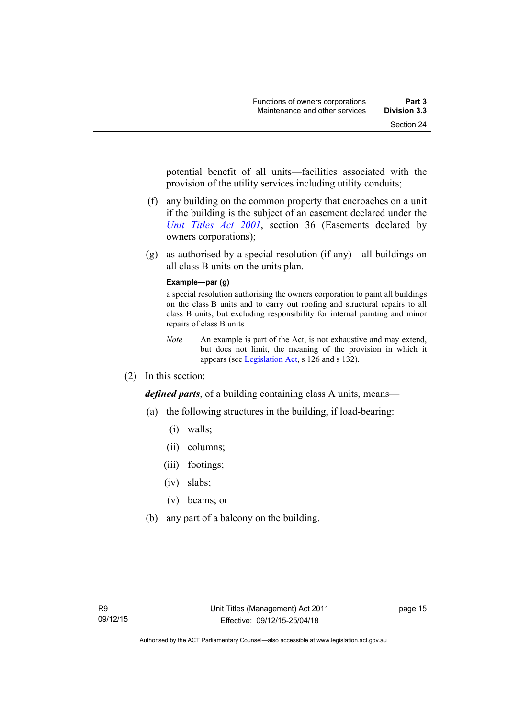potential benefit of all units—facilities associated with the provision of the utility services including utility conduits;

- (f) any building on the common property that encroaches on a unit if the building is the subject of an easement declared under the *[Unit Titles Act 2001](http://www.legislation.act.gov.au/a/2001-16)*, section 36 (Easements declared by owners corporations);
- (g) as authorised by a special resolution (if any)—all buildings on all class B units on the units plan.

#### **Example—par (g)**

a special resolution authorising the owners corporation to paint all buildings on the class B units and to carry out roofing and structural repairs to all class B units, but excluding responsibility for internal painting and minor repairs of class B units

- *Note* An example is part of the Act, is not exhaustive and may extend, but does not limit, the meaning of the provision in which it appears (see [Legislation Act,](http://www.legislation.act.gov.au/a/2001-14) s 126 and s 132).
- (2) In this section:

*defined parts*, of a building containing class A units, means—

- (a) the following structures in the building, if load-bearing:
	- (i) walls;
	- (ii) columns;
	- (iii) footings;
	- (iv) slabs;
	- (v) beams; or
- (b) any part of a balcony on the building.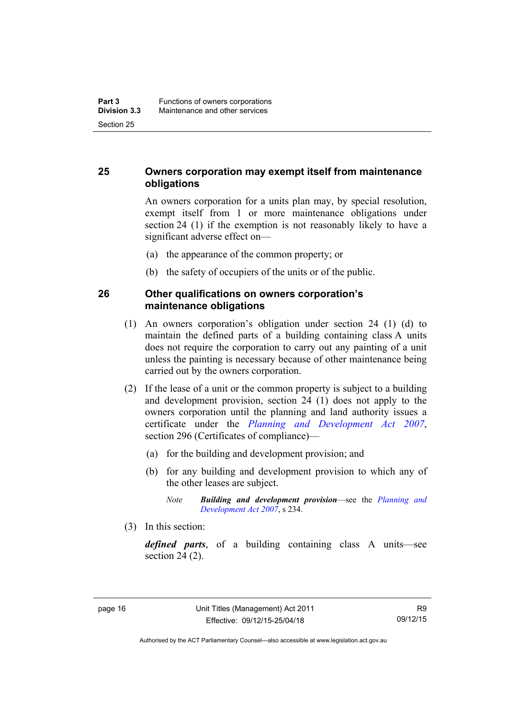#### <span id="page-27-0"></span>**25 Owners corporation may exempt itself from maintenance obligations**

An owners corporation for a units plan may, by special resolution, exempt itself from 1 or more maintenance obligations under section 24 (1) if the exemption is not reasonably likely to have a significant adverse effect on—

- (a) the appearance of the common property; or
- (b) the safety of occupiers of the units or of the public.

#### <span id="page-27-1"></span>**26 Other qualifications on owners corporation's maintenance obligations**

- (1) An owners corporation's obligation under section 24 (1) (d) to maintain the defined parts of a building containing class A units does not require the corporation to carry out any painting of a unit unless the painting is necessary because of other maintenance being carried out by the owners corporation.
- (2) If the lease of a unit or the common property is subject to a building and development provision, section 24 (1) does not apply to the owners corporation until the planning and land authority issues a certificate under the *[Planning and Development Act 2007](http://www.legislation.act.gov.au/a/2007-24)*, section 296 (Certificates of compliance)—
	- (a) for the building and development provision; and
	- (b) for any building and development provision to which any of the other leases are subject.

*Note Building and development provision*—see the *[Planning and](http://www.legislation.act.gov.au/a/2007-24)  [Development Act 2007](http://www.legislation.act.gov.au/a/2007-24)*, s 234.

(3) In this section:

*defined parts*, of a building containing class A units—see section 24 (2).

Authorised by the ACT Parliamentary Counsel—also accessible at www.legislation.act.gov.au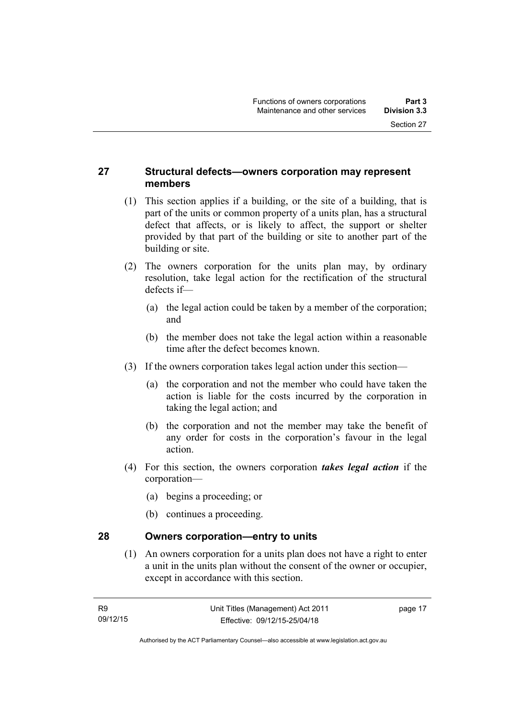#### <span id="page-28-0"></span>**27 Structural defects—owners corporation may represent members**

- (1) This section applies if a building, or the site of a building, that is part of the units or common property of a units plan, has a structural defect that affects, or is likely to affect, the support or shelter provided by that part of the building or site to another part of the building or site.
- (2) The owners corporation for the units plan may, by ordinary resolution, take legal action for the rectification of the structural defects if—
	- (a) the legal action could be taken by a member of the corporation; and
	- (b) the member does not take the legal action within a reasonable time after the defect becomes known.
- (3) If the owners corporation takes legal action under this section—
	- (a) the corporation and not the member who could have taken the action is liable for the costs incurred by the corporation in taking the legal action; and
	- (b) the corporation and not the member may take the benefit of any order for costs in the corporation's favour in the legal action.
- (4) For this section, the owners corporation *takes legal action* if the corporation—
	- (a) begins a proceeding; or
	- (b) continues a proceeding.

#### <span id="page-28-1"></span>**28 Owners corporation—entry to units**

(1) An owners corporation for a units plan does not have a right to enter a unit in the units plan without the consent of the owner or occupier, except in accordance with this section.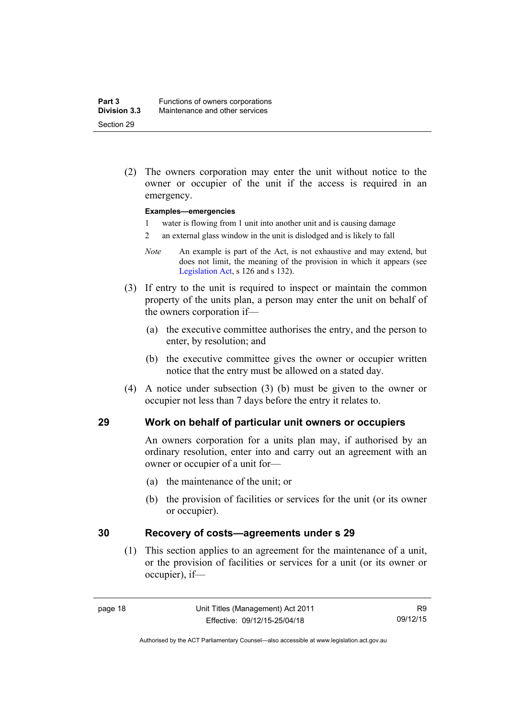(2) The owners corporation may enter the unit without notice to the owner or occupier of the unit if the access is required in an emergency.

#### **Examples—emergencies**

- 1 water is flowing from 1 unit into another unit and is causing damage
- 2 an external glass window in the unit is dislodged and is likely to fall
- *Note* An example is part of the Act, is not exhaustive and may extend, but does not limit, the meaning of the provision in which it appears (see [Legislation Act,](http://www.legislation.act.gov.au/a/2001-14) s 126 and s 132).
- (3) If entry to the unit is required to inspect or maintain the common property of the units plan, a person may enter the unit on behalf of the owners corporation if—
	- (a) the executive committee authorises the entry, and the person to enter, by resolution; and
	- (b) the executive committee gives the owner or occupier written notice that the entry must be allowed on a stated day.
- (4) A notice under subsection (3) (b) must be given to the owner or occupier not less than 7 days before the entry it relates to.

#### <span id="page-29-0"></span>**29 Work on behalf of particular unit owners or occupiers**

An owners corporation for a units plan may, if authorised by an ordinary resolution, enter into and carry out an agreement with an owner or occupier of a unit for—

- (a) the maintenance of the unit; or
- (b) the provision of facilities or services for the unit (or its owner or occupier).

#### <span id="page-29-1"></span>**30 Recovery of costs—agreements under s 29**

(1) This section applies to an agreement for the maintenance of a unit, or the provision of facilities or services for a unit (or its owner or occupier), if—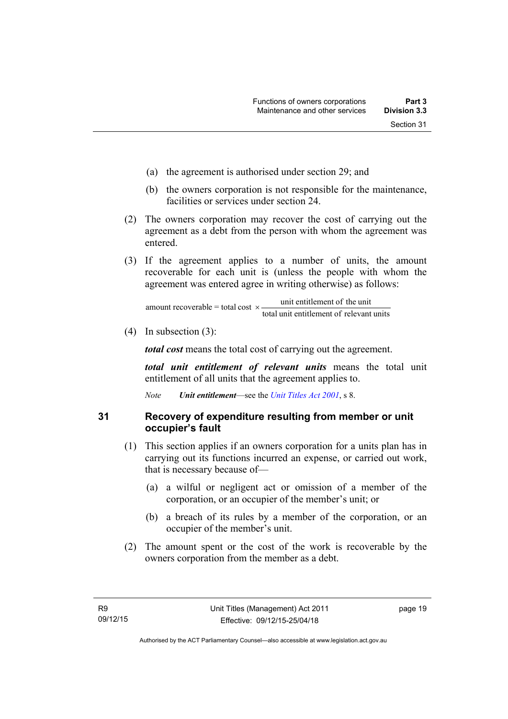- (a) the agreement is authorised under section 29; and
- (b) the owners corporation is not responsible for the maintenance, facilities or services under section 24.
- (2) The owners corporation may recover the cost of carrying out the agreement as a debt from the person with whom the agreement was entered.
- (3) If the agreement applies to a number of units, the amount recoverable for each unit is (unless the people with whom the agreement was entered agree in writing otherwise) as follows:

total unit entitlement of relevant units unit entitlement of the unit amount recoverable = total cost  $\times$ -

(4) In subsection (3):

*total cost* means the total cost of carrying out the agreement.

*total unit entitlement of relevant units* means the total unit entitlement of all units that the agreement applies to.

*Note Unit entitlement*—see the *[Unit Titles Act 2001](http://www.legislation.act.gov.au/a/2001-16)*, s 8.

#### <span id="page-30-0"></span>**31 Recovery of expenditure resulting from member or unit occupier's fault**

- (1) This section applies if an owners corporation for a units plan has in carrying out its functions incurred an expense, or carried out work, that is necessary because of—
	- (a) a wilful or negligent act or omission of a member of the corporation, or an occupier of the member's unit; or
	- (b) a breach of its rules by a member of the corporation, or an occupier of the member's unit.
- (2) The amount spent or the cost of the work is recoverable by the owners corporation from the member as a debt.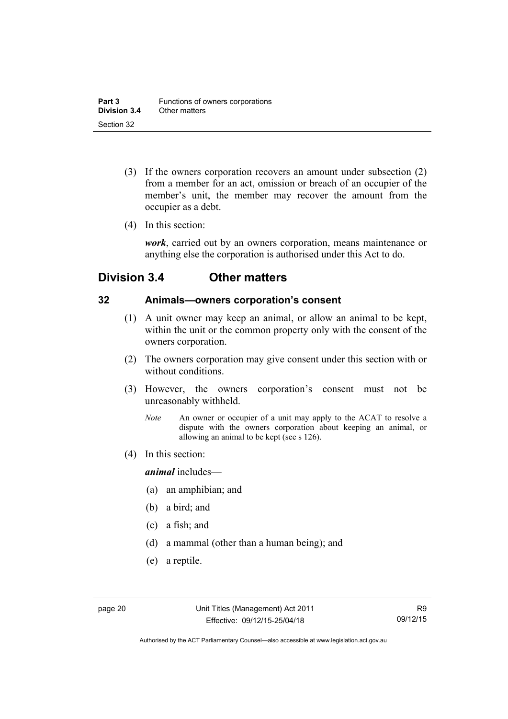- (3) If the owners corporation recovers an amount under subsection (2) from a member for an act, omission or breach of an occupier of the member's unit, the member may recover the amount from the occupier as a debt.
- (4) In this section:

*work*, carried out by an owners corporation, means maintenance or anything else the corporation is authorised under this Act to do.

# <span id="page-31-0"></span>**Division 3.4 Other matters**

#### <span id="page-31-1"></span>**32 Animals—owners corporation's consent**

- (1) A unit owner may keep an animal, or allow an animal to be kept, within the unit or the common property only with the consent of the owners corporation.
- (2) The owners corporation may give consent under this section with or without conditions.
- (3) However, the owners corporation's consent must not be unreasonably withheld.
	- *Note* An owner or occupier of a unit may apply to the ACAT to resolve a dispute with the owners corporation about keeping an animal, or allowing an animal to be kept (see s 126).
- (4) In this section:

*animal* includes—

- (a) an amphibian; and
- (b) a bird; and
- (c) a fish; and
- (d) a mammal (other than a human being); and
- (e) a reptile.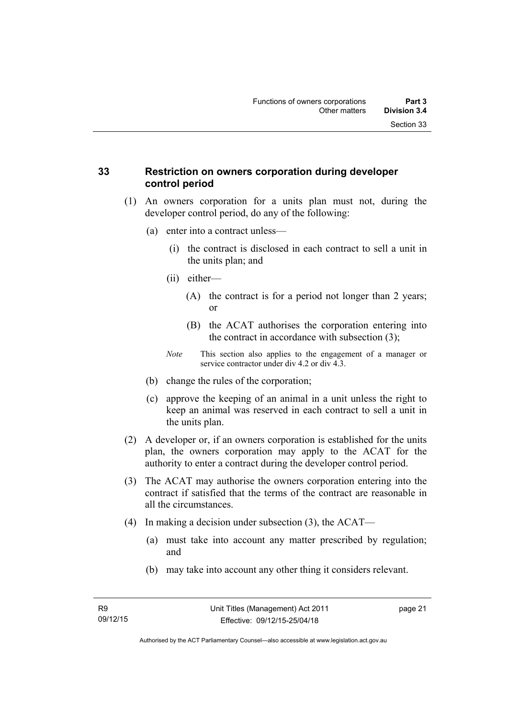#### <span id="page-32-0"></span>**33 Restriction on owners corporation during developer control period**

- (1) An owners corporation for a units plan must not, during the developer control period, do any of the following:
	- (a) enter into a contract unless—
		- (i) the contract is disclosed in each contract to sell a unit in the units plan; and
		- (ii) either—
			- (A) the contract is for a period not longer than 2 years; or
			- (B) the ACAT authorises the corporation entering into the contract in accordance with subsection (3);
		- *Note* This section also applies to the engagement of a manager or service contractor under div 4.2 or div 4.3.
	- (b) change the rules of the corporation;
	- (c) approve the keeping of an animal in a unit unless the right to keep an animal was reserved in each contract to sell a unit in the units plan.
- (2) A developer or, if an owners corporation is established for the units plan, the owners corporation may apply to the ACAT for the authority to enter a contract during the developer control period.
- (3) The ACAT may authorise the owners corporation entering into the contract if satisfied that the terms of the contract are reasonable in all the circumstances.
- (4) In making a decision under subsection (3), the ACAT—
	- (a) must take into account any matter prescribed by regulation; and
	- (b) may take into account any other thing it considers relevant.

page 21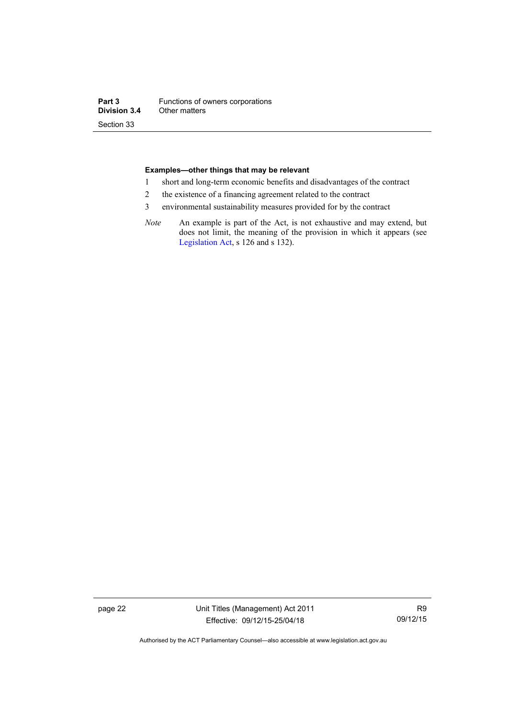#### **Examples—other things that may be relevant**

- 1 short and long-term economic benefits and disadvantages of the contract
- 2 the existence of a financing agreement related to the contract
- 3 environmental sustainability measures provided for by the contract
- *Note* An example is part of the Act, is not exhaustive and may extend, but does not limit, the meaning of the provision in which it appears (see [Legislation Act,](http://www.legislation.act.gov.au/a/2001-14) s 126 and s 132).

page 22 Unit Titles (Management) Act 2011 Effective: 09/12/15-25/04/18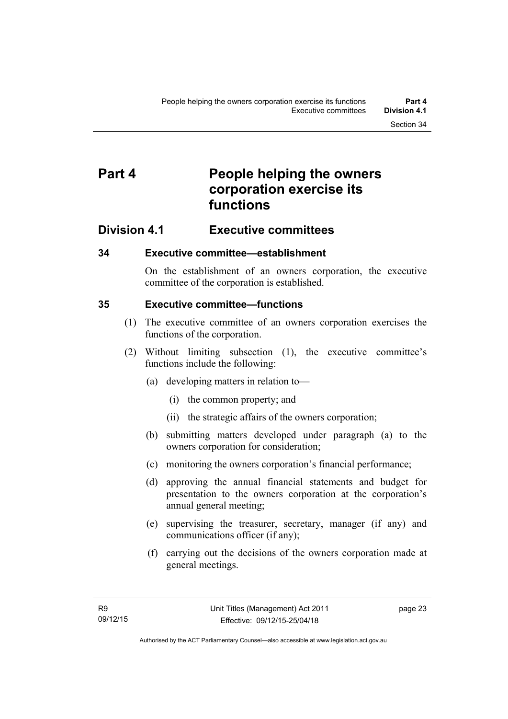# <span id="page-34-0"></span>**Part 4 People helping the owners corporation exercise its functions**

### <span id="page-34-1"></span>**Division 4.1 Executive committees**

#### <span id="page-34-2"></span>**34 Executive committee—establishment**

On the establishment of an owners corporation, the executive committee of the corporation is established.

#### <span id="page-34-3"></span>**35 Executive committee—functions**

- (1) The executive committee of an owners corporation exercises the functions of the corporation.
- (2) Without limiting subsection (1), the executive committee's functions include the following:
	- (a) developing matters in relation to—
		- (i) the common property; and
		- (ii) the strategic affairs of the owners corporation;
	- (b) submitting matters developed under paragraph (a) to the owners corporation for consideration;
	- (c) monitoring the owners corporation's financial performance;
	- (d) approving the annual financial statements and budget for presentation to the owners corporation at the corporation's annual general meeting;
	- (e) supervising the treasurer, secretary, manager (if any) and communications officer (if any);
	- (f) carrying out the decisions of the owners corporation made at general meetings.

page 23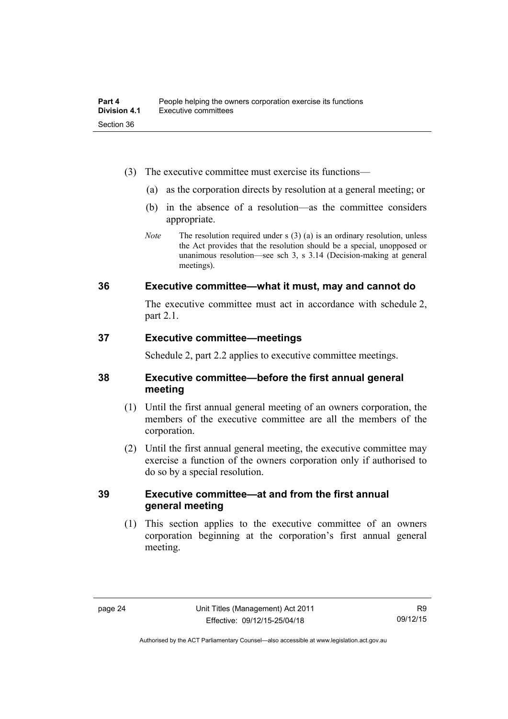- (3) The executive committee must exercise its functions—
	- (a) as the corporation directs by resolution at a general meeting; or
	- (b) in the absence of a resolution—as the committee considers appropriate.
	- *Note* The resolution required under s (3) (a) is an ordinary resolution, unless the Act provides that the resolution should be a special, unopposed or unanimous resolution—see sch 3, s 3.14 (Decision-making at general meetings).

#### <span id="page-35-0"></span>**36 Executive committee—what it must, may and cannot do**

The executive committee must act in accordance with schedule 2, part 2.1.

#### <span id="page-35-1"></span>**37 Executive committee—meetings**

Schedule 2, part 2.2 applies to executive committee meetings.

#### <span id="page-35-2"></span>**38 Executive committee—before the first annual general meeting**

- (1) Until the first annual general meeting of an owners corporation, the members of the executive committee are all the members of the corporation.
- (2) Until the first annual general meeting, the executive committee may exercise a function of the owners corporation only if authorised to do so by a special resolution.

#### <span id="page-35-3"></span>**39 Executive committee—at and from the first annual general meeting**

(1) This section applies to the executive committee of an owners corporation beginning at the corporation's first annual general meeting.

Authorised by the ACT Parliamentary Counsel—also accessible at www.legislation.act.gov.au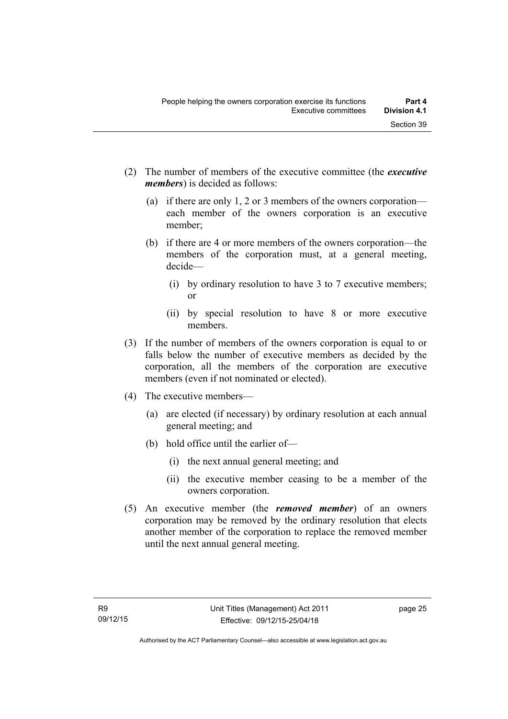- (2) The number of members of the executive committee (the *executive members*) is decided as follows:
	- (a) if there are only 1, 2 or 3 members of the owners corporation each member of the owners corporation is an executive member;
	- (b) if there are 4 or more members of the owners corporation—the members of the corporation must, at a general meeting, decide—
		- (i) by ordinary resolution to have 3 to 7 executive members; or
		- (ii) by special resolution to have 8 or more executive members.
- (3) If the number of members of the owners corporation is equal to or falls below the number of executive members as decided by the corporation, all the members of the corporation are executive members (even if not nominated or elected).
- (4) The executive members—
	- (a) are elected (if necessary) by ordinary resolution at each annual general meeting; and
	- (b) hold office until the earlier of—
		- (i) the next annual general meeting; and
		- (ii) the executive member ceasing to be a member of the owners corporation.
- (5) An executive member (the *removed member*) of an owners corporation may be removed by the ordinary resolution that elects another member of the corporation to replace the removed member until the next annual general meeting.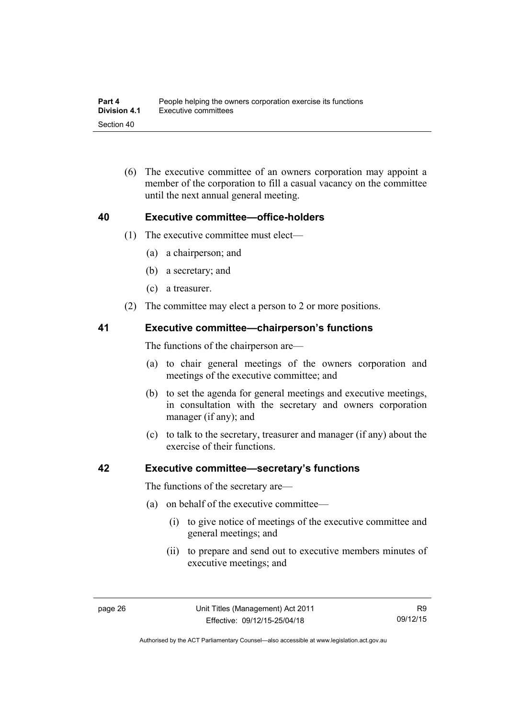(6) The executive committee of an owners corporation may appoint a member of the corporation to fill a casual vacancy on the committee until the next annual general meeting.

#### **40 Executive committee—office-holders**

- (1) The executive committee must elect—
	- (a) a chairperson; and
	- (b) a secretary; and
	- (c) a treasurer.
- (2) The committee may elect a person to 2 or more positions.

#### **41 Executive committee—chairperson's functions**

The functions of the chairperson are—

- (a) to chair general meetings of the owners corporation and meetings of the executive committee; and
- (b) to set the agenda for general meetings and executive meetings, in consultation with the secretary and owners corporation manager (if any); and
- (c) to talk to the secretary, treasurer and manager (if any) about the exercise of their functions.

#### **42 Executive committee—secretary's functions**

The functions of the secretary are—

- (a) on behalf of the executive committee—
	- (i) to give notice of meetings of the executive committee and general meetings; and
	- (ii) to prepare and send out to executive members minutes of executive meetings; and

Authorised by the ACT Parliamentary Counsel—also accessible at www.legislation.act.gov.au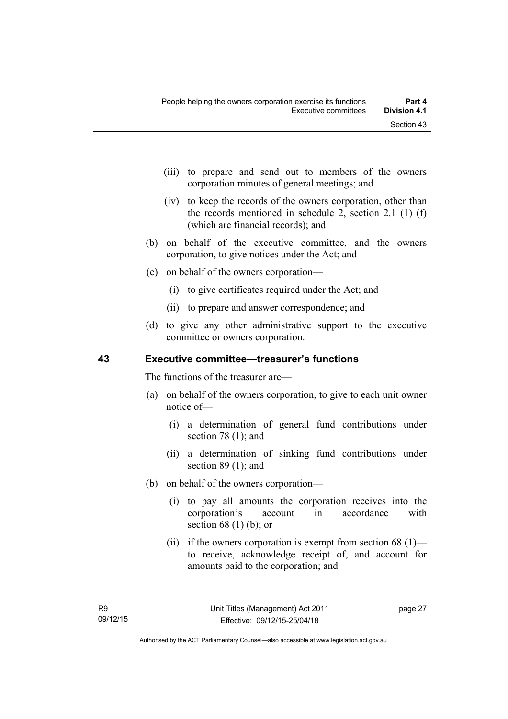- (iii) to prepare and send out to members of the owners corporation minutes of general meetings; and
- (iv) to keep the records of the owners corporation, other than the records mentioned in schedule 2, section 2.1 (1) (f) (which are financial records); and
- (b) on behalf of the executive committee, and the owners corporation, to give notices under the Act; and
- (c) on behalf of the owners corporation—
	- (i) to give certificates required under the Act; and
	- (ii) to prepare and answer correspondence; and
- (d) to give any other administrative support to the executive committee or owners corporation.

#### **43 Executive committee—treasurer's functions**

The functions of the treasurer are—

- (a) on behalf of the owners corporation, to give to each unit owner notice of—
	- (i) a determination of general fund contributions under section 78 (1); and
	- (ii) a determination of sinking fund contributions under section 89 (1); and
- (b) on behalf of the owners corporation—
	- (i) to pay all amounts the corporation receives into the corporation's account in accordance with section  $68(1)$  (b); or
	- (ii) if the owners corporation is exempt from section  $68$  (1) to receive, acknowledge receipt of, and account for amounts paid to the corporation; and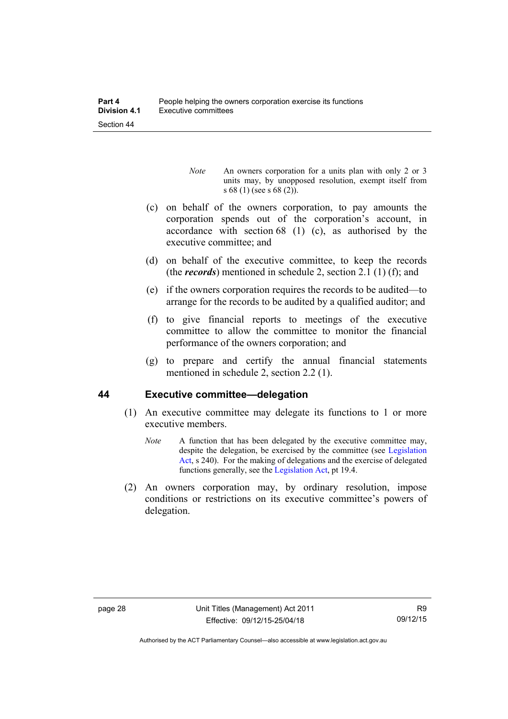- *Note* An owners corporation for a units plan with only 2 or 3 units may, by unopposed resolution, exempt itself from s 68 (1) (see s 68 (2)).
- (c) on behalf of the owners corporation, to pay amounts the corporation spends out of the corporation's account, in accordance with section 68 (1) (c), as authorised by the executive committee; and
- (d) on behalf of the executive committee, to keep the records (the *records*) mentioned in schedule 2, section 2.1 (1) (f); and
- (e) if the owners corporation requires the records to be audited—to arrange for the records to be audited by a qualified auditor; and
- (f) to give financial reports to meetings of the executive committee to allow the committee to monitor the financial performance of the owners corporation; and
- (g) to prepare and certify the annual financial statements mentioned in schedule 2, section 2.2 (1).

### **44 Executive committee—delegation**

- (1) An executive committee may delegate its functions to 1 or more executive members.
	- *Note* A function that has been delegated by the executive committee may, despite the delegation, be exercised by the committee (see [Legislation](http://www.legislation.act.gov.au/a/2001-14)  [Act](http://www.legislation.act.gov.au/a/2001-14), s 240). For the making of delegations and the exercise of delegated functions generally, see the [Legislation Act,](http://www.legislation.act.gov.au/a/2001-14) pt 19.4.
- (2) An owners corporation may, by ordinary resolution, impose conditions or restrictions on its executive committee's powers of delegation.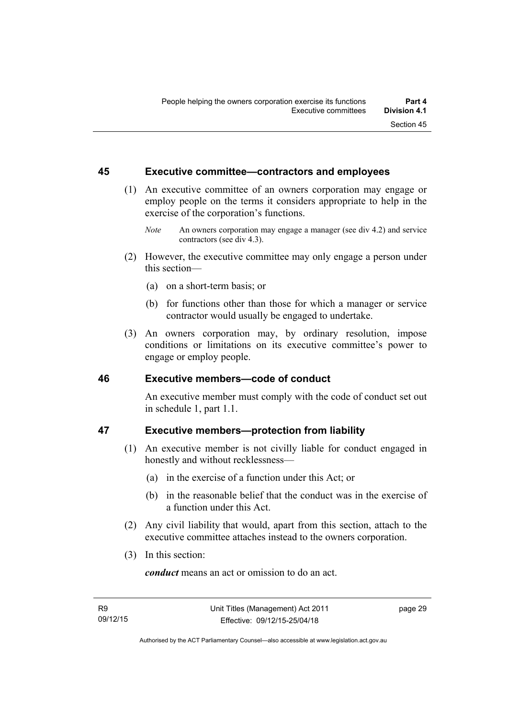#### **45 Executive committee—contractors and employees**

- (1) An executive committee of an owners corporation may engage or employ people on the terms it considers appropriate to help in the exercise of the corporation's functions.
	- *Note* An owners corporation may engage a manager (see div 4.2) and service contractors (see div 4.3).
- (2) However, the executive committee may only engage a person under this section—
	- (a) on a short-term basis; or
	- (b) for functions other than those for which a manager or service contractor would usually be engaged to undertake.
- (3) An owners corporation may, by ordinary resolution, impose conditions or limitations on its executive committee's power to engage or employ people.

### **46 Executive members—code of conduct**

An executive member must comply with the code of conduct set out in schedule 1, part 1.1.

### **47 Executive members—protection from liability**

- (1) An executive member is not civilly liable for conduct engaged in honestly and without recklessness—
	- (a) in the exercise of a function under this Act; or
	- (b) in the reasonable belief that the conduct was in the exercise of a function under this Act.
- (2) Any civil liability that would, apart from this section, attach to the executive committee attaches instead to the owners corporation.
- (3) In this section:

*conduct* means an act or omission to do an act.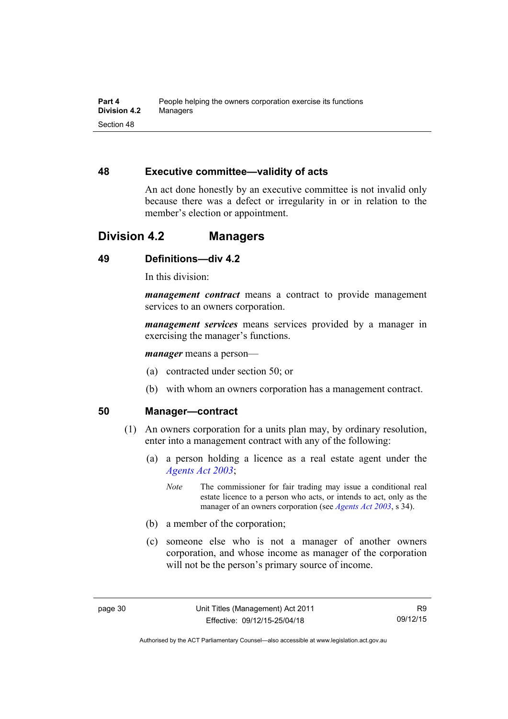### **48 Executive committee—validity of acts**

An act done honestly by an executive committee is not invalid only because there was a defect or irregularity in or in relation to the member's election or appointment.

## **Division 4.2 Managers**

## **49 Definitions—div 4.2**

In this division:

*management contract* means a contract to provide management services to an owners corporation.

*management services* means services provided by a manager in exercising the manager's functions.

*manager* means a person—

- (a) contracted under section 50; or
- (b) with whom an owners corporation has a management contract.

#### **50 Manager—contract**

- (1) An owners corporation for a units plan may, by ordinary resolution, enter into a management contract with any of the following:
	- (a) a person holding a licence as a real estate agent under the *[Agents Act 2003](http://www.legislation.act.gov.au/a/2003-20)*;
		- *Note* The commissioner for fair trading may issue a conditional real estate licence to a person who acts, or intends to act, only as the manager of an owners corporation (see *[Agents Act 2003](http://www.legislation.act.gov.au/a/2003-20)*, s 34).
	- (b) a member of the corporation;
	- (c) someone else who is not a manager of another owners corporation, and whose income as manager of the corporation will not be the person's primary source of income.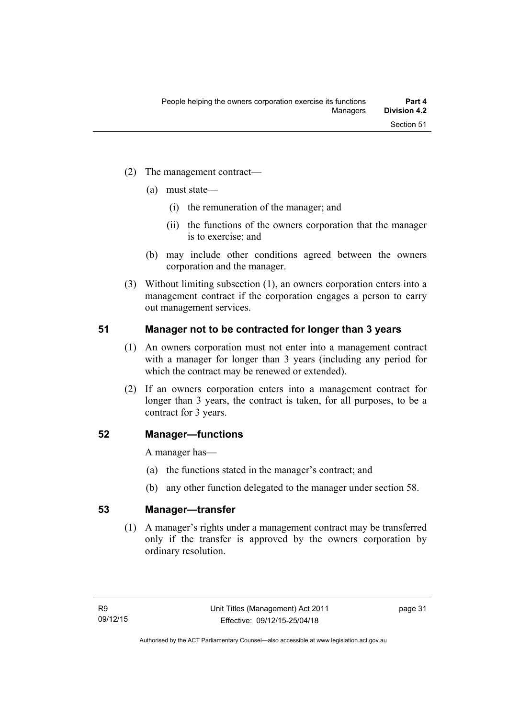- (2) The management contract—
	- (a) must state—
		- (i) the remuneration of the manager; and
		- (ii) the functions of the owners corporation that the manager is to exercise; and
	- (b) may include other conditions agreed between the owners corporation and the manager.
- (3) Without limiting subsection (1), an owners corporation enters into a management contract if the corporation engages a person to carry out management services.

### **51 Manager not to be contracted for longer than 3 years**

- (1) An owners corporation must not enter into a management contract with a manager for longer than 3 years (including any period for which the contract may be renewed or extended).
- (2) If an owners corporation enters into a management contract for longer than 3 years, the contract is taken, for all purposes, to be a contract for 3 years.

### **52 Manager—functions**

A manager has—

- (a) the functions stated in the manager's contract; and
- (b) any other function delegated to the manager under section 58.

### **53 Manager—transfer**

(1) A manager's rights under a management contract may be transferred only if the transfer is approved by the owners corporation by ordinary resolution.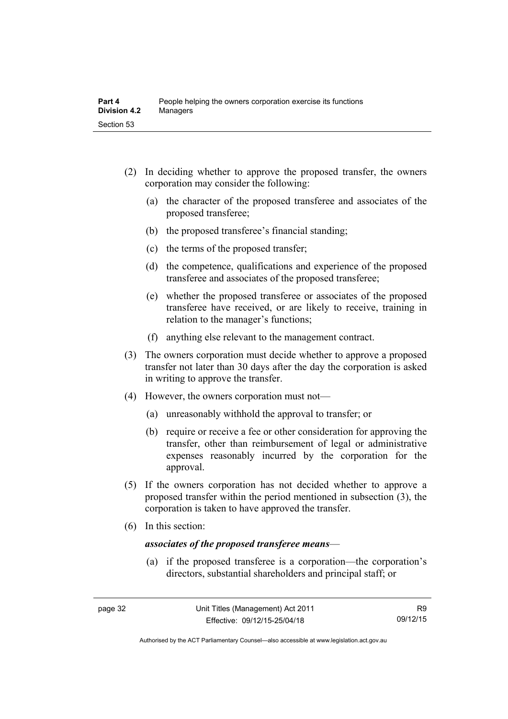- (2) In deciding whether to approve the proposed transfer, the owners corporation may consider the following:
	- (a) the character of the proposed transferee and associates of the proposed transferee;
	- (b) the proposed transferee's financial standing;
	- (c) the terms of the proposed transfer;
	- (d) the competence, qualifications and experience of the proposed transferee and associates of the proposed transferee;
	- (e) whether the proposed transferee or associates of the proposed transferee have received, or are likely to receive, training in relation to the manager's functions;
	- (f) anything else relevant to the management contract.
- (3) The owners corporation must decide whether to approve a proposed transfer not later than 30 days after the day the corporation is asked in writing to approve the transfer.
- (4) However, the owners corporation must not—
	- (a) unreasonably withhold the approval to transfer; or
	- (b) require or receive a fee or other consideration for approving the transfer, other than reimbursement of legal or administrative expenses reasonably incurred by the corporation for the approval.
- (5) If the owners corporation has not decided whether to approve a proposed transfer within the period mentioned in subsection (3), the corporation is taken to have approved the transfer.
- (6) In this section:

#### *associates of the proposed transferee means*—

 (a) if the proposed transferee is a corporation—the corporation's directors, substantial shareholders and principal staff; or

Authorised by the ACT Parliamentary Counsel—also accessible at www.legislation.act.gov.au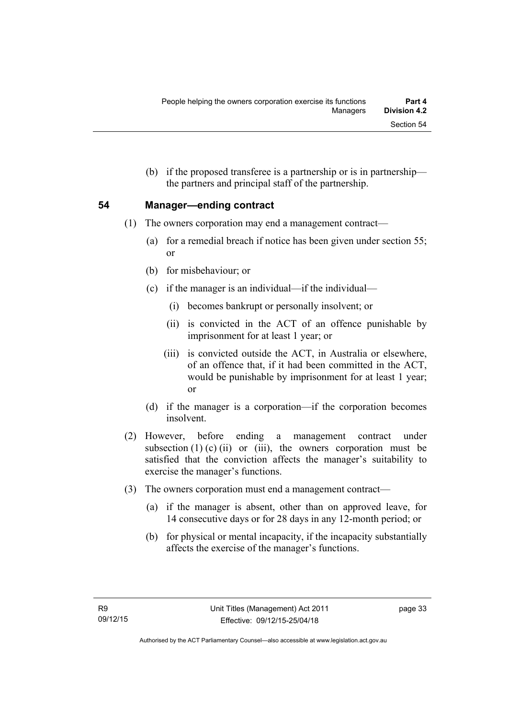(b) if the proposed transferee is a partnership or is in partnership the partners and principal staff of the partnership.

#### **54 Manager—ending contract**

- (1) The owners corporation may end a management contract—
	- (a) for a remedial breach if notice has been given under section 55; or
	- (b) for misbehaviour; or
	- (c) if the manager is an individual—if the individual—
		- (i) becomes bankrupt or personally insolvent; or
		- (ii) is convicted in the ACT of an offence punishable by imprisonment for at least 1 year; or
		- (iii) is convicted outside the ACT, in Australia or elsewhere, of an offence that, if it had been committed in the ACT, would be punishable by imprisonment for at least 1 year; or
	- (d) if the manager is a corporation—if the corporation becomes insolvent.
- (2) However, before ending a management contract under subsection  $(1)$  (c)  $(ii)$  or  $(iii)$ , the owners corporation must be satisfied that the conviction affects the manager's suitability to exercise the manager's functions.
- (3) The owners corporation must end a management contract—
	- (a) if the manager is absent, other than on approved leave, for 14 consecutive days or for 28 days in any 12-month period; or
	- (b) for physical or mental incapacity, if the incapacity substantially affects the exercise of the manager's functions.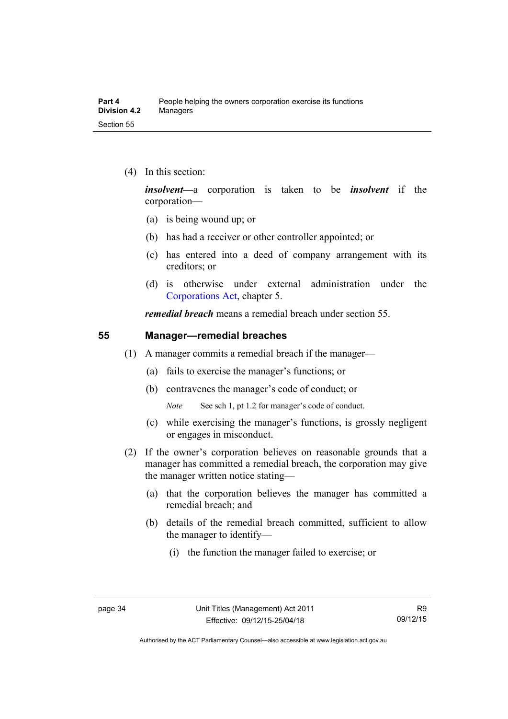(4) In this section:

*insolvent—*a corporation is taken to be *insolvent* if the corporation—

- (a) is being wound up; or
- (b) has had a receiver or other controller appointed; or
- (c) has entered into a deed of company arrangement with its creditors; or
- (d) is otherwise under external administration under the [Corporations Act,](http://www.comlaw.gov.au/Series/C2004A00818) chapter 5.

*remedial breach* means a remedial breach under section 55.

#### **55 Manager—remedial breaches**

- (1) A manager commits a remedial breach if the manager—
	- (a) fails to exercise the manager's functions; or
	- (b) contravenes the manager's code of conduct; or

*Note* See sch 1, pt 1.2 for manager's code of conduct.

- (c) while exercising the manager's functions, is grossly negligent or engages in misconduct.
- (2) If the owner's corporation believes on reasonable grounds that a manager has committed a remedial breach, the corporation may give the manager written notice stating—
	- (a) that the corporation believes the manager has committed a remedial breach; and
	- (b) details of the remedial breach committed, sufficient to allow the manager to identify—
		- (i) the function the manager failed to exercise; or

Authorised by the ACT Parliamentary Counsel—also accessible at www.legislation.act.gov.au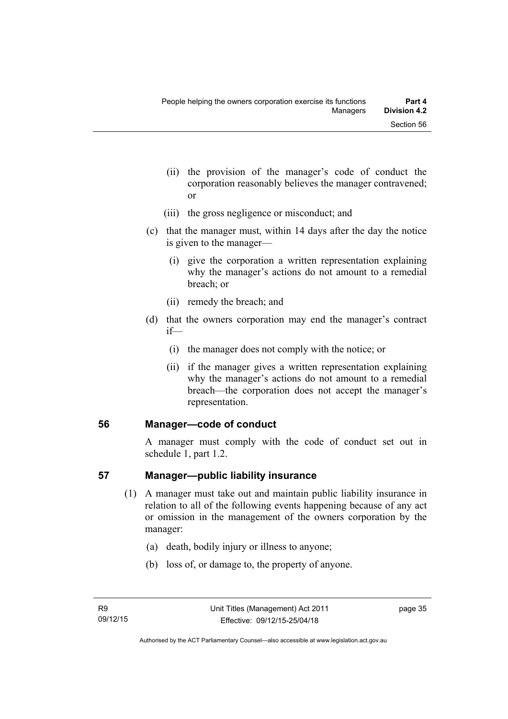- (ii) the provision of the manager's code of conduct the corporation reasonably believes the manager contravened; or
- (iii) the gross negligence or misconduct; and
- (c) that the manager must, within 14 days after the day the notice is given to the manager—
	- (i) give the corporation a written representation explaining why the manager's actions do not amount to a remedial breach; or
	- (ii) remedy the breach; and
- (d) that the owners corporation may end the manager's contract if—
	- (i) the manager does not comply with the notice; or
	- (ii) if the manager gives a written representation explaining why the manager's actions do not amount to a remedial breach—the corporation does not accept the manager's representation.

### **56 Manager—code of conduct**

A manager must comply with the code of conduct set out in schedule 1, part 1.2.

### **57 Manager—public liability insurance**

- (1) A manager must take out and maintain public liability insurance in relation to all of the following events happening because of any act or omission in the management of the owners corporation by the manager:
	- (a) death, bodily injury or illness to anyone;
	- (b) loss of, or damage to, the property of anyone.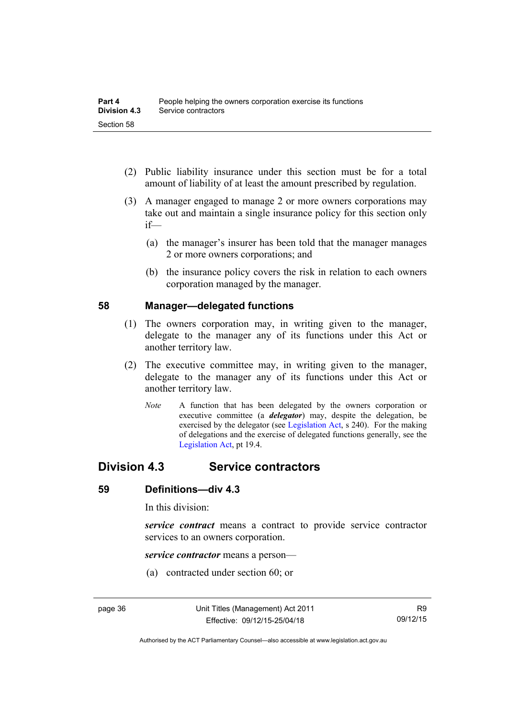- (2) Public liability insurance under this section must be for a total amount of liability of at least the amount prescribed by regulation.
- (3) A manager engaged to manage 2 or more owners corporations may take out and maintain a single insurance policy for this section only if—
	- (a) the manager's insurer has been told that the manager manages 2 or more owners corporations; and
	- (b) the insurance policy covers the risk in relation to each owners corporation managed by the manager.

#### **58 Manager—delegated functions**

- (1) The owners corporation may, in writing given to the manager, delegate to the manager any of its functions under this Act or another territory law.
- (2) The executive committee may, in writing given to the manager, delegate to the manager any of its functions under this Act or another territory law.
	- *Note* A function that has been delegated by the owners corporation or executive committee (a *delegator*) may, despite the delegation, be exercised by the delegator (see [Legislation Act,](http://www.legislation.act.gov.au/a/2001-14) s 240). For the making of delegations and the exercise of delegated functions generally, see the [Legislation Act,](http://www.legislation.act.gov.au/a/2001-14) pt 19.4.

## **Division 4.3 Service contractors**

#### **59 Definitions—div 4.3**

In this division:

*service contract* means a contract to provide service contractor services to an owners corporation.

*service contractor* means a person—

(a) contracted under section 60; or

Authorised by the ACT Parliamentary Counsel—also accessible at www.legislation.act.gov.au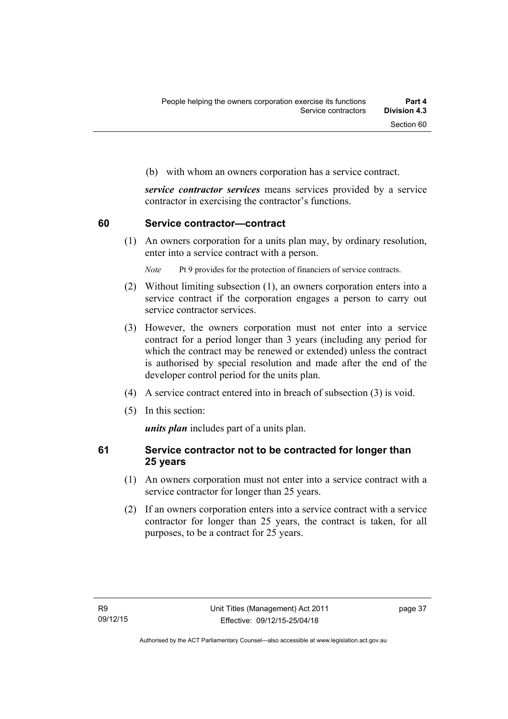(b) with whom an owners corporation has a service contract.

*service contractor services* means services provided by a service contractor in exercising the contractor's functions.

#### **60 Service contractor—contract**

(1) An owners corporation for a units plan may, by ordinary resolution, enter into a service contract with a person.

*Note* Pt 9 provides for the protection of financiers of service contracts.

- (2) Without limiting subsection (1), an owners corporation enters into a service contract if the corporation engages a person to carry out service contractor services.
- (3) However, the owners corporation must not enter into a service contract for a period longer than 3 years (including any period for which the contract may be renewed or extended) unless the contract is authorised by special resolution and made after the end of the developer control period for the units plan.
- (4) A service contract entered into in breach of subsection (3) is void.
- (5) In this section:

*units plan* includes part of a units plan.

#### **61 Service contractor not to be contracted for longer than 25 years**

- (1) An owners corporation must not enter into a service contract with a service contractor for longer than 25 years.
- (2) If an owners corporation enters into a service contract with a service contractor for longer than 25 years, the contract is taken, for all purposes, to be a contract for 25 years.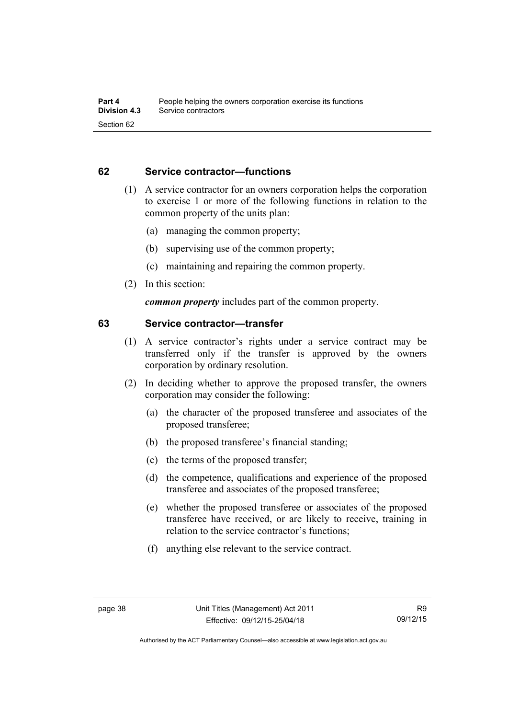#### **62 Service contractor—functions**

- (1) A service contractor for an owners corporation helps the corporation to exercise 1 or more of the following functions in relation to the common property of the units plan:
	- (a) managing the common property;
	- (b) supervising use of the common property;
	- (c) maintaining and repairing the common property.
- (2) In this section:

*common property* includes part of the common property.

#### **63 Service contractor—transfer**

- (1) A service contractor's rights under a service contract may be transferred only if the transfer is approved by the owners corporation by ordinary resolution.
- (2) In deciding whether to approve the proposed transfer, the owners corporation may consider the following:
	- (a) the character of the proposed transferee and associates of the proposed transferee;
	- (b) the proposed transferee's financial standing;
	- (c) the terms of the proposed transfer;
	- (d) the competence, qualifications and experience of the proposed transferee and associates of the proposed transferee;
	- (e) whether the proposed transferee or associates of the proposed transferee have received, or are likely to receive, training in relation to the service contractor's functions;
	- (f) anything else relevant to the service contract.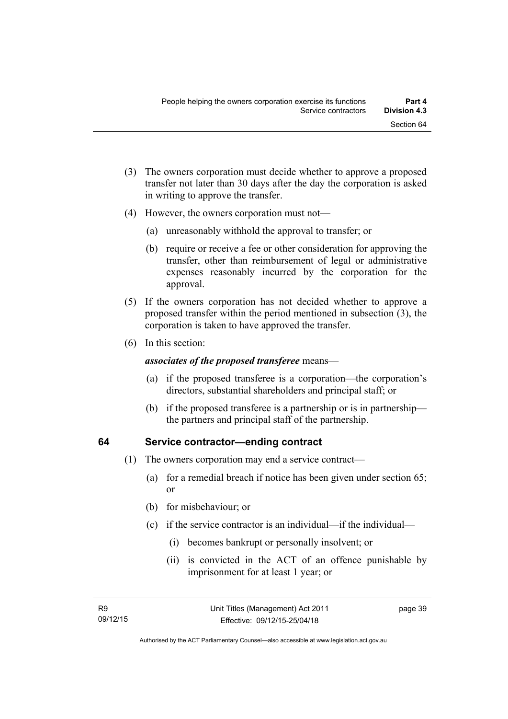- (3) The owners corporation must decide whether to approve a proposed transfer not later than 30 days after the day the corporation is asked in writing to approve the transfer.
- (4) However, the owners corporation must not—
	- (a) unreasonably withhold the approval to transfer; or
	- (b) require or receive a fee or other consideration for approving the transfer, other than reimbursement of legal or administrative expenses reasonably incurred by the corporation for the approval.
- (5) If the owners corporation has not decided whether to approve a proposed transfer within the period mentioned in subsection (3), the corporation is taken to have approved the transfer.
- (6) In this section:

#### *associates of the proposed transferee* means—

- (a) if the proposed transferee is a corporation—the corporation's directors, substantial shareholders and principal staff; or
- (b) if the proposed transferee is a partnership or is in partnership the partners and principal staff of the partnership.

### **64 Service contractor—ending contract**

- (1) The owners corporation may end a service contract—
	- (a) for a remedial breach if notice has been given under section 65; or
	- (b) for misbehaviour; or
	- (c) if the service contractor is an individual—if the individual—
		- (i) becomes bankrupt or personally insolvent; or
		- (ii) is convicted in the ACT of an offence punishable by imprisonment for at least 1 year; or

page 39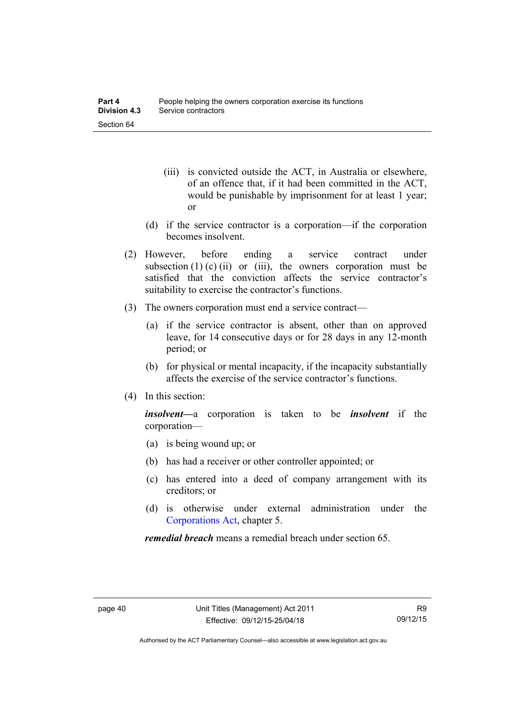- (iii) is convicted outside the ACT, in Australia or elsewhere, of an offence that, if it had been committed in the ACT, would be punishable by imprisonment for at least 1 year; or
- (d) if the service contractor is a corporation—if the corporation becomes insolvent.
- (2) However, before ending a service contract under subsection  $(1)$  (c)  $(ii)$  or  $(iii)$ , the owners corporation must be satisfied that the conviction affects the service contractor's suitability to exercise the contractor's functions.
- (3) The owners corporation must end a service contract—
	- (a) if the service contractor is absent, other than on approved leave, for 14 consecutive days or for 28 days in any 12-month period; or
	- (b) for physical or mental incapacity, if the incapacity substantially affects the exercise of the service contractor's functions.
- (4) In this section:

*insolvent—*a corporation is taken to be *insolvent* if the corporation—

- (a) is being wound up; or
- (b) has had a receiver or other controller appointed; or
- (c) has entered into a deed of company arrangement with its creditors; or
- (d) is otherwise under external administration under the [Corporations Act,](http://www.comlaw.gov.au/Series/C2004A00818) chapter 5.

*remedial breach* means a remedial breach under section 65.

Authorised by the ACT Parliamentary Counsel—also accessible at www.legislation.act.gov.au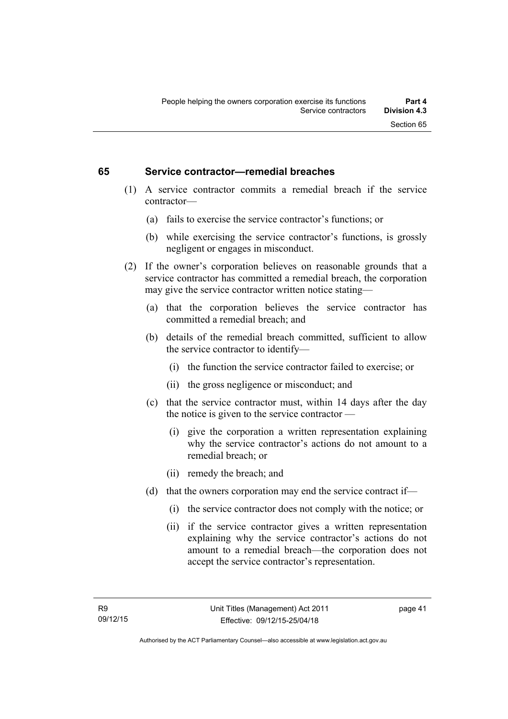#### **65 Service contractor—remedial breaches**

- (1) A service contractor commits a remedial breach if the service contractor—
	- (a) fails to exercise the service contractor's functions; or
	- (b) while exercising the service contractor's functions, is grossly negligent or engages in misconduct.
- (2) If the owner's corporation believes on reasonable grounds that a service contractor has committed a remedial breach, the corporation may give the service contractor written notice stating—
	- (a) that the corporation believes the service contractor has committed a remedial breach; and
	- (b) details of the remedial breach committed, sufficient to allow the service contractor to identify—
		- (i) the function the service contractor failed to exercise; or
		- (ii) the gross negligence or misconduct; and
	- (c) that the service contractor must, within 14 days after the day the notice is given to the service contractor —
		- (i) give the corporation a written representation explaining why the service contractor's actions do not amount to a remedial breach; or
		- (ii) remedy the breach; and
	- (d) that the owners corporation may end the service contract if—
		- (i) the service contractor does not comply with the notice; or
		- (ii) if the service contractor gives a written representation explaining why the service contractor's actions do not amount to a remedial breach—the corporation does not accept the service contractor's representation.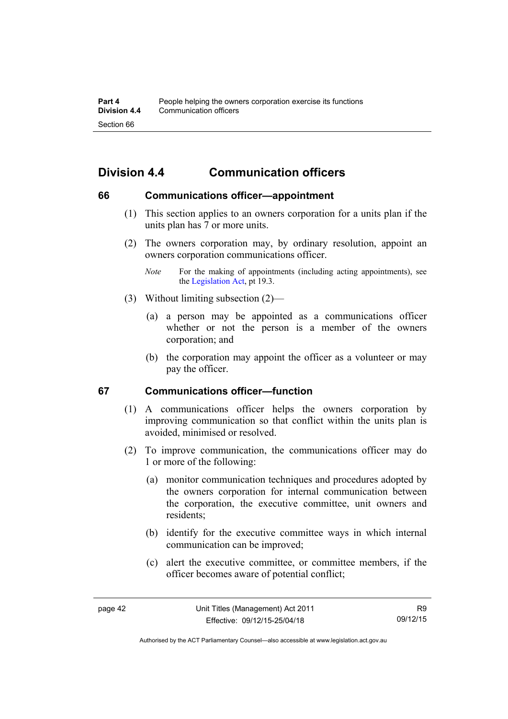# **Division 4.4 Communication officers**

#### **66 Communications officer—appointment**

- (1) This section applies to an owners corporation for a units plan if the units plan has 7 or more units.
- (2) The owners corporation may, by ordinary resolution, appoint an owners corporation communications officer.
	- *Note* For the making of appointments (including acting appointments), see the [Legislation Act,](http://www.legislation.act.gov.au/a/2001-14) pt 19.3.
- (3) Without limiting subsection (2)—
	- (a) a person may be appointed as a communications officer whether or not the person is a member of the owners corporation; and
	- (b) the corporation may appoint the officer as a volunteer or may pay the officer.

### **67 Communications officer—function**

- (1) A communications officer helps the owners corporation by improving communication so that conflict within the units plan is avoided, minimised or resolved.
- (2) To improve communication, the communications officer may do 1 or more of the following:
	- (a) monitor communication techniques and procedures adopted by the owners corporation for internal communication between the corporation, the executive committee, unit owners and residents;
	- (b) identify for the executive committee ways in which internal communication can be improved;
	- (c) alert the executive committee, or committee members, if the officer becomes aware of potential conflict;

Authorised by the ACT Parliamentary Counsel—also accessible at www.legislation.act.gov.au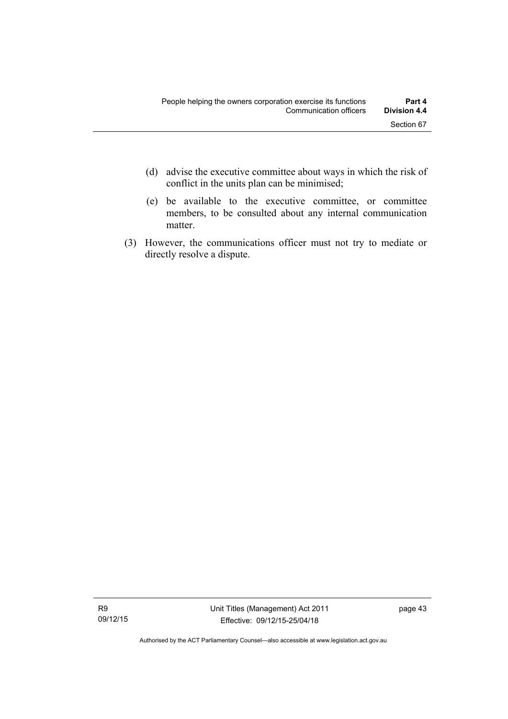- (d) advise the executive committee about ways in which the risk of conflict in the units plan can be minimised;
- (e) be available to the executive committee, or committee members, to be consulted about any internal communication matter.
- (3) However, the communications officer must not try to mediate or directly resolve a dispute.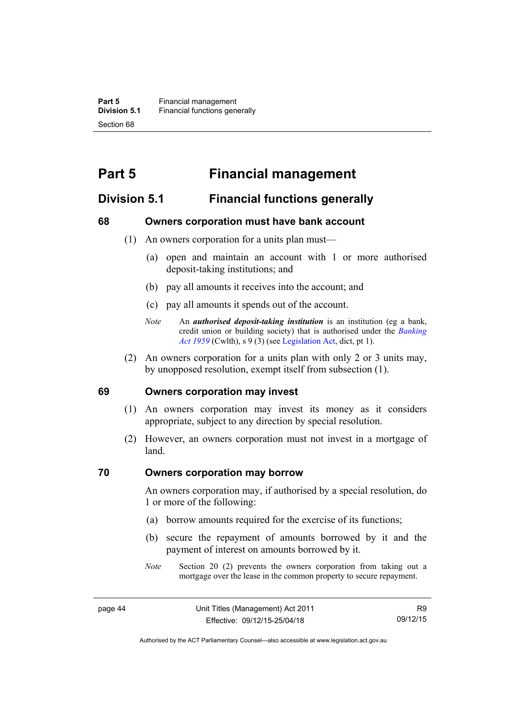# **Part 5 Financial management**

## **Division 5.1 Financial functions generally**

#### **68 Owners corporation must have bank account**

- (1) An owners corporation for a units plan must—
	- (a) open and maintain an account with 1 or more authorised deposit-taking institutions; and
	- (b) pay all amounts it receives into the account; and
	- (c) pay all amounts it spends out of the account.
	- *Note* An *authorised deposit-taking institution* is an institution (eg a bank, credit union or building society) that is authorised under the *[Banking](http://www.comlaw.gov.au/Details/C2012C00911)  [Act 1959](http://www.comlaw.gov.au/Details/C2012C00911)* (Cwlth), s 9 (3) (see [Legislation Act,](http://www.legislation.act.gov.au/a/2001-14) dict, pt 1).
- (2) An owners corporation for a units plan with only 2 or 3 units may, by unopposed resolution, exempt itself from subsection (1).

#### **69 Owners corporation may invest**

- (1) An owners corporation may invest its money as it considers appropriate, subject to any direction by special resolution.
- (2) However, an owners corporation must not invest in a mortgage of land.

#### **70 Owners corporation may borrow**

An owners corporation may, if authorised by a special resolution, do 1 or more of the following:

- (a) borrow amounts required for the exercise of its functions;
- (b) secure the repayment of amounts borrowed by it and the payment of interest on amounts borrowed by it.
- *Note* Section 20 (2) prevents the owners corporation from taking out a mortgage over the lease in the common property to secure repayment.

Authorised by the ACT Parliamentary Counsel—also accessible at www.legislation.act.gov.au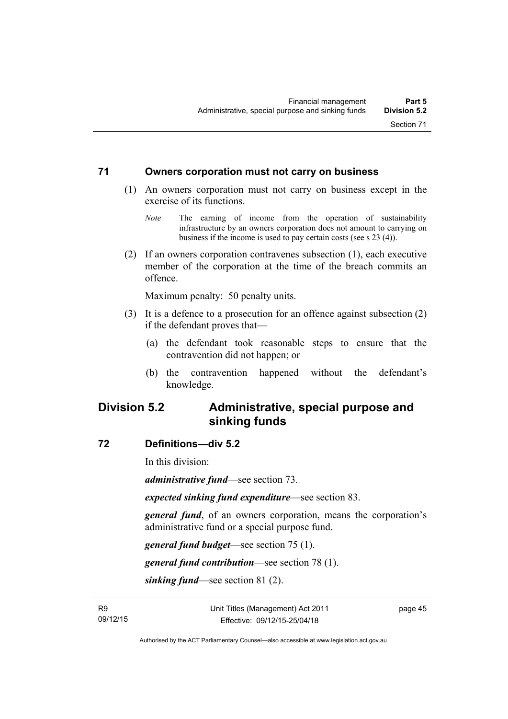#### **71 Owners corporation must not carry on business**

- (1) An owners corporation must not carry on business except in the exercise of its functions.
	- *Note* The earning of income from the operation of sustainability infrastructure by an owners corporation does not amount to carrying on business if the income is used to pay certain costs (see s 23 (4)).
- (2) If an owners corporation contravenes subsection (1), each executive member of the corporation at the time of the breach commits an offence.

Maximum penalty: 50 penalty units.

- (3) It is a defence to a prosecution for an offence against subsection (2) if the defendant proves that—
	- (a) the defendant took reasonable steps to ensure that the contravention did not happen; or
	- (b) the contravention happened without the defendant's knowledge.

## **Division 5.2 Administrative, special purpose and sinking funds**

#### **72 Definitions—div 5.2**

In this division:

*administrative fund*—see section 73.

*expected sinking fund expenditure*—see section 83.

*general fund*, of an owners corporation, means the corporation's administrative fund or a special purpose fund.

*general fund budget*—see section 75 (1).

*general fund contribution*—see section 78 (1).

*sinking fund*—see section 81 (2).

page 45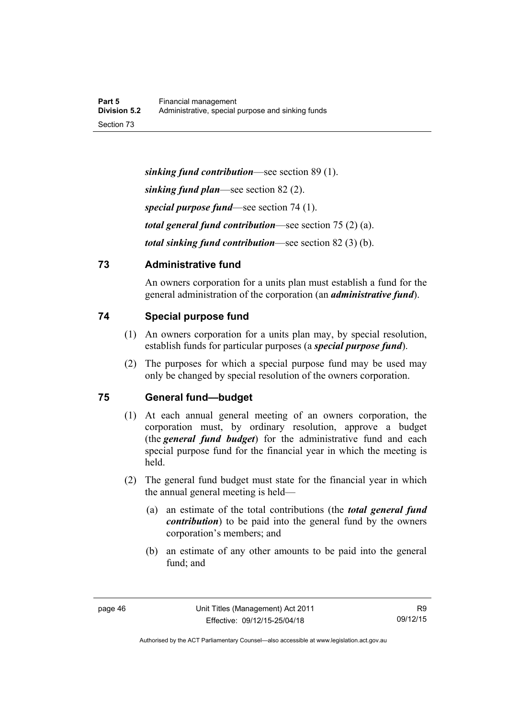*sinking fund contribution*—see section 89 (1). *sinking fund plan*—see section 82 (2). *special purpose fund*—see section 74 (1). *total general fund contribution*—see section 75 (2) (a). *total sinking fund contribution*—see section 82 (3) (b).

## **73 Administrative fund**

An owners corporation for a units plan must establish a fund for the general administration of the corporation (an *administrative fund*).

## **74 Special purpose fund**

- (1) An owners corporation for a units plan may, by special resolution, establish funds for particular purposes (a *special purpose fund*).
- (2) The purposes for which a special purpose fund may be used may only be changed by special resolution of the owners corporation.

## **75 General fund—budget**

- (1) At each annual general meeting of an owners corporation, the corporation must, by ordinary resolution, approve a budget (the *general fund budget*) for the administrative fund and each special purpose fund for the financial year in which the meeting is held.
- (2) The general fund budget must state for the financial year in which the annual general meeting is held—
	- (a) an estimate of the total contributions (the *total general fund contribution*) to be paid into the general fund by the owners corporation's members; and
	- (b) an estimate of any other amounts to be paid into the general fund; and

Authorised by the ACT Parliamentary Counsel—also accessible at www.legislation.act.gov.au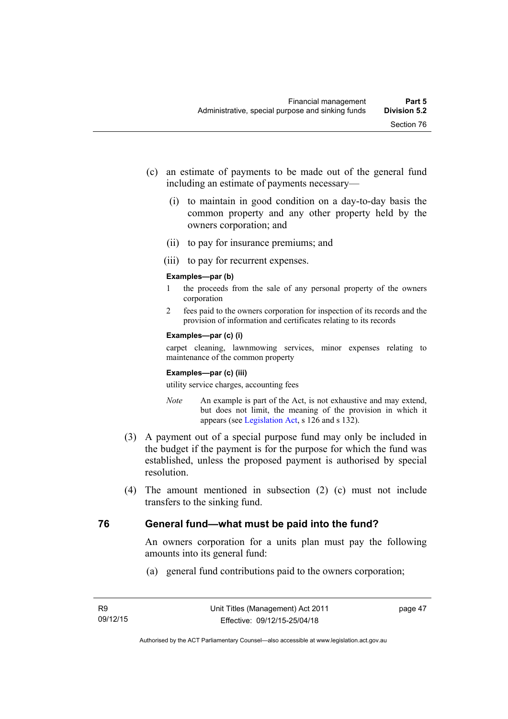- (c) an estimate of payments to be made out of the general fund including an estimate of payments necessary—
	- (i) to maintain in good condition on a day-to-day basis the common property and any other property held by the owners corporation; and
	- (ii) to pay for insurance premiums; and
	- (iii) to pay for recurrent expenses.

#### **Examples—par (b)**

- 1 the proceeds from the sale of any personal property of the owners corporation
- 2 fees paid to the owners corporation for inspection of its records and the provision of information and certificates relating to its records

#### **Examples—par (c) (i)**

carpet cleaning, lawnmowing services, minor expenses relating to maintenance of the common property

#### **Examples—par (c) (iii)**

utility service charges, accounting fees

- *Note* An example is part of the Act, is not exhaustive and may extend, but does not limit, the meaning of the provision in which it appears (see [Legislation Act,](http://www.legislation.act.gov.au/a/2001-14) s 126 and s 132).
- (3) A payment out of a special purpose fund may only be included in the budget if the payment is for the purpose for which the fund was established, unless the proposed payment is authorised by special resolution.
- (4) The amount mentioned in subsection (2) (c) must not include transfers to the sinking fund.

### **76 General fund—what must be paid into the fund?**

An owners corporation for a units plan must pay the following amounts into its general fund:

(a) general fund contributions paid to the owners corporation;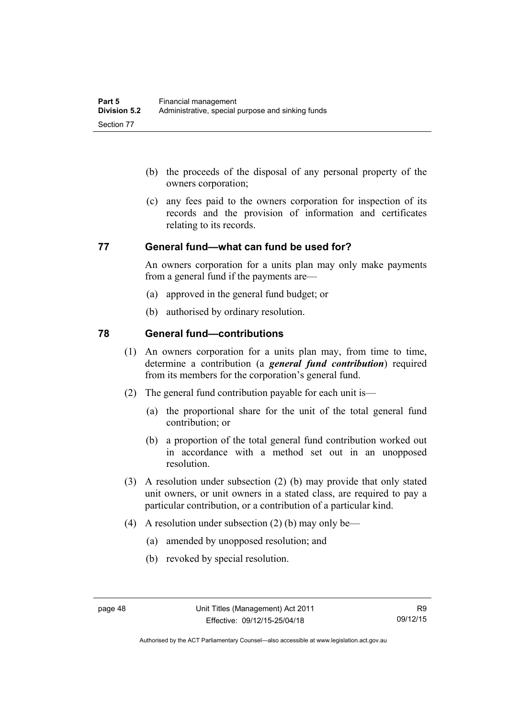- (b) the proceeds of the disposal of any personal property of the owners corporation;
- (c) any fees paid to the owners corporation for inspection of its records and the provision of information and certificates relating to its records.

#### **77 General fund—what can fund be used for?**

An owners corporation for a units plan may only make payments from a general fund if the payments are—

- (a) approved in the general fund budget; or
- (b) authorised by ordinary resolution.

#### **78 General fund—contributions**

- (1) An owners corporation for a units plan may, from time to time, determine a contribution (a *general fund contribution*) required from its members for the corporation's general fund.
- (2) The general fund contribution payable for each unit is—
	- (a) the proportional share for the unit of the total general fund contribution; or
	- (b) a proportion of the total general fund contribution worked out in accordance with a method set out in an unopposed resolution.
- (3) A resolution under subsection (2) (b) may provide that only stated unit owners, or unit owners in a stated class, are required to pay a particular contribution, or a contribution of a particular kind.
- (4) A resolution under subsection (2) (b) may only be—
	- (a) amended by unopposed resolution; and
	- (b) revoked by special resolution.

Authorised by the ACT Parliamentary Counsel—also accessible at www.legislation.act.gov.au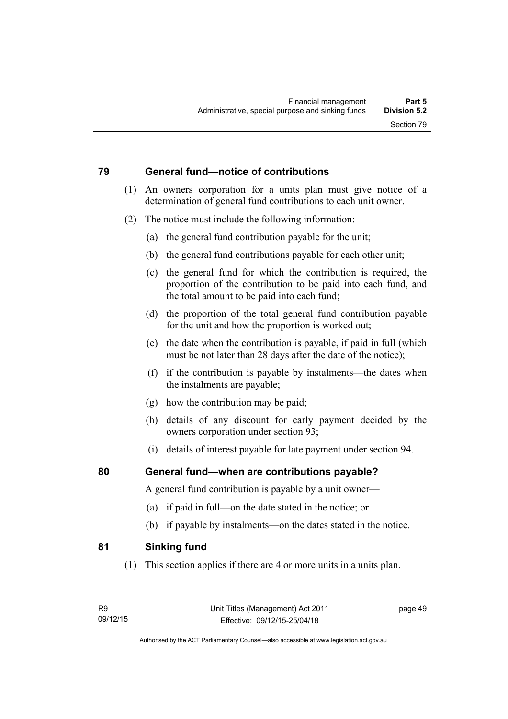#### **79 General fund—notice of contributions**

- (1) An owners corporation for a units plan must give notice of a determination of general fund contributions to each unit owner.
- (2) The notice must include the following information:
	- (a) the general fund contribution payable for the unit;
	- (b) the general fund contributions payable for each other unit;
	- (c) the general fund for which the contribution is required, the proportion of the contribution to be paid into each fund, and the total amount to be paid into each fund;
	- (d) the proportion of the total general fund contribution payable for the unit and how the proportion is worked out;
	- (e) the date when the contribution is payable, if paid in full (which must be not later than 28 days after the date of the notice);
	- (f) if the contribution is payable by instalments—the dates when the instalments are payable;
	- (g) how the contribution may be paid;
	- (h) details of any discount for early payment decided by the owners corporation under section 93;
	- (i) details of interest payable for late payment under section 94.

### **80 General fund—when are contributions payable?**

A general fund contribution is payable by a unit owner—

- (a) if paid in full—on the date stated in the notice; or
- (b) if payable by instalments—on the dates stated in the notice.

### **81 Sinking fund**

(1) This section applies if there are 4 or more units in a units plan.

page 49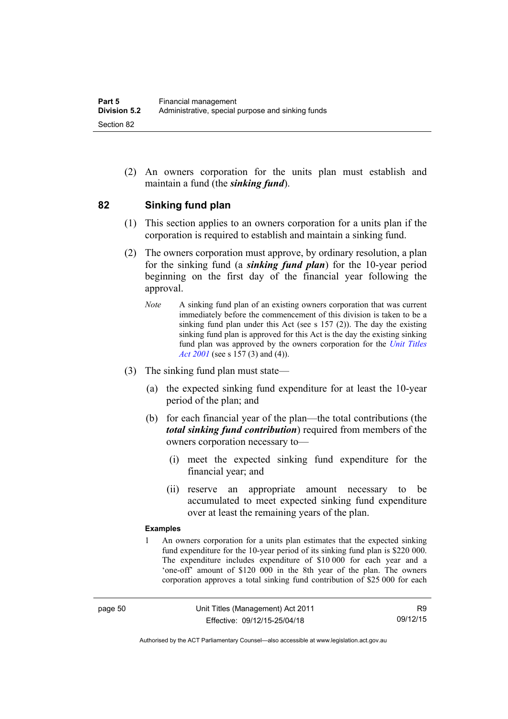(2) An owners corporation for the units plan must establish and maintain a fund (the *sinking fund*).

#### **82 Sinking fund plan**

- (1) This section applies to an owners corporation for a units plan if the corporation is required to establish and maintain a sinking fund.
- (2) The owners corporation must approve, by ordinary resolution, a plan for the sinking fund (a *sinking fund plan*) for the 10-year period beginning on the first day of the financial year following the approval.
	- *Note* A sinking fund plan of an existing owners corporation that was current immediately before the commencement of this division is taken to be a sinking fund plan under this Act (see s 157 (2)). The day the existing sinking fund plan is approved for this Act is the day the existing sinking fund plan was approved by the owners corporation for the *[Unit Titles](http://www.legislation.act.gov.au/a/2001-16)  [Act 2001](http://www.legislation.act.gov.au/a/2001-16)* (see s 157 (3) and (4)).
- (3) The sinking fund plan must state—
	- (a) the expected sinking fund expenditure for at least the 10-year period of the plan; and
	- (b) for each financial year of the plan—the total contributions (the *total sinking fund contribution*) required from members of the owners corporation necessary to—
		- (i) meet the expected sinking fund expenditure for the financial year; and
		- (ii) reserve an appropriate amount necessary to be accumulated to meet expected sinking fund expenditure over at least the remaining years of the plan.

#### **Examples**

1 An owners corporation for a units plan estimates that the expected sinking fund expenditure for the 10-year period of its sinking fund plan is \$220 000. The expenditure includes expenditure of \$10 000 for each year and a 'one-off' amount of \$120 000 in the 8th year of the plan. The owners corporation approves a total sinking fund contribution of \$25 000 for each

Authorised by the ACT Parliamentary Counsel—also accessible at www.legislation.act.gov.au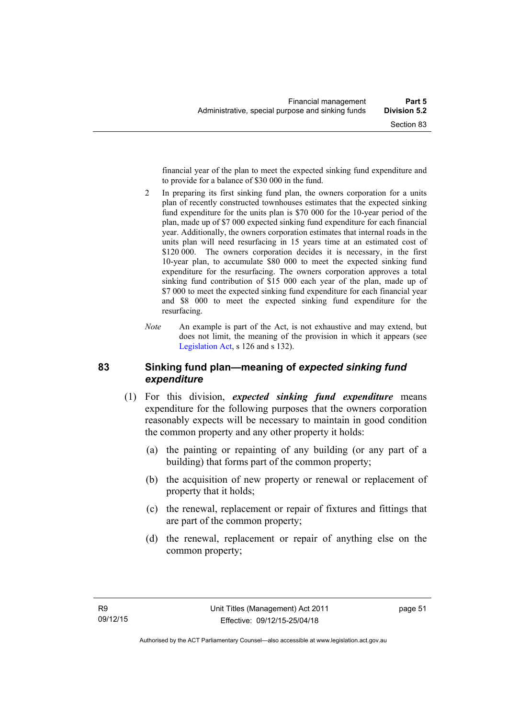financial year of the plan to meet the expected sinking fund expenditure and to provide for a balance of \$30 000 in the fund.

- 2 In preparing its first sinking fund plan, the owners corporation for a units plan of recently constructed townhouses estimates that the expected sinking fund expenditure for the units plan is \$70 000 for the 10-year period of the plan, made up of \$7 000 expected sinking fund expenditure for each financial year. Additionally, the owners corporation estimates that internal roads in the units plan will need resurfacing in 15 years time at an estimated cost of \$120,000. The owners corporation decides it is necessary, in the first 10-year plan, to accumulate \$80 000 to meet the expected sinking fund expenditure for the resurfacing. The owners corporation approves a total sinking fund contribution of \$15 000 each year of the plan, made up of \$7 000 to meet the expected sinking fund expenditure for each financial year and \$8 000 to meet the expected sinking fund expenditure for the resurfacing.
- *Note* An example is part of the Act, is not exhaustive and may extend, but does not limit, the meaning of the provision in which it appears (see [Legislation Act,](http://www.legislation.act.gov.au/a/2001-14) s 126 and s 132).

#### **83 Sinking fund plan—meaning of** *expected sinking fund expenditure*

- (1) For this division, *expected sinking fund expenditure* means expenditure for the following purposes that the owners corporation reasonably expects will be necessary to maintain in good condition the common property and any other property it holds:
	- (a) the painting or repainting of any building (or any part of a building) that forms part of the common property;
	- (b) the acquisition of new property or renewal or replacement of property that it holds;
	- (c) the renewal, replacement or repair of fixtures and fittings that are part of the common property;
	- (d) the renewal, replacement or repair of anything else on the common property;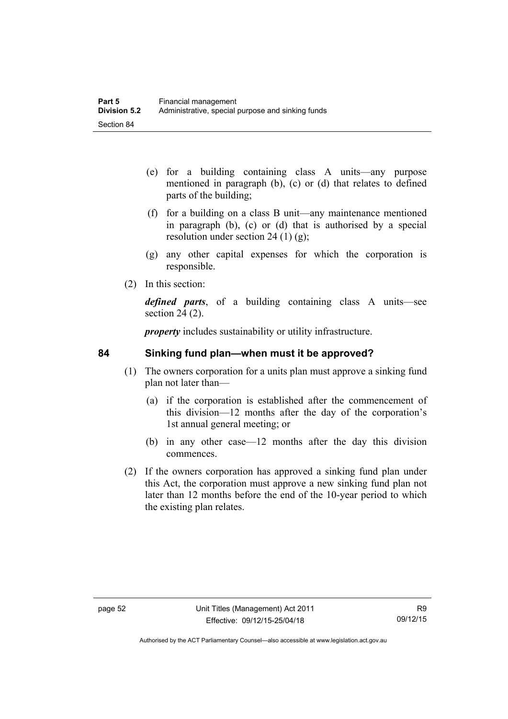- (e) for a building containing class A units—any purpose mentioned in paragraph (b), (c) or (d) that relates to defined parts of the building;
- (f) for a building on a class B unit—any maintenance mentioned in paragraph (b), (c) or (d) that is authorised by a special resolution under section 24 (1) (g);
- (g) any other capital expenses for which the corporation is responsible.
- (2) In this section:

*defined parts*, of a building containing class A units—see section 24 (2).

*property* includes sustainability or utility infrastructure.

### **84 Sinking fund plan—when must it be approved?**

- (1) The owners corporation for a units plan must approve a sinking fund plan not later than—
	- (a) if the corporation is established after the commencement of this division—12 months after the day of the corporation's 1st annual general meeting; or
	- (b) in any other case—12 months after the day this division commences.
- (2) If the owners corporation has approved a sinking fund plan under this Act, the corporation must approve a new sinking fund plan not later than 12 months before the end of the 10-year period to which the existing plan relates.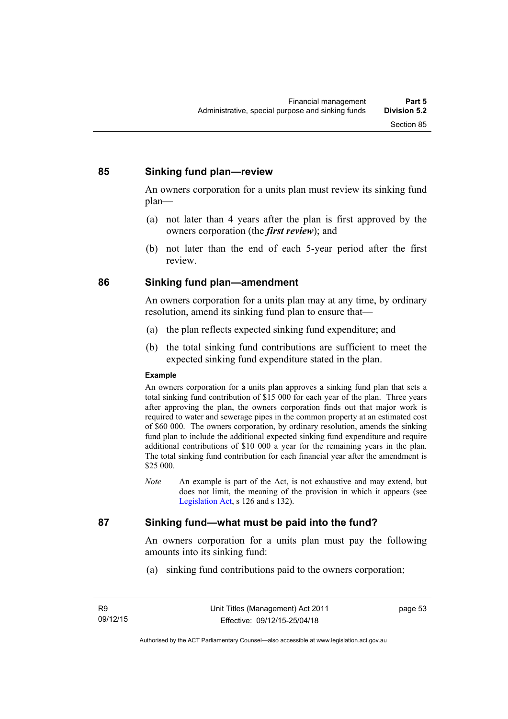#### **85 Sinking fund plan—review**

An owners corporation for a units plan must review its sinking fund plan—

- (a) not later than 4 years after the plan is first approved by the owners corporation (the *first review*); and
- (b) not later than the end of each 5-year period after the first review.

#### **86 Sinking fund plan—amendment**

An owners corporation for a units plan may at any time, by ordinary resolution, amend its sinking fund plan to ensure that—

- (a) the plan reflects expected sinking fund expenditure; and
- (b) the total sinking fund contributions are sufficient to meet the expected sinking fund expenditure stated in the plan.

#### **Example**

An owners corporation for a units plan approves a sinking fund plan that sets a total sinking fund contribution of \$15 000 for each year of the plan. Three years after approving the plan, the owners corporation finds out that major work is required to water and sewerage pipes in the common property at an estimated cost of \$60 000. The owners corporation, by ordinary resolution, amends the sinking fund plan to include the additional expected sinking fund expenditure and require additional contributions of \$10 000 a year for the remaining years in the plan. The total sinking fund contribution for each financial year after the amendment is \$25 000.

*Note* An example is part of the Act, is not exhaustive and may extend, but does not limit, the meaning of the provision in which it appears (see [Legislation Act,](http://www.legislation.act.gov.au/a/2001-14) s 126 and s 132).

### **87 Sinking fund—what must be paid into the fund?**

An owners corporation for a units plan must pay the following amounts into its sinking fund:

(a) sinking fund contributions paid to the owners corporation;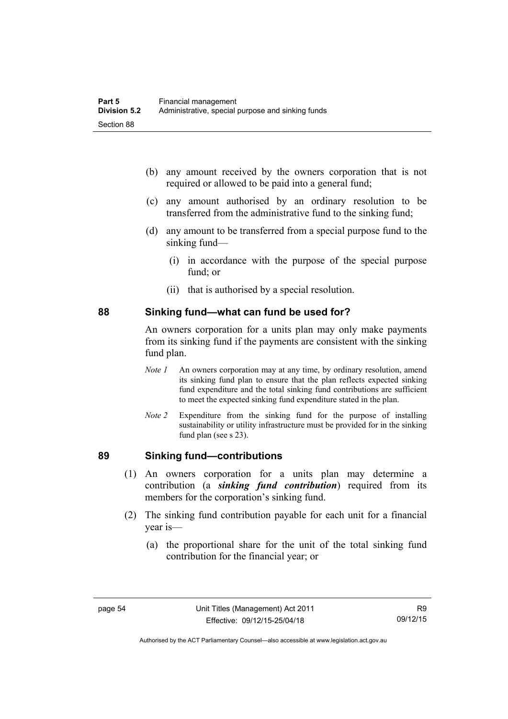- (b) any amount received by the owners corporation that is not required or allowed to be paid into a general fund;
- (c) any amount authorised by an ordinary resolution to be transferred from the administrative fund to the sinking fund;
- (d) any amount to be transferred from a special purpose fund to the sinking fund—
	- (i) in accordance with the purpose of the special purpose fund; or
	- (ii) that is authorised by a special resolution.

#### **88 Sinking fund—what can fund be used for?**

An owners corporation for a units plan may only make payments from its sinking fund if the payments are consistent with the sinking fund plan.

- *Note 1* An owners corporation may at any time, by ordinary resolution, amend its sinking fund plan to ensure that the plan reflects expected sinking fund expenditure and the total sinking fund contributions are sufficient to meet the expected sinking fund expenditure stated in the plan.
- *Note 2* Expenditure from the sinking fund for the purpose of installing sustainability or utility infrastructure must be provided for in the sinking fund plan (see s 23).

### **89 Sinking fund—contributions**

- (1) An owners corporation for a units plan may determine a contribution (a *sinking fund contribution*) required from its members for the corporation's sinking fund.
- (2) The sinking fund contribution payable for each unit for a financial year is—
	- (a) the proportional share for the unit of the total sinking fund contribution for the financial year; or

Authorised by the ACT Parliamentary Counsel—also accessible at www.legislation.act.gov.au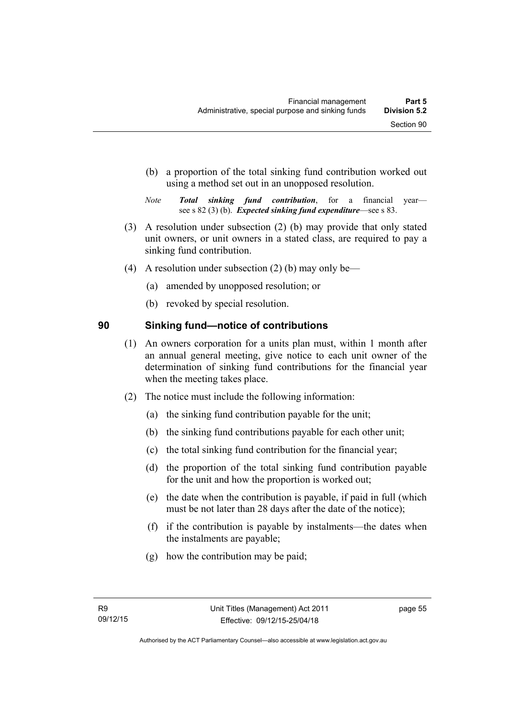- (b) a proportion of the total sinking fund contribution worked out using a method set out in an unopposed resolution.
- *Note Total sinking fund contribution*, for a financial year see s 82 (3) (b). *Expected sinking fund expenditure*—see s 83.
- (3) A resolution under subsection (2) (b) may provide that only stated unit owners, or unit owners in a stated class, are required to pay a sinking fund contribution.
- (4) A resolution under subsection (2) (b) may only be—
	- (a) amended by unopposed resolution; or
	- (b) revoked by special resolution.

## **90 Sinking fund—notice of contributions**

- (1) An owners corporation for a units plan must, within 1 month after an annual general meeting, give notice to each unit owner of the determination of sinking fund contributions for the financial year when the meeting takes place.
- (2) The notice must include the following information:
	- (a) the sinking fund contribution payable for the unit;
	- (b) the sinking fund contributions payable for each other unit;
	- (c) the total sinking fund contribution for the financial year;
	- (d) the proportion of the total sinking fund contribution payable for the unit and how the proportion is worked out;
	- (e) the date when the contribution is payable, if paid in full (which must be not later than 28 days after the date of the notice);
	- (f) if the contribution is payable by instalments—the dates when the instalments are payable;
	- (g) how the contribution may be paid;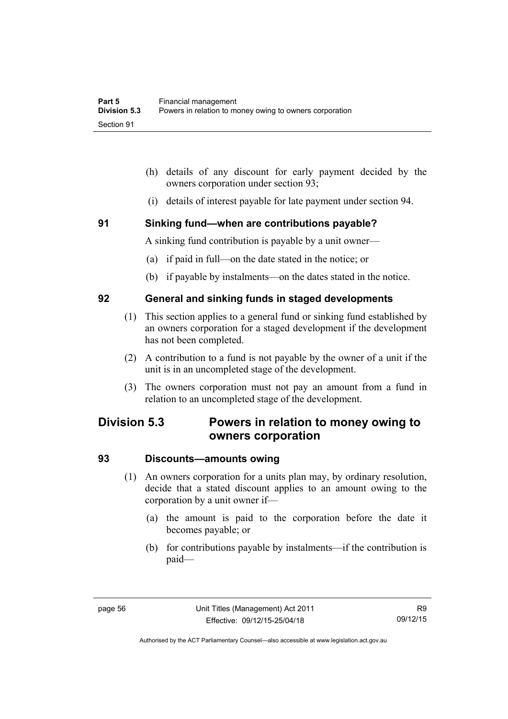- (h) details of any discount for early payment decided by the owners corporation under section 93;
- (i) details of interest payable for late payment under section 94.

### **91 Sinking fund—when are contributions payable?**

A sinking fund contribution is payable by a unit owner—

- (a) if paid in full—on the date stated in the notice; or
- (b) if payable by instalments—on the dates stated in the notice.

#### **92 General and sinking funds in staged developments**

- (1) This section applies to a general fund or sinking fund established by an owners corporation for a staged development if the development has not been completed.
- (2) A contribution to a fund is not payable by the owner of a unit if the unit is in an uncompleted stage of the development.
- (3) The owners corporation must not pay an amount from a fund in relation to an uncompleted stage of the development.

# **Division 5.3 Powers in relation to money owing to owners corporation**

#### **93 Discounts—amounts owing**

- (1) An owners corporation for a units plan may, by ordinary resolution, decide that a stated discount applies to an amount owing to the corporation by a unit owner if—
	- (a) the amount is paid to the corporation before the date it becomes payable; or
	- (b) for contributions payable by instalments—if the contribution is paid—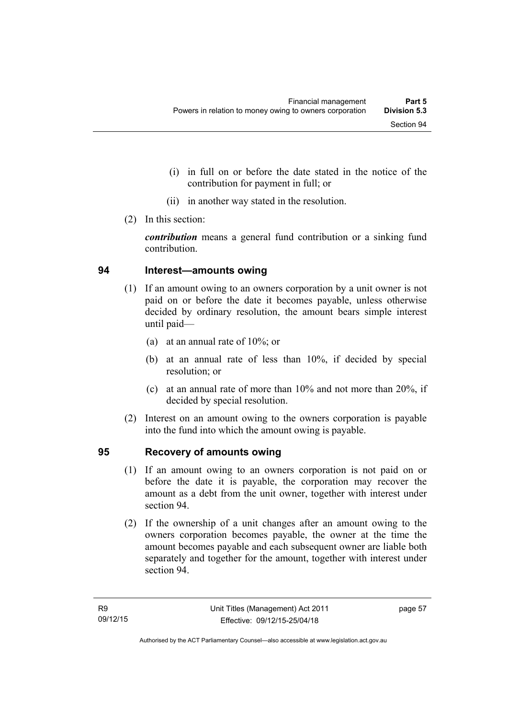- (i) in full on or before the date stated in the notice of the contribution for payment in full; or
- (ii) in another way stated in the resolution.
- (2) In this section:

*contribution* means a general fund contribution or a sinking fund contribution.

#### **94 Interest—amounts owing**

- (1) If an amount owing to an owners corporation by a unit owner is not paid on or before the date it becomes payable, unless otherwise decided by ordinary resolution, the amount bears simple interest until paid—
	- (a) at an annual rate of 10%; or
	- (b) at an annual rate of less than 10%, if decided by special resolution; or
	- (c) at an annual rate of more than 10% and not more than 20%, if decided by special resolution.
- (2) Interest on an amount owing to the owners corporation is payable into the fund into which the amount owing is payable.

## **95 Recovery of amounts owing**

- (1) If an amount owing to an owners corporation is not paid on or before the date it is payable, the corporation may recover the amount as a debt from the unit owner, together with interest under section 94.
- (2) If the ownership of a unit changes after an amount owing to the owners corporation becomes payable, the owner at the time the amount becomes payable and each subsequent owner are liable both separately and together for the amount, together with interest under section 94.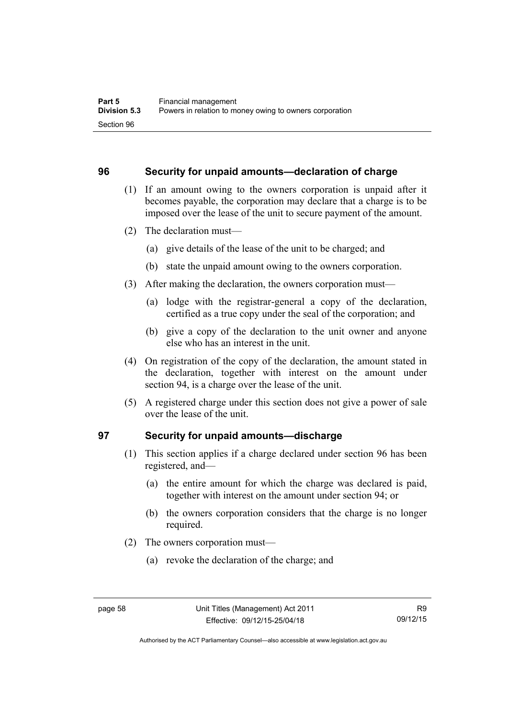#### **96 Security for unpaid amounts—declaration of charge**

- (1) If an amount owing to the owners corporation is unpaid after it becomes payable, the corporation may declare that a charge is to be imposed over the lease of the unit to secure payment of the amount.
- (2) The declaration must—
	- (a) give details of the lease of the unit to be charged; and
	- (b) state the unpaid amount owing to the owners corporation.
- (3) After making the declaration, the owners corporation must—
	- (a) lodge with the registrar-general a copy of the declaration, certified as a true copy under the seal of the corporation; and
	- (b) give a copy of the declaration to the unit owner and anyone else who has an interest in the unit.
- (4) On registration of the copy of the declaration, the amount stated in the declaration, together with interest on the amount under section 94, is a charge over the lease of the unit.
- (5) A registered charge under this section does not give a power of sale over the lease of the unit.

### **97 Security for unpaid amounts—discharge**

- (1) This section applies if a charge declared under section 96 has been registered, and—
	- (a) the entire amount for which the charge was declared is paid, together with interest on the amount under section 94; or
	- (b) the owners corporation considers that the charge is no longer required.
- (2) The owners corporation must—
	- (a) revoke the declaration of the charge; and

Authorised by the ACT Parliamentary Counsel—also accessible at www.legislation.act.gov.au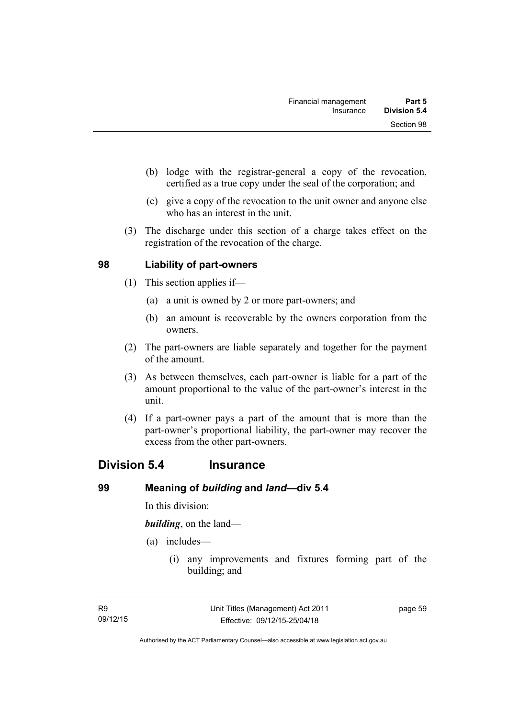- (b) lodge with the registrar-general a copy of the revocation, certified as a true copy under the seal of the corporation; and
- (c) give a copy of the revocation to the unit owner and anyone else who has an interest in the unit.
- (3) The discharge under this section of a charge takes effect on the registration of the revocation of the charge.

### **98 Liability of part-owners**

- (1) This section applies if—
	- (a) a unit is owned by 2 or more part-owners; and
	- (b) an amount is recoverable by the owners corporation from the owners.
- (2) The part-owners are liable separately and together for the payment of the amount.
- (3) As between themselves, each part-owner is liable for a part of the amount proportional to the value of the part-owner's interest in the unit.
- (4) If a part-owner pays a part of the amount that is more than the part-owner's proportional liability, the part-owner may recover the excess from the other part-owners.

## **Division 5.4 Insurance**

### **99 Meaning of** *building* **and** *land***—div 5.4**

In this division:

*building*, on the land—

- (a) includes—
	- (i) any improvements and fixtures forming part of the building; and

page 59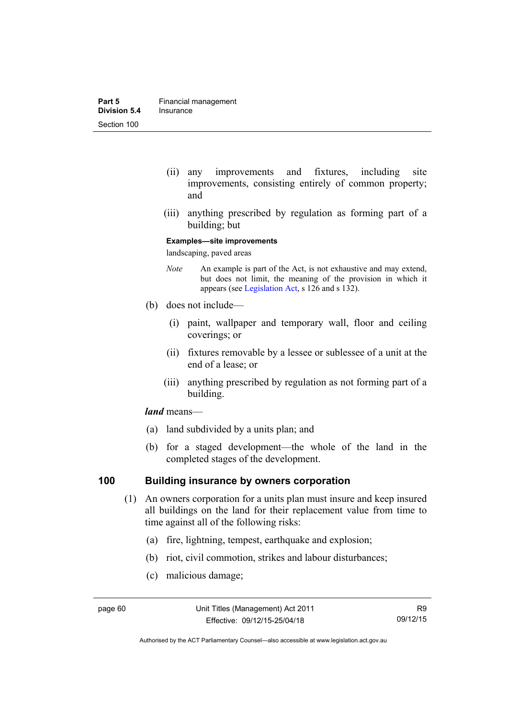- (ii) any improvements and fixtures, including site improvements, consisting entirely of common property; and
- (iii) anything prescribed by regulation as forming part of a building; but

#### **Examples—site improvements**

landscaping, paved areas

- *Note* An example is part of the Act, is not exhaustive and may extend, but does not limit, the meaning of the provision in which it appears (see [Legislation Act,](http://www.legislation.act.gov.au/a/2001-14) s 126 and s 132).
- (b) does not include—
	- (i) paint, wallpaper and temporary wall, floor and ceiling coverings; or
	- (ii) fixtures removable by a lessee or sublessee of a unit at the end of a lease; or
	- (iii) anything prescribed by regulation as not forming part of a building.

#### *land* means—

- (a) land subdivided by a units plan; and
- (b) for a staged development—the whole of the land in the completed stages of the development.

#### **100 Building insurance by owners corporation**

- (1) An owners corporation for a units plan must insure and keep insured all buildings on the land for their replacement value from time to time against all of the following risks:
	- (a) fire, lightning, tempest, earthquake and explosion;
	- (b) riot, civil commotion, strikes and labour disturbances;
	- (c) malicious damage;

Authorised by the ACT Parliamentary Counsel—also accessible at www.legislation.act.gov.au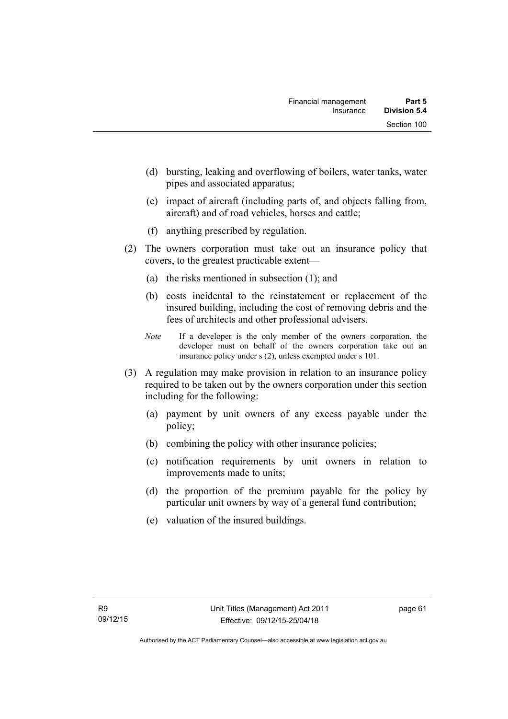- (d) bursting, leaking and overflowing of boilers, water tanks, water pipes and associated apparatus;
- (e) impact of aircraft (including parts of, and objects falling from, aircraft) and of road vehicles, horses and cattle;
- (f) anything prescribed by regulation.
- (2) The owners corporation must take out an insurance policy that covers, to the greatest practicable extent—
	- (a) the risks mentioned in subsection (1); and
	- (b) costs incidental to the reinstatement or replacement of the insured building, including the cost of removing debris and the fees of architects and other professional advisers.
	- *Note* If a developer is the only member of the owners corporation, the developer must on behalf of the owners corporation take out an insurance policy under s (2), unless exempted under s 101.
- (3) A regulation may make provision in relation to an insurance policy required to be taken out by the owners corporation under this section including for the following:
	- (a) payment by unit owners of any excess payable under the policy;
	- (b) combining the policy with other insurance policies;
	- (c) notification requirements by unit owners in relation to improvements made to units;
	- (d) the proportion of the premium payable for the policy by particular unit owners by way of a general fund contribution;
	- (e) valuation of the insured buildings.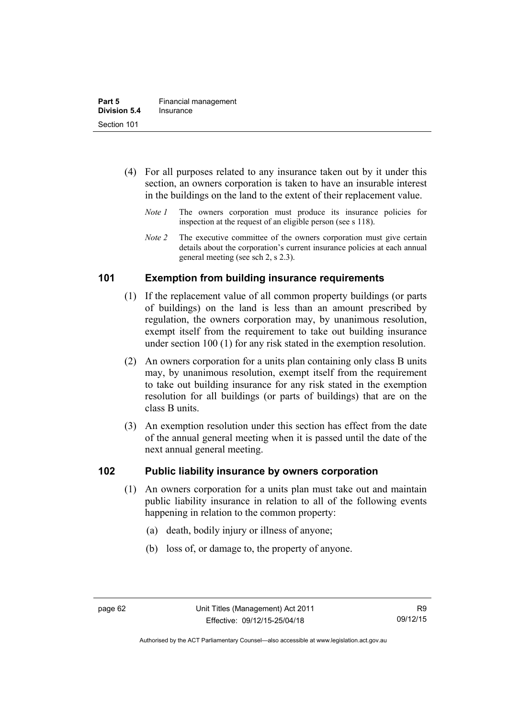- (4) For all purposes related to any insurance taken out by it under this section, an owners corporation is taken to have an insurable interest in the buildings on the land to the extent of their replacement value.
	- *Note 1* The owners corporation must produce its insurance policies for inspection at the request of an eligible person (see s 118).
	- *Note 2* The executive committee of the owners corporation must give certain details about the corporation's current insurance policies at each annual general meeting (see sch 2, s 2.3).

# **101 Exemption from building insurance requirements**

- (1) If the replacement value of all common property buildings (or parts of buildings) on the land is less than an amount prescribed by regulation, the owners corporation may, by unanimous resolution, exempt itself from the requirement to take out building insurance under section 100 (1) for any risk stated in the exemption resolution.
- (2) An owners corporation for a units plan containing only class B units may, by unanimous resolution, exempt itself from the requirement to take out building insurance for any risk stated in the exemption resolution for all buildings (or parts of buildings) that are on the class B units.
- (3) An exemption resolution under this section has effect from the date of the annual general meeting when it is passed until the date of the next annual general meeting.

# **102 Public liability insurance by owners corporation**

- (1) An owners corporation for a units plan must take out and maintain public liability insurance in relation to all of the following events happening in relation to the common property:
	- (a) death, bodily injury or illness of anyone;
	- (b) loss of, or damage to, the property of anyone.

Authorised by the ACT Parliamentary Counsel—also accessible at www.legislation.act.gov.au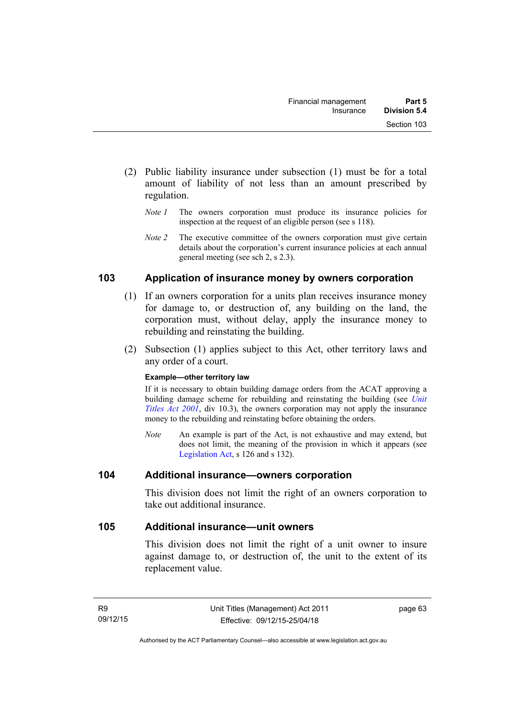- (2) Public liability insurance under subsection (1) must be for a total amount of liability of not less than an amount prescribed by regulation.
	- *Note 1* The owners corporation must produce its insurance policies for inspection at the request of an eligible person (see s 118).
	- *Note 2* The executive committee of the owners corporation must give certain details about the corporation's current insurance policies at each annual general meeting (see sch 2, s 2.3).

# **103 Application of insurance money by owners corporation**

- (1) If an owners corporation for a units plan receives insurance money for damage to, or destruction of, any building on the land, the corporation must, without delay, apply the insurance money to rebuilding and reinstating the building.
- (2) Subsection (1) applies subject to this Act, other territory laws and any order of a court.

### **Example—other territory law**

If it is necessary to obtain building damage orders from the ACAT approving a building damage scheme for rebuilding and reinstating the building (see *[Unit](http://www.legislation.act.gov.au/a/2001-16)  [Titles Act 2001](http://www.legislation.act.gov.au/a/2001-16)*, div 10.3), the owners corporation may not apply the insurance money to the rebuilding and reinstating before obtaining the orders.

*Note* An example is part of the Act, is not exhaustive and may extend, but does not limit, the meaning of the provision in which it appears (see [Legislation Act,](http://www.legislation.act.gov.au/a/2001-14) s 126 and s 132).

### **104 Additional insurance—owners corporation**

This division does not limit the right of an owners corporation to take out additional insurance.

### **105 Additional insurance—unit owners**

This division does not limit the right of a unit owner to insure against damage to, or destruction of, the unit to the extent of its replacement value.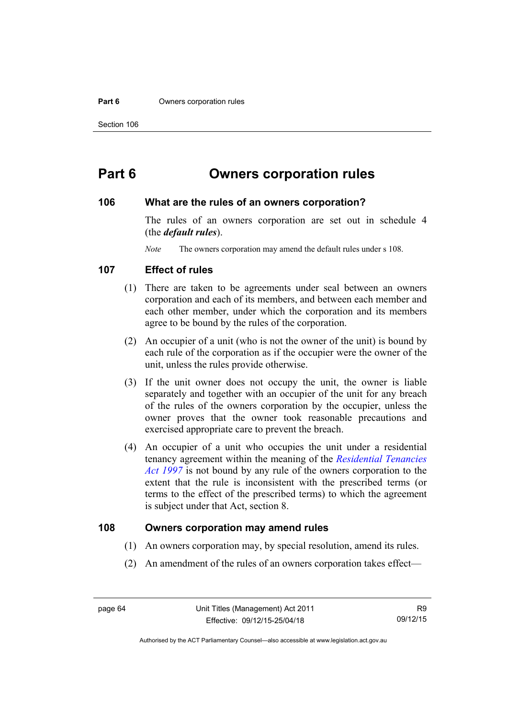#### **Part 6 Owners corporation rules**

# **Part 6 Owners corporation rules**

### **106 What are the rules of an owners corporation?**

The rules of an owners corporation are set out in schedule 4 (the *default rules*).

*Note* The owners corporation may amend the default rules under s 108.

### **107 Effect of rules**

- (1) There are taken to be agreements under seal between an owners corporation and each of its members, and between each member and each other member, under which the corporation and its members agree to be bound by the rules of the corporation.
- (2) An occupier of a unit (who is not the owner of the unit) is bound by each rule of the corporation as if the occupier were the owner of the unit, unless the rules provide otherwise.
- (3) If the unit owner does not occupy the unit, the owner is liable separately and together with an occupier of the unit for any breach of the rules of the owners corporation by the occupier, unless the owner proves that the owner took reasonable precautions and exercised appropriate care to prevent the breach.
- (4) An occupier of a unit who occupies the unit under a residential tenancy agreement within the meaning of the *[Residential Tenancies](http://www.legislation.act.gov.au/a/1997-84)  [Act 1997](http://www.legislation.act.gov.au/a/1997-84)* is not bound by any rule of the owners corporation to the extent that the rule is inconsistent with the prescribed terms (or terms to the effect of the prescribed terms) to which the agreement is subject under that Act, section 8.

### **108 Owners corporation may amend rules**

- (1) An owners corporation may, by special resolution, amend its rules.
- (2) An amendment of the rules of an owners corporation takes effect—

Authorised by the ACT Parliamentary Counsel—also accessible at www.legislation.act.gov.au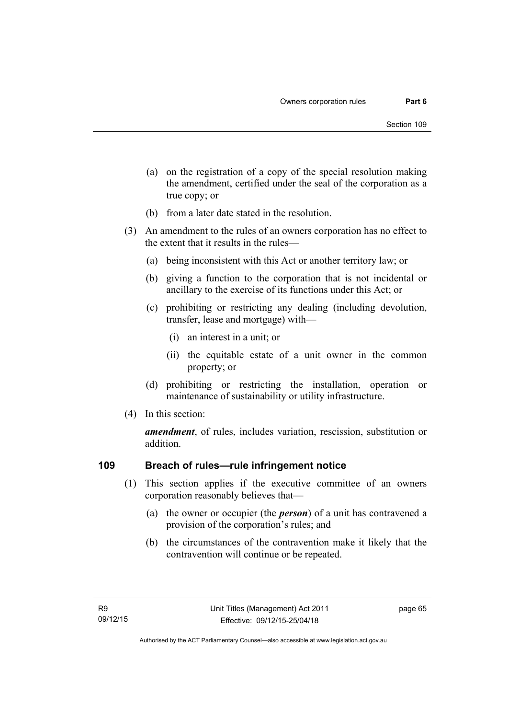- (a) on the registration of a copy of the special resolution making the amendment, certified under the seal of the corporation as a true copy; or
- (b) from a later date stated in the resolution.
- (3) An amendment to the rules of an owners corporation has no effect to the extent that it results in the rules—
	- (a) being inconsistent with this Act or another territory law; or
	- (b) giving a function to the corporation that is not incidental or ancillary to the exercise of its functions under this Act; or
	- (c) prohibiting or restricting any dealing (including devolution, transfer, lease and mortgage) with—
		- (i) an interest in a unit; or
		- (ii) the equitable estate of a unit owner in the common property; or
	- (d) prohibiting or restricting the installation, operation or maintenance of sustainability or utility infrastructure.
- (4) In this section:

*amendment*, of rules, includes variation, rescission, substitution or addition.

### **109 Breach of rules—rule infringement notice**

- (1) This section applies if the executive committee of an owners corporation reasonably believes that—
	- (a) the owner or occupier (the *person*) of a unit has contravened a provision of the corporation's rules; and
	- (b) the circumstances of the contravention make it likely that the contravention will continue or be repeated.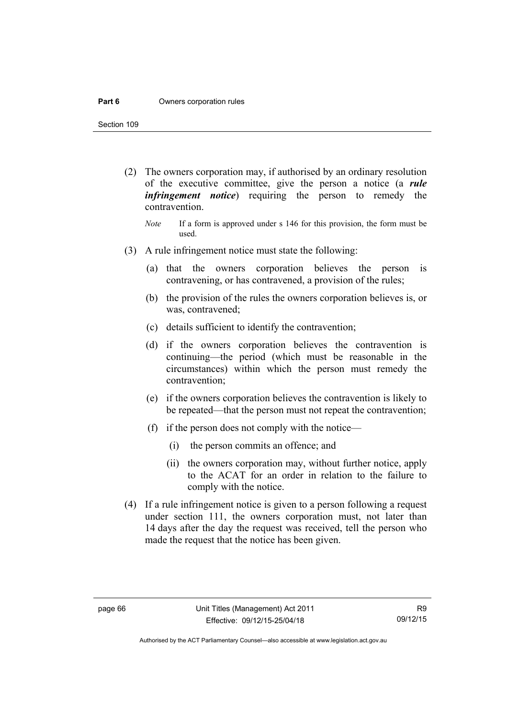#### **Part 6 Owners corporation rules**

Section 109

- (2) The owners corporation may, if authorised by an ordinary resolution of the executive committee, give the person a notice (a *rule infringement notice*) requiring the person to remedy the contravention.
	- *Note* If a form is approved under s 146 for this provision, the form must be used.
- (3) A rule infringement notice must state the following:
	- (a) that the owners corporation believes the person is contravening, or has contravened, a provision of the rules;
	- (b) the provision of the rules the owners corporation believes is, or was, contravened;
	- (c) details sufficient to identify the contravention;
	- (d) if the owners corporation believes the contravention is continuing—the period (which must be reasonable in the circumstances) within which the person must remedy the contravention;
	- (e) if the owners corporation believes the contravention is likely to be repeated—that the person must not repeat the contravention;
	- (f) if the person does not comply with the notice—
		- (i) the person commits an offence; and
		- (ii) the owners corporation may, without further notice, apply to the ACAT for an order in relation to the failure to comply with the notice.
- (4) If a rule infringement notice is given to a person following a request under section 111, the owners corporation must, not later than 14 days after the day the request was received, tell the person who made the request that the notice has been given.

Authorised by the ACT Parliamentary Counsel—also accessible at www.legislation.act.gov.au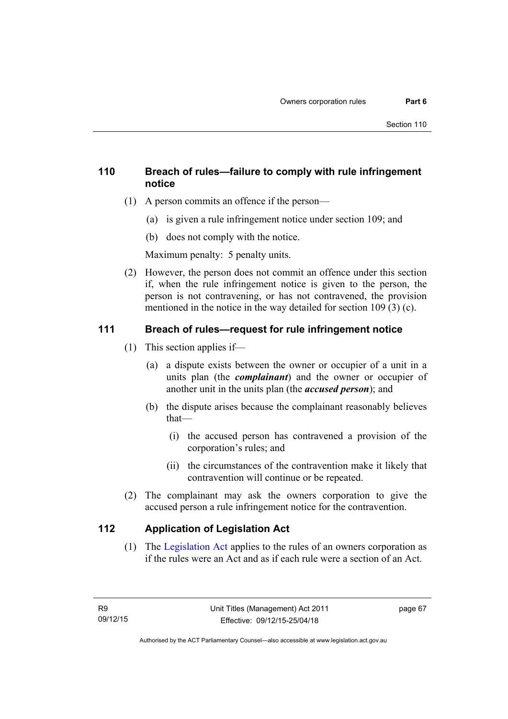# **110 Breach of rules—failure to comply with rule infringement notice**

- (1) A person commits an offence if the person—
	- (a) is given a rule infringement notice under section 109; and
	- (b) does not comply with the notice.

Maximum penalty: 5 penalty units.

 (2) However, the person does not commit an offence under this section if, when the rule infringement notice is given to the person, the person is not contravening, or has not contravened, the provision mentioned in the notice in the way detailed for section 109 (3) (c).

# **111 Breach of rules—request for rule infringement notice**

- (1) This section applies if—
	- (a) a dispute exists between the owner or occupier of a unit in a units plan (the *complainant*) and the owner or occupier of another unit in the units plan (the *accused person*); and
	- (b) the dispute arises because the complainant reasonably believes that—
		- (i) the accused person has contravened a provision of the corporation's rules; and
		- (ii) the circumstances of the contravention make it likely that contravention will continue or be repeated.
- (2) The complainant may ask the owners corporation to give the accused person a rule infringement notice for the contravention.

# **112 Application of Legislation Act**

 (1) The [Legislation Act](http://www.legislation.act.gov.au/a/2001-14) applies to the rules of an owners corporation as if the rules were an Act and as if each rule were a section of an Act.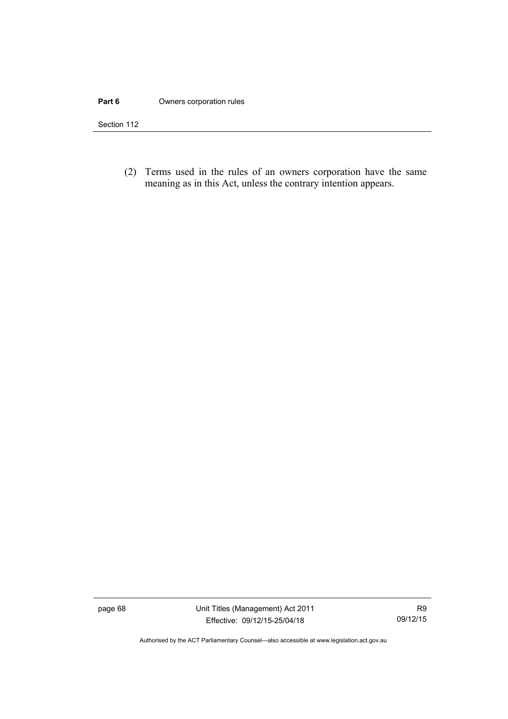### **Part 6 Owners corporation rules**

Section 112

 (2) Terms used in the rules of an owners corporation have the same meaning as in this Act, unless the contrary intention appears.

page 68 Unit Titles (Management) Act 2011 Effective: 09/12/15-25/04/18

Authorised by the ACT Parliamentary Counsel—also accessible at www.legislation.act.gov.au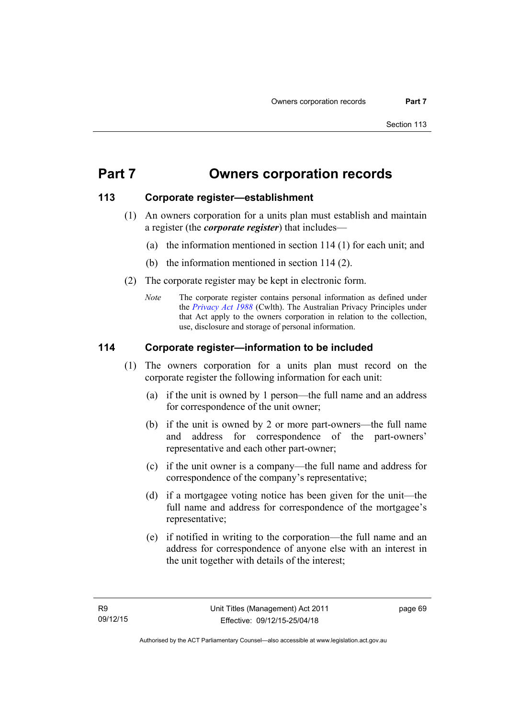# **Part 7 Owners corporation records**

# **113 Corporate register—establishment**

- (1) An owners corporation for a units plan must establish and maintain a register (the *corporate register*) that includes—
	- (a) the information mentioned in section 114 (1) for each unit; and
	- (b) the information mentioned in section 114 (2).
- (2) The corporate register may be kept in electronic form.
	- *Note* The corporate register contains personal information as defined under the *[Privacy Act 1988](http://www.comlaw.gov.au/Current/C2004A03712)* (Cwlth). The Australian Privacy Principles under that Act apply to the owners corporation in relation to the collection, use, disclosure and storage of personal information.

# **114 Corporate register—information to be included**

- (1) The owners corporation for a units plan must record on the corporate register the following information for each unit:
	- (a) if the unit is owned by 1 person—the full name and an address for correspondence of the unit owner;
	- (b) if the unit is owned by 2 or more part-owners—the full name and address for correspondence of the part-owners' representative and each other part-owner;
	- (c) if the unit owner is a company—the full name and address for correspondence of the company's representative;
	- (d) if a mortgagee voting notice has been given for the unit—the full name and address for correspondence of the mortgagee's representative;
	- (e) if notified in writing to the corporation—the full name and an address for correspondence of anyone else with an interest in the unit together with details of the interest;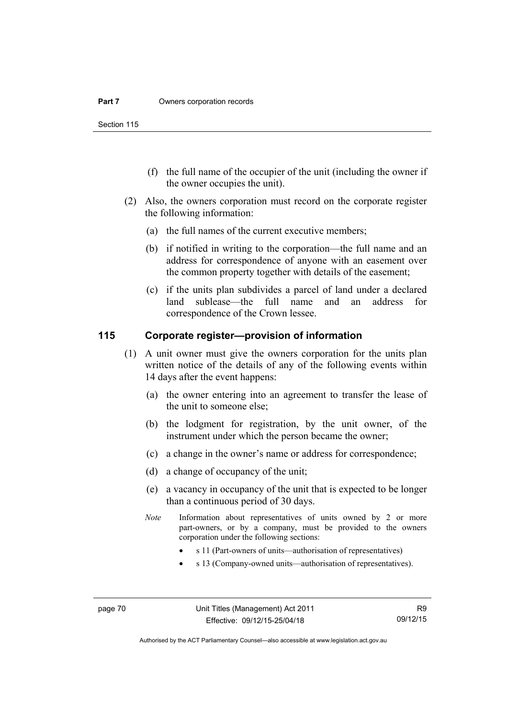Section 115

- (f) the full name of the occupier of the unit (including the owner if the owner occupies the unit).
- (2) Also, the owners corporation must record on the corporate register the following information:
	- (a) the full names of the current executive members;
	- (b) if notified in writing to the corporation—the full name and an address for correspondence of anyone with an easement over the common property together with details of the easement;
	- (c) if the units plan subdivides a parcel of land under a declared land sublease—the full name and an address for correspondence of the Crown lessee.

# **115 Corporate register—provision of information**

- (1) A unit owner must give the owners corporation for the units plan written notice of the details of any of the following events within 14 days after the event happens:
	- (a) the owner entering into an agreement to transfer the lease of the unit to someone else;
	- (b) the lodgment for registration, by the unit owner, of the instrument under which the person became the owner;
	- (c) a change in the owner's name or address for correspondence;
	- (d) a change of occupancy of the unit;
	- (e) a vacancy in occupancy of the unit that is expected to be longer than a continuous period of 30 days.
	- *Note* Information about representatives of units owned by 2 or more part-owners, or by a company, must be provided to the owners corporation under the following sections:
		- s 11 (Part-owners of units—authorisation of representatives)
		- s 13 (Company-owned units—authorisation of representatives).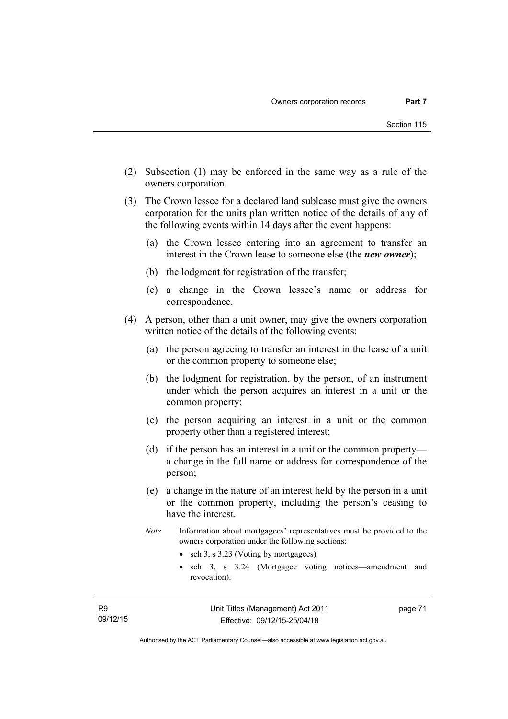- (2) Subsection (1) may be enforced in the same way as a rule of the owners corporation.
- (3) The Crown lessee for a declared land sublease must give the owners corporation for the units plan written notice of the details of any of the following events within 14 days after the event happens:
	- (a) the Crown lessee entering into an agreement to transfer an interest in the Crown lease to someone else (the *new owner*);
	- (b) the lodgment for registration of the transfer;
	- (c) a change in the Crown lessee's name or address for correspondence.
- (4) A person, other than a unit owner, may give the owners corporation written notice of the details of the following events:
	- (a) the person agreeing to transfer an interest in the lease of a unit or the common property to someone else;
	- (b) the lodgment for registration, by the person, of an instrument under which the person acquires an interest in a unit or the common property;
	- (c) the person acquiring an interest in a unit or the common property other than a registered interest;
	- (d) if the person has an interest in a unit or the common property a change in the full name or address for correspondence of the person;
	- (e) a change in the nature of an interest held by the person in a unit or the common property, including the person's ceasing to have the interest.
	- *Note* Information about mortgagees' representatives must be provided to the owners corporation under the following sections:
		- sch 3, s 3.23 (Voting by mortgagees)
		- sch 3, s 3.24 (Mortgagee voting notices—amendment and revocation).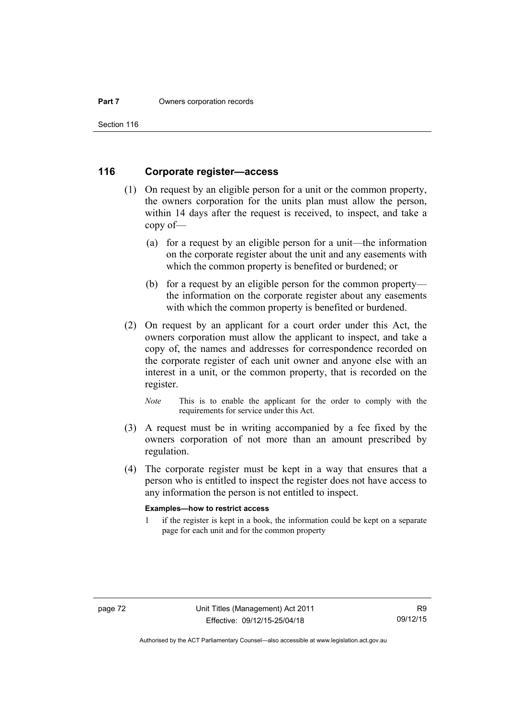Section 116

# **116 Corporate register—access**

- (1) On request by an eligible person for a unit or the common property, the owners corporation for the units plan must allow the person, within 14 days after the request is received, to inspect, and take a copy of—
	- (a) for a request by an eligible person for a unit—the information on the corporate register about the unit and any easements with which the common property is benefited or burdened; or
	- (b) for a request by an eligible person for the common property the information on the corporate register about any easements with which the common property is benefited or burdened.
- (2) On request by an applicant for a court order under this Act, the owners corporation must allow the applicant to inspect, and take a copy of, the names and addresses for correspondence recorded on the corporate register of each unit owner and anyone else with an interest in a unit, or the common property, that is recorded on the register.

*Note* This is to enable the applicant for the order to comply with the requirements for service under this Act.

- (3) A request must be in writing accompanied by a fee fixed by the owners corporation of not more than an amount prescribed by regulation.
- (4) The corporate register must be kept in a way that ensures that a person who is entitled to inspect the register does not have access to any information the person is not entitled to inspect.

#### **Examples—how to restrict access**

1 if the register is kept in a book, the information could be kept on a separate page for each unit and for the common property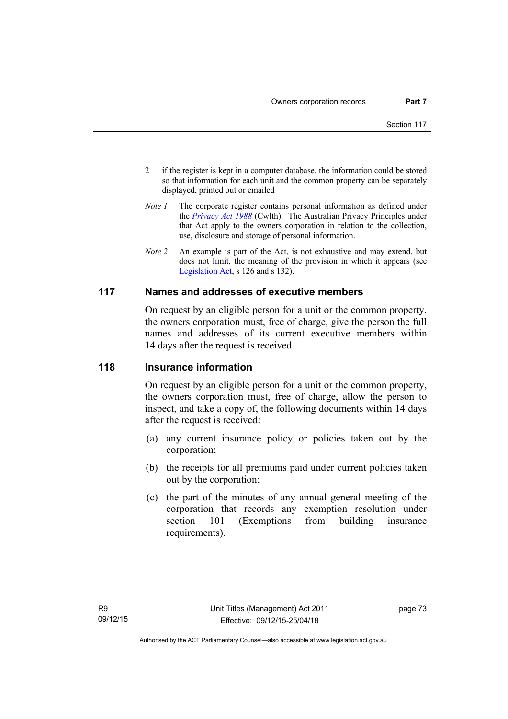- 2 if the register is kept in a computer database, the information could be stored so that information for each unit and the common property can be separately displayed, printed out or emailed
- *Note 1* The corporate register contains personal information as defined under the *[Privacy Act 1988](http://www.comlaw.gov.au/Current/C2004A03712)* (Cwlth). The Australian Privacy Principles under that Act apply to the owners corporation in relation to the collection, use, disclosure and storage of personal information.
- *Note 2* An example is part of the Act, is not exhaustive and may extend, but does not limit, the meaning of the provision in which it appears (see [Legislation Act,](http://www.legislation.act.gov.au/a/2001-14) s 126 and s 132).

# **117 Names and addresses of executive members**

On request by an eligible person for a unit or the common property, the owners corporation must, free of charge, give the person the full names and addresses of its current executive members within 14 days after the request is received.

### **118 Insurance information**

On request by an eligible person for a unit or the common property, the owners corporation must, free of charge, allow the person to inspect, and take a copy of, the following documents within 14 days after the request is received:

- (a) any current insurance policy or policies taken out by the corporation;
- (b) the receipts for all premiums paid under current policies taken out by the corporation;
- (c) the part of the minutes of any annual general meeting of the corporation that records any exemption resolution under section 101 (Exemptions from building insurance requirements).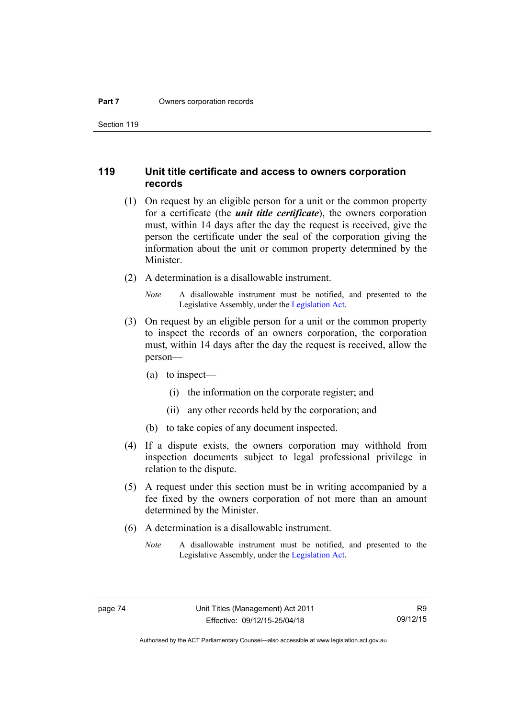Section 119

### **119 Unit title certificate and access to owners corporation records**

- (1) On request by an eligible person for a unit or the common property for a certificate (the *unit title certificate*), the owners corporation must, within 14 days after the day the request is received, give the person the certificate under the seal of the corporation giving the information about the unit or common property determined by the Minister.
- (2) A determination is a disallowable instrument.
	- *Note* A disallowable instrument must be notified, and presented to the Legislative Assembly, under the [Legislation Act.](http://www.legislation.act.gov.au/a/2001-14)
- (3) On request by an eligible person for a unit or the common property to inspect the records of an owners corporation, the corporation must, within 14 days after the day the request is received, allow the person—
	- (a) to inspect—
		- (i) the information on the corporate register; and
		- (ii) any other records held by the corporation; and
	- (b) to take copies of any document inspected.
- (4) If a dispute exists, the owners corporation may withhold from inspection documents subject to legal professional privilege in relation to the dispute.
- (5) A request under this section must be in writing accompanied by a fee fixed by the owners corporation of not more than an amount determined by the Minister.
- (6) A determination is a disallowable instrument.
	- *Note* A disallowable instrument must be notified, and presented to the Legislative Assembly, under the [Legislation Act.](http://www.legislation.act.gov.au/a/2001-14)

Authorised by the ACT Parliamentary Counsel—also accessible at www.legislation.act.gov.au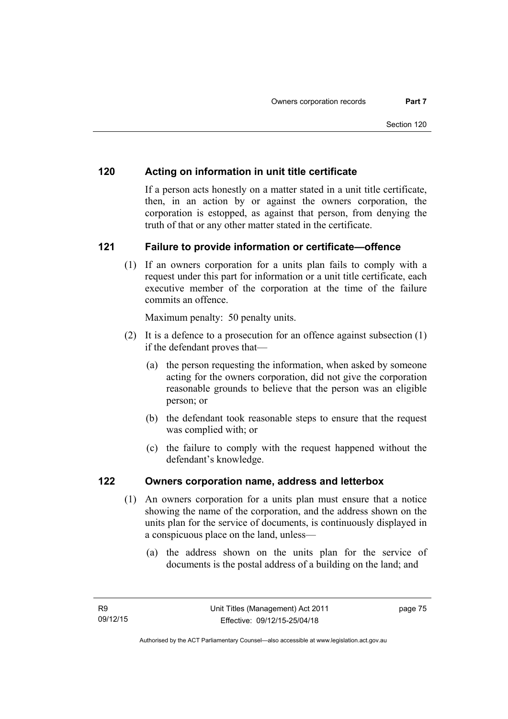# **120 Acting on information in unit title certificate**

If a person acts honestly on a matter stated in a unit title certificate, then, in an action by or against the owners corporation, the corporation is estopped, as against that person, from denying the truth of that or any other matter stated in the certificate.

# **121 Failure to provide information or certificate—offence**

(1) If an owners corporation for a units plan fails to comply with a request under this part for information or a unit title certificate, each executive member of the corporation at the time of the failure commits an offence.

Maximum penalty: 50 penalty units.

- (2) It is a defence to a prosecution for an offence against subsection (1) if the defendant proves that—
	- (a) the person requesting the information, when asked by someone acting for the owners corporation, did not give the corporation reasonable grounds to believe that the person was an eligible person; or
	- (b) the defendant took reasonable steps to ensure that the request was complied with; or
	- (c) the failure to comply with the request happened without the defendant's knowledge.

### **122 Owners corporation name, address and letterbox**

- (1) An owners corporation for a units plan must ensure that a notice showing the name of the corporation, and the address shown on the units plan for the service of documents, is continuously displayed in a conspicuous place on the land, unless—
	- (a) the address shown on the units plan for the service of documents is the postal address of a building on the land; and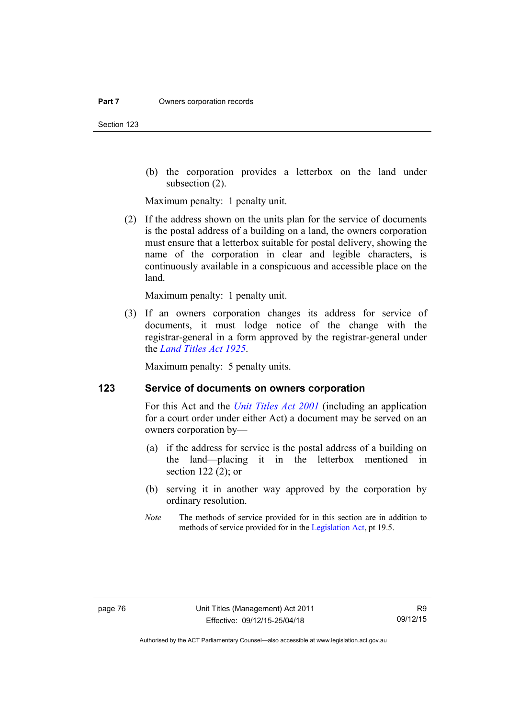(b) the corporation provides a letterbox on the land under subsection (2).

Maximum penalty: 1 penalty unit.

 (2) If the address shown on the units plan for the service of documents is the postal address of a building on a land, the owners corporation must ensure that a letterbox suitable for postal delivery, showing the name of the corporation in clear and legible characters, is continuously available in a conspicuous and accessible place on the land.

Maximum penalty: 1 penalty unit.

 (3) If an owners corporation changes its address for service of documents, it must lodge notice of the change with the registrar-general in a form approved by the registrar-general under the *[Land Titles Act 1925](http://www.legislation.act.gov.au/a/1925-1)*.

Maximum penalty: 5 penalty units.

# **123 Service of documents on owners corporation**

For this Act and the *[Unit Titles Act 2001](http://www.legislation.act.gov.au/a/2001-16)* (including an application for a court order under either Act) a document may be served on an owners corporation by—

- (a) if the address for service is the postal address of a building on the land—placing it in the letterbox mentioned in section 122 (2); or
- (b) serving it in another way approved by the corporation by ordinary resolution.
- *Note* The methods of service provided for in this section are in addition to methods of service provided for in the [Legislation Act](http://www.legislation.act.gov.au/a/2001-14), pt 19.5.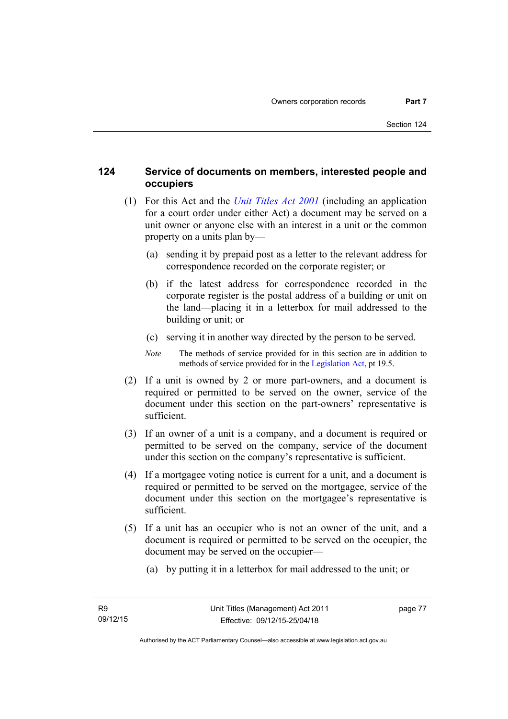# **124 Service of documents on members, interested people and occupiers**

- (1) For this Act and the *[Unit Titles Act 2001](http://www.legislation.act.gov.au/a/2001-16)* (including an application for a court order under either Act) a document may be served on a unit owner or anyone else with an interest in a unit or the common property on a units plan by—
	- (a) sending it by prepaid post as a letter to the relevant address for correspondence recorded on the corporate register; or
	- (b) if the latest address for correspondence recorded in the corporate register is the postal address of a building or unit on the land—placing it in a letterbox for mail addressed to the building or unit; or
	- (c) serving it in another way directed by the person to be served.
	- *Note* The methods of service provided for in this section are in addition to methods of service provided for in the [Legislation Act](http://www.legislation.act.gov.au/a/2001-14), pt 19.5.
- (2) If a unit is owned by 2 or more part-owners, and a document is required or permitted to be served on the owner, service of the document under this section on the part-owners' representative is sufficient.
- (3) If an owner of a unit is a company, and a document is required or permitted to be served on the company, service of the document under this section on the company's representative is sufficient.
- (4) If a mortgagee voting notice is current for a unit, and a document is required or permitted to be served on the mortgagee, service of the document under this section on the mortgagee's representative is sufficient.
- (5) If a unit has an occupier who is not an owner of the unit, and a document is required or permitted to be served on the occupier, the document may be served on the occupier—
	- (a) by putting it in a letterbox for mail addressed to the unit; or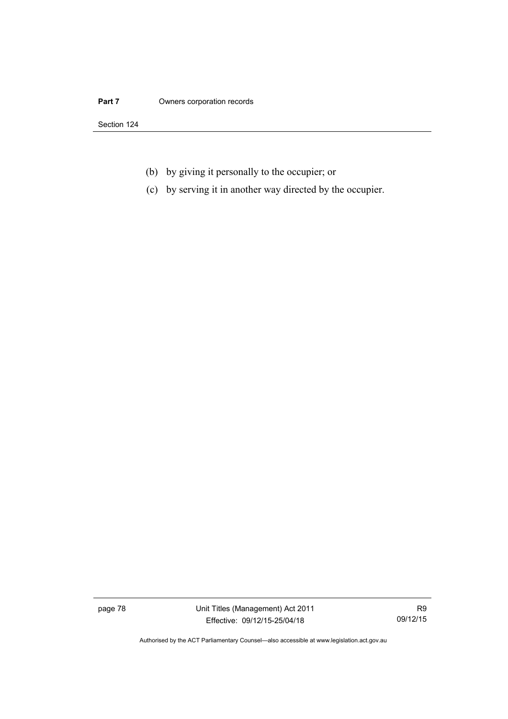### **Part 7** Owners corporation records

Section 124

- (b) by giving it personally to the occupier; or
- (c) by serving it in another way directed by the occupier.

page 78 Unit Titles (Management) Act 2011 Effective: 09/12/15-25/04/18

R9 09/12/15

Authorised by the ACT Parliamentary Counsel—also accessible at www.legislation.act.gov.au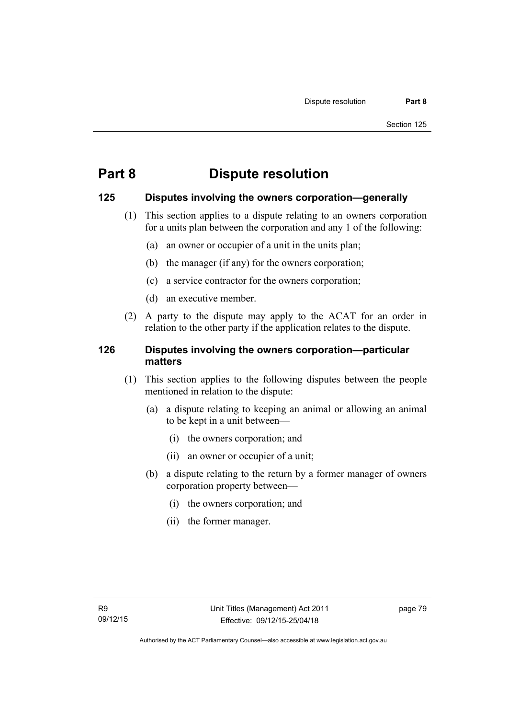# **Part 8 Dispute resolution**

# **125 Disputes involving the owners corporation—generally**

- (1) This section applies to a dispute relating to an owners corporation for a units plan between the corporation and any 1 of the following:
	- (a) an owner or occupier of a unit in the units plan;
	- (b) the manager (if any) for the owners corporation;
	- (c) a service contractor for the owners corporation;
	- (d) an executive member.
- (2) A party to the dispute may apply to the ACAT for an order in relation to the other party if the application relates to the dispute.

# **126 Disputes involving the owners corporation—particular matters**

- (1) This section applies to the following disputes between the people mentioned in relation to the dispute:
	- (a) a dispute relating to keeping an animal or allowing an animal to be kept in a unit between—
		- (i) the owners corporation; and
		- (ii) an owner or occupier of a unit;
	- (b) a dispute relating to the return by a former manager of owners corporation property between—
		- (i) the owners corporation; and
		- (ii) the former manager.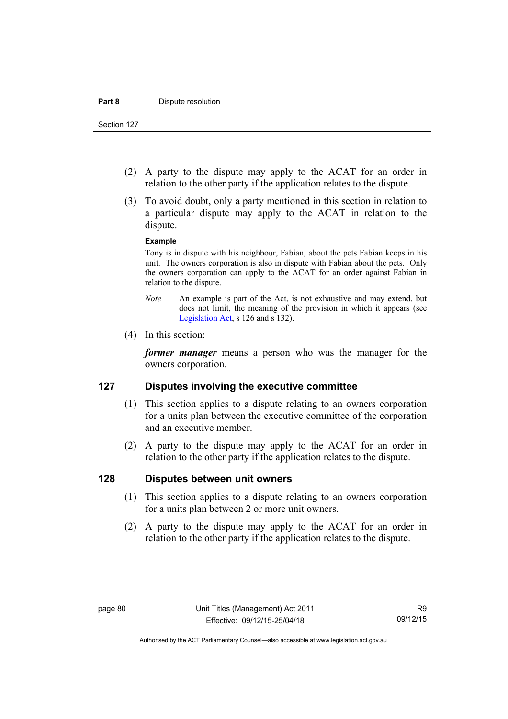Section 127

- (2) A party to the dispute may apply to the ACAT for an order in relation to the other party if the application relates to the dispute.
- (3) To avoid doubt, only a party mentioned in this section in relation to a particular dispute may apply to the ACAT in relation to the dispute.

#### **Example**

Tony is in dispute with his neighbour, Fabian, about the pets Fabian keeps in his unit. The owners corporation is also in dispute with Fabian about the pets. Only the owners corporation can apply to the ACAT for an order against Fabian in relation to the dispute.

- *Note* An example is part of the Act, is not exhaustive and may extend, but does not limit, the meaning of the provision in which it appears (see [Legislation Act,](http://www.legislation.act.gov.au/a/2001-14) s 126 and s 132).
- (4) In this section:

*former manager* means a person who was the manager for the owners corporation.

### **127 Disputes involving the executive committee**

- (1) This section applies to a dispute relating to an owners corporation for a units plan between the executive committee of the corporation and an executive member.
- (2) A party to the dispute may apply to the ACAT for an order in relation to the other party if the application relates to the dispute.

### **128 Disputes between unit owners**

- (1) This section applies to a dispute relating to an owners corporation for a units plan between 2 or more unit owners.
- (2) A party to the dispute may apply to the ACAT for an order in relation to the other party if the application relates to the dispute.

Authorised by the ACT Parliamentary Counsel—also accessible at www.legislation.act.gov.au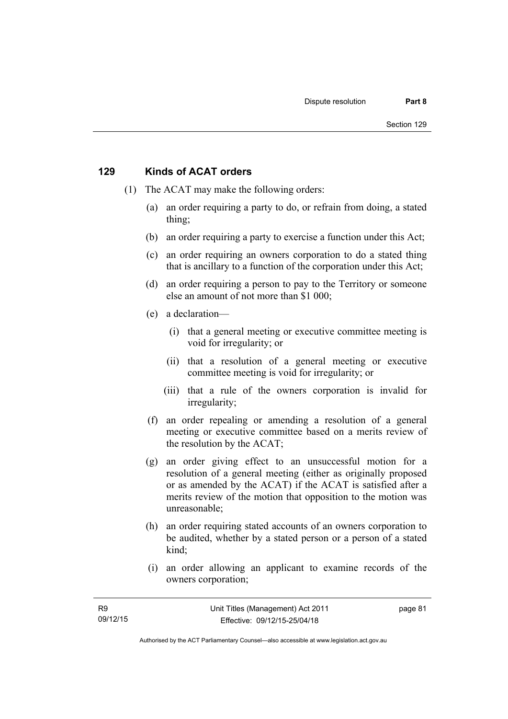### **129 Kinds of ACAT orders**

- (1) The ACAT may make the following orders:
	- (a) an order requiring a party to do, or refrain from doing, a stated thing;
	- (b) an order requiring a party to exercise a function under this Act;
	- (c) an order requiring an owners corporation to do a stated thing that is ancillary to a function of the corporation under this Act;
	- (d) an order requiring a person to pay to the Territory or someone else an amount of not more than \$1 000;
	- (e) a declaration—
		- (i) that a general meeting or executive committee meeting is void for irregularity; or
		- (ii) that a resolution of a general meeting or executive committee meeting is void for irregularity; or
		- (iii) that a rule of the owners corporation is invalid for irregularity;
	- (f) an order repealing or amending a resolution of a general meeting or executive committee based on a merits review of the resolution by the ACAT;
	- (g) an order giving effect to an unsuccessful motion for a resolution of a general meeting (either as originally proposed or as amended by the ACAT) if the ACAT is satisfied after a merits review of the motion that opposition to the motion was unreasonable;
	- (h) an order requiring stated accounts of an owners corporation to be audited, whether by a stated person or a person of a stated kind;
	- (i) an order allowing an applicant to examine records of the owners corporation;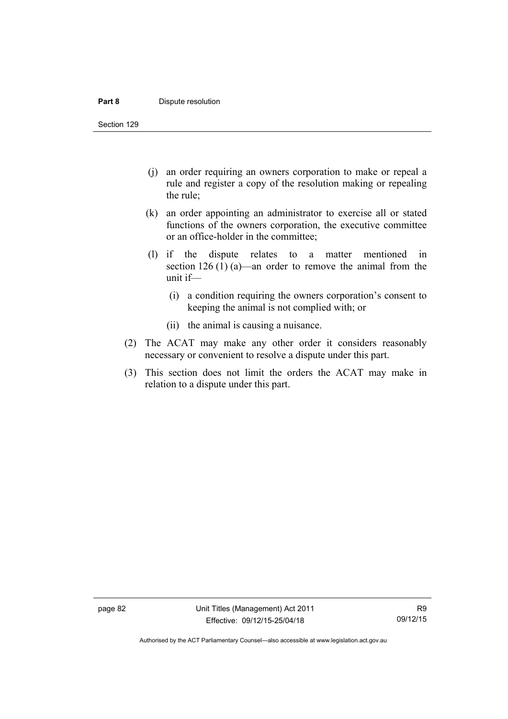#### **Part 8 Dispute resolution**

Section 129

- (j) an order requiring an owners corporation to make or repeal a rule and register a copy of the resolution making or repealing the rule;
- (k) an order appointing an administrator to exercise all or stated functions of the owners corporation, the executive committee or an office-holder in the committee;
- (l) if the dispute relates to a matter mentioned in section 126 (1) (a)—an order to remove the animal from the unit if—
	- (i) a condition requiring the owners corporation's consent to keeping the animal is not complied with; or
	- (ii) the animal is causing a nuisance.
- (2) The ACAT may make any other order it considers reasonably necessary or convenient to resolve a dispute under this part.
- (3) This section does not limit the orders the ACAT may make in relation to a dispute under this part.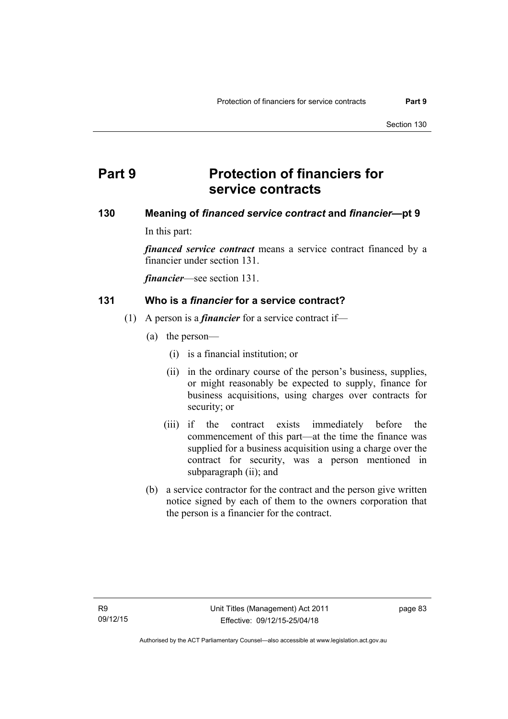# **Part 9 Protection of financiers for service contracts**

# **130 Meaning of** *financed service contract* **and** *financier***—pt 9**

In this part:

*financed service contract* means a service contract financed by a financier under section 131.

*financier*—see section 131.

# **131 Who is a** *financier* **for a service contract?**

- (1) A person is a *financier* for a service contract if—
	- (a) the person—
		- (i) is a financial institution; or
		- (ii) in the ordinary course of the person's business, supplies, or might reasonably be expected to supply, finance for business acquisitions, using charges over contracts for security; or
		- (iii) if the contract exists immediately before the commencement of this part—at the time the finance was supplied for a business acquisition using a charge over the contract for security, was a person mentioned in subparagraph (ii); and
	- (b) a service contractor for the contract and the person give written notice signed by each of them to the owners corporation that the person is a financier for the contract.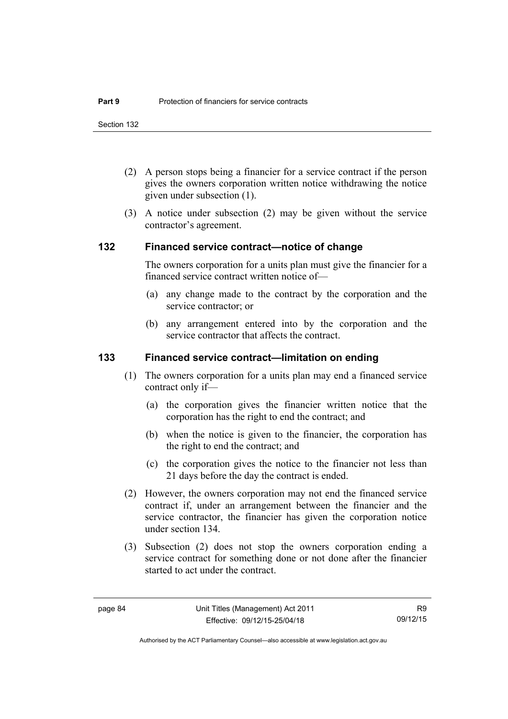- (2) A person stops being a financier for a service contract if the person gives the owners corporation written notice withdrawing the notice given under subsection (1).
- (3) A notice under subsection (2) may be given without the service contractor's agreement.

### **132 Financed service contract—notice of change**

The owners corporation for a units plan must give the financier for a financed service contract written notice of—

- (a) any change made to the contract by the corporation and the service contractor; or
- (b) any arrangement entered into by the corporation and the service contractor that affects the contract.

### **133 Financed service contract—limitation on ending**

- (1) The owners corporation for a units plan may end a financed service contract only if—
	- (a) the corporation gives the financier written notice that the corporation has the right to end the contract; and
	- (b) when the notice is given to the financier, the corporation has the right to end the contract; and
	- (c) the corporation gives the notice to the financier not less than 21 days before the day the contract is ended.
- (2) However, the owners corporation may not end the financed service contract if, under an arrangement between the financier and the service contractor, the financier has given the corporation notice under section 134.
- (3) Subsection (2) does not stop the owners corporation ending a service contract for something done or not done after the financier started to act under the contract.

R9 09/12/15

Authorised by the ACT Parliamentary Counsel—also accessible at www.legislation.act.gov.au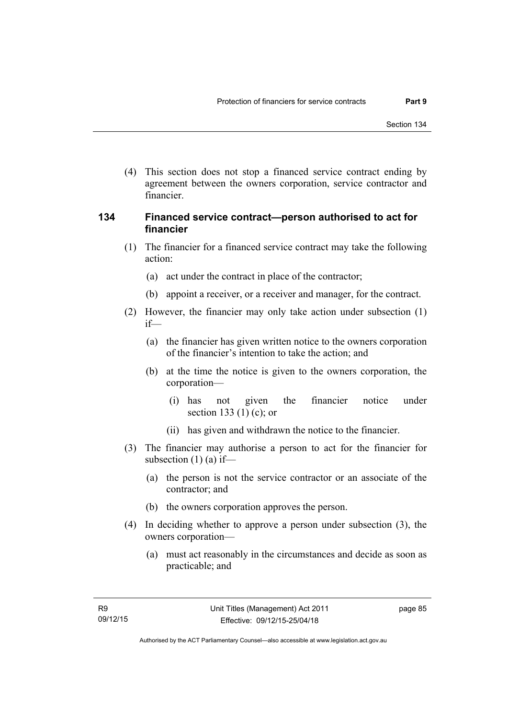(4) This section does not stop a financed service contract ending by agreement between the owners corporation, service contractor and financier.

# **134 Financed service contract—person authorised to act for financier**

- (1) The financier for a financed service contract may take the following action:
	- (a) act under the contract in place of the contractor;
	- (b) appoint a receiver, or a receiver and manager, for the contract.
- (2) However, the financier may only take action under subsection (1) if—
	- (a) the financier has given written notice to the owners corporation of the financier's intention to take the action; and
	- (b) at the time the notice is given to the owners corporation, the corporation—
		- (i) has not given the financier notice under section 133 (1) (c); or
		- (ii) has given and withdrawn the notice to the financier.
- (3) The financier may authorise a person to act for the financier for subsection  $(1)$  (a) if—
	- (a) the person is not the service contractor or an associate of the contractor; and
	- (b) the owners corporation approves the person.
- (4) In deciding whether to approve a person under subsection (3), the owners corporation—
	- (a) must act reasonably in the circumstances and decide as soon as practicable; and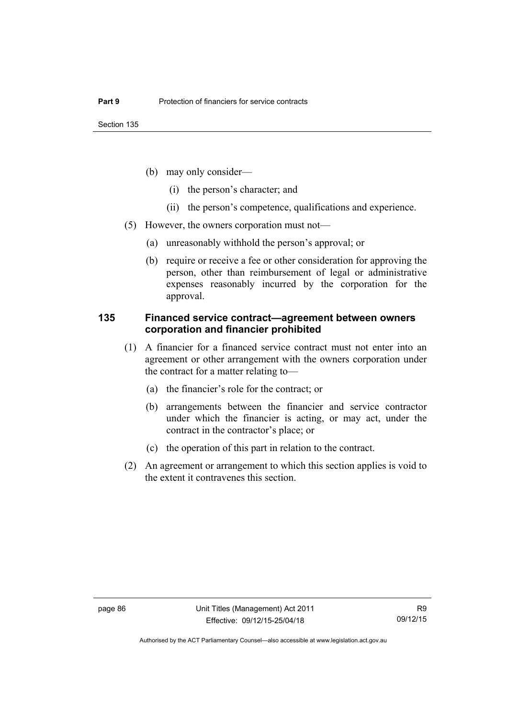- (b) may only consider—
	- (i) the person's character; and
	- (ii) the person's competence, qualifications and experience.
- (5) However, the owners corporation must not—
	- (a) unreasonably withhold the person's approval; or
	- (b) require or receive a fee or other consideration for approving the person, other than reimbursement of legal or administrative expenses reasonably incurred by the corporation for the approval.

### **135 Financed service contract—agreement between owners corporation and financier prohibited**

- (1) A financier for a financed service contract must not enter into an agreement or other arrangement with the owners corporation under the contract for a matter relating to—
	- (a) the financier's role for the contract; or
	- (b) arrangements between the financier and service contractor under which the financier is acting, or may act, under the contract in the contractor's place; or
	- (c) the operation of this part in relation to the contract.
- (2) An agreement or arrangement to which this section applies is void to the extent it contravenes this section.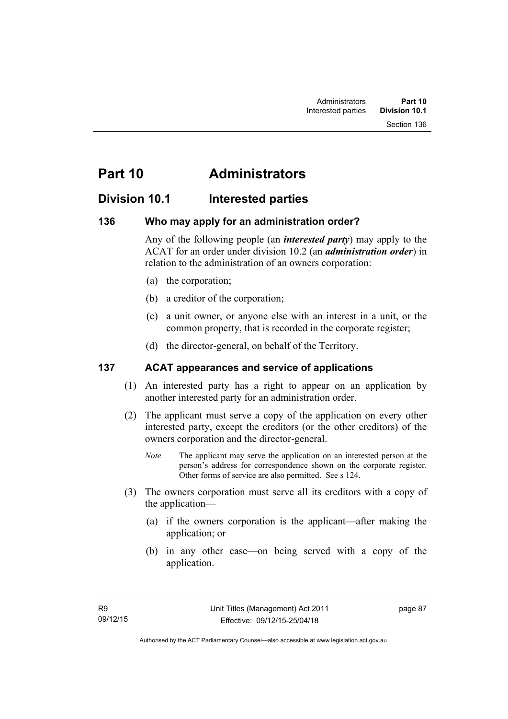Section 136

# **Part 10 Administrators**

# **Division 10.1 Interested parties**

# **136 Who may apply for an administration order?**

Any of the following people (an *interested party*) may apply to the ACAT for an order under division 10.2 (an *administration order*) in relation to the administration of an owners corporation:

- (a) the corporation;
- (b) a creditor of the corporation;
- (c) a unit owner, or anyone else with an interest in a unit, or the common property, that is recorded in the corporate register;
- (d) the director-general, on behalf of the Territory.

# **137 ACAT appearances and service of applications**

- (1) An interested party has a right to appear on an application by another interested party for an administration order.
- (2) The applicant must serve a copy of the application on every other interested party, except the creditors (or the other creditors) of the owners corporation and the director-general.
	- *Note* The applicant may serve the application on an interested person at the person's address for correspondence shown on the corporate register. Other forms of service are also permitted. See s 124.
- (3) The owners corporation must serve all its creditors with a copy of the application—
	- (a) if the owners corporation is the applicant—after making the application; or
	- (b) in any other case—on being served with a copy of the application.

page 87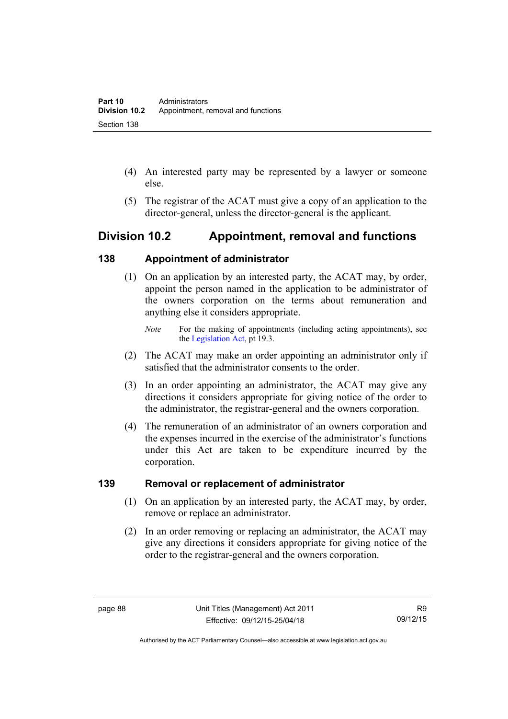- (4) An interested party may be represented by a lawyer or someone else.
- (5) The registrar of the ACAT must give a copy of an application to the director-general, unless the director-general is the applicant.

# **Division 10.2 Appointment, removal and functions**

# **138 Appointment of administrator**

- (1) On an application by an interested party, the ACAT may, by order, appoint the person named in the application to be administrator of the owners corporation on the terms about remuneration and anything else it considers appropriate.
	- *Note* For the making of appointments (including acting appointments), see the [Legislation Act,](http://www.legislation.act.gov.au/a/2001-14) pt 19.3.
- (2) The ACAT may make an order appointing an administrator only if satisfied that the administrator consents to the order.
- (3) In an order appointing an administrator, the ACAT may give any directions it considers appropriate for giving notice of the order to the administrator, the registrar-general and the owners corporation.
- (4) The remuneration of an administrator of an owners corporation and the expenses incurred in the exercise of the administrator's functions under this Act are taken to be expenditure incurred by the corporation.

# **139 Removal or replacement of administrator**

- (1) On an application by an interested party, the ACAT may, by order, remove or replace an administrator.
- (2) In an order removing or replacing an administrator, the ACAT may give any directions it considers appropriate for giving notice of the order to the registrar-general and the owners corporation.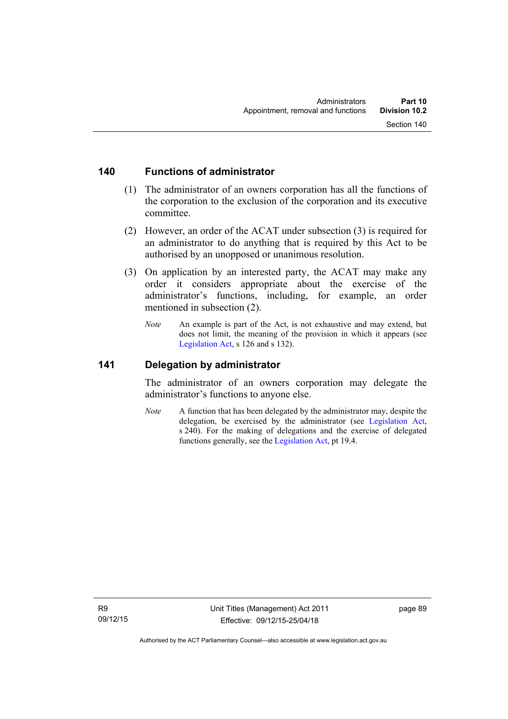### **140 Functions of administrator**

- (1) The administrator of an owners corporation has all the functions of the corporation to the exclusion of the corporation and its executive committee.
- (2) However, an order of the ACAT under subsection (3) is required for an administrator to do anything that is required by this Act to be authorised by an unopposed or unanimous resolution.
- (3) On application by an interested party, the ACAT may make any order it considers appropriate about the exercise of the administrator's functions, including, for example, an order mentioned in subsection (2).
	- *Note* An example is part of the Act, is not exhaustive and may extend, but does not limit, the meaning of the provision in which it appears (see [Legislation Act,](http://www.legislation.act.gov.au/a/2001-14) s 126 and s 132).

### **141 Delegation by administrator**

The administrator of an owners corporation may delegate the administrator's functions to anyone else.

*Note* A function that has been delegated by the administrator may, despite the delegation, be exercised by the administrator (see [Legislation Act,](http://www.legislation.act.gov.au/a/2001-14) s 240). For the making of delegations and the exercise of delegated functions generally, see the [Legislation Act,](http://www.legislation.act.gov.au/a/2001-14) pt 19.4.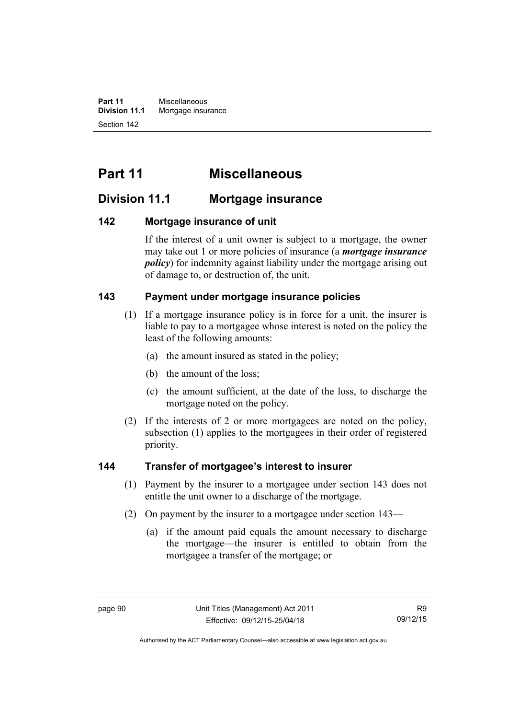**Part 11** Miscellaneous<br>**Division 11.1** Mortgage insur **Mortgage insurance** Section 142

# **Part 11 Miscellaneous**

# **Division 11.1 Mortgage insurance**

# **142 Mortgage insurance of unit**

If the interest of a unit owner is subject to a mortgage, the owner may take out 1 or more policies of insurance (a *mortgage insurance policy*) for indemnity against liability under the mortgage arising out of damage to, or destruction of, the unit.

# **143 Payment under mortgage insurance policies**

- (1) If a mortgage insurance policy is in force for a unit, the insurer is liable to pay to a mortgagee whose interest is noted on the policy the least of the following amounts:
	- (a) the amount insured as stated in the policy;
	- (b) the amount of the loss;
	- (c) the amount sufficient, at the date of the loss, to discharge the mortgage noted on the policy.
- (2) If the interests of 2 or more mortgagees are noted on the policy, subsection (1) applies to the mortgagees in their order of registered priority.

### **144 Transfer of mortgagee's interest to insurer**

- (1) Payment by the insurer to a mortgagee under section 143 does not entitle the unit owner to a discharge of the mortgage.
- (2) On payment by the insurer to a mortgagee under section 143—
	- (a) if the amount paid equals the amount necessary to discharge the mortgage—the insurer is entitled to obtain from the mortgagee a transfer of the mortgage; or

Authorised by the ACT Parliamentary Counsel—also accessible at www.legislation.act.gov.au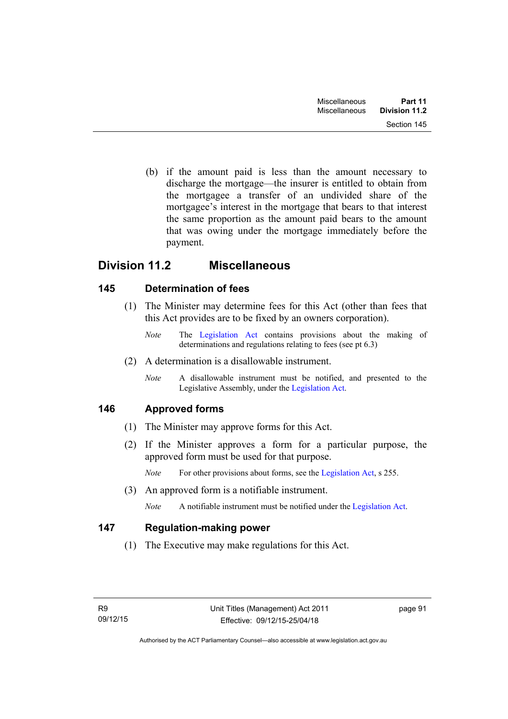(b) if the amount paid is less than the amount necessary to discharge the mortgage—the insurer is entitled to obtain from the mortgagee a transfer of an undivided share of the mortgagee's interest in the mortgage that bears to that interest the same proportion as the amount paid bears to the amount that was owing under the mortgage immediately before the payment.

# **Division 11.2 Miscellaneous**

# **145 Determination of fees**

- (1) The Minister may determine fees for this Act (other than fees that this Act provides are to be fixed by an owners corporation).
	- *Note* The [Legislation Act](http://www.legislation.act.gov.au/a/2001-14) contains provisions about the making of determinations and regulations relating to fees (see pt 6.3)
- (2) A determination is a disallowable instrument.
	- *Note* A disallowable instrument must be notified, and presented to the Legislative Assembly, under the [Legislation Act.](http://www.legislation.act.gov.au/a/2001-14)

# **146 Approved forms**

- (1) The Minister may approve forms for this Act.
- (2) If the Minister approves a form for a particular purpose, the approved form must be used for that purpose.

*Note* For other provisions about forms, see the [Legislation Act,](http://www.legislation.act.gov.au/a/2001-14) s 255.

(3) An approved form is a notifiable instrument.

*Note* A notifiable instrument must be notified under the [Legislation Act](http://www.legislation.act.gov.au/a/2001-14).

# **147 Regulation-making power**

(1) The Executive may make regulations for this Act.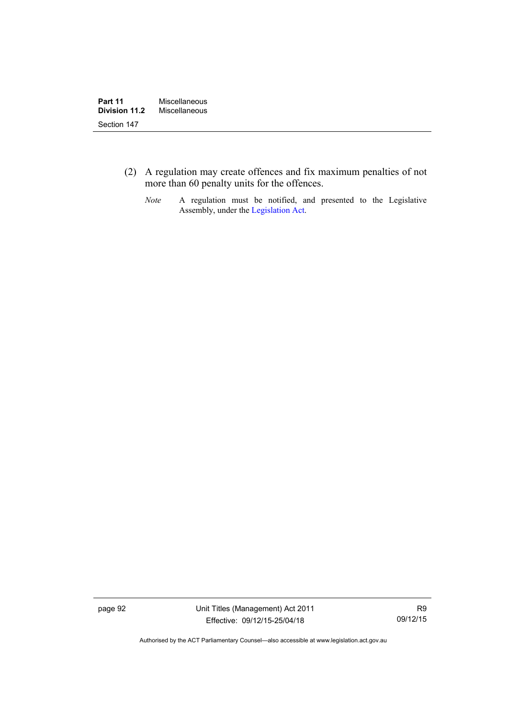- (2) A regulation may create offences and fix maximum penalties of not more than 60 penalty units for the offences.
	- *Note* A regulation must be notified, and presented to the Legislative Assembly, under the [Legislation Act](http://www.legislation.act.gov.au/a/2001-14).

page 92 Unit Titles (Management) Act 2011 Effective: 09/12/15-25/04/18

R9 09/12/15

Authorised by the ACT Parliamentary Counsel—also accessible at www.legislation.act.gov.au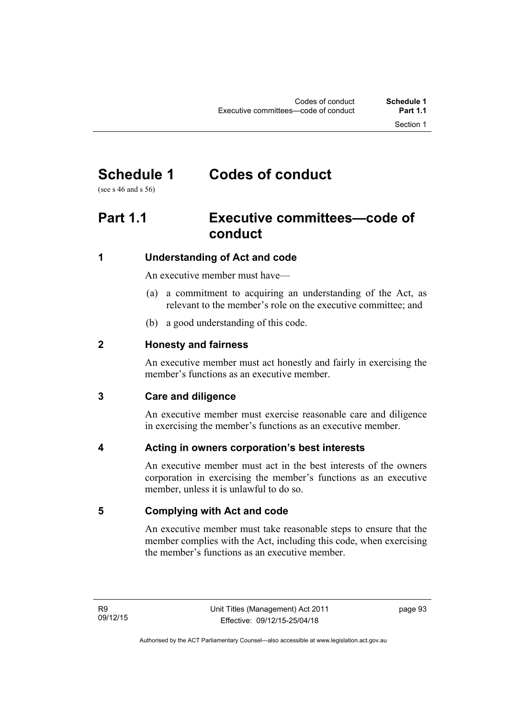# **Schedule 1 Codes of conduct**

(see s 46 and s 56)

# **Part 1.1 Executive committees—code of conduct**

# **1 Understanding of Act and code**

An executive member must have—

- (a) a commitment to acquiring an understanding of the Act, as relevant to the member's role on the executive committee; and
- (b) a good understanding of this code.

# **2 Honesty and fairness**

An executive member must act honestly and fairly in exercising the member's functions as an executive member.

# **3 Care and diligence**

An executive member must exercise reasonable care and diligence in exercising the member's functions as an executive member.

# **4 Acting in owners corporation's best interests**

An executive member must act in the best interests of the owners corporation in exercising the member's functions as an executive member, unless it is unlawful to do so.

# **5 Complying with Act and code**

An executive member must take reasonable steps to ensure that the member complies with the Act, including this code, when exercising the member's functions as an executive member.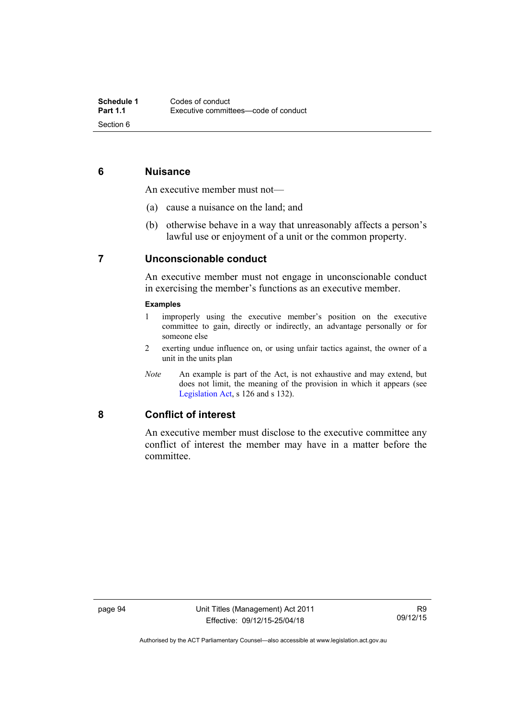# **6 Nuisance**

An executive member must not—

- (a) cause a nuisance on the land; and
- (b) otherwise behave in a way that unreasonably affects a person's lawful use or enjoyment of a unit or the common property.

# **7 Unconscionable conduct**

An executive member must not engage in unconscionable conduct in exercising the member's functions as an executive member.

#### **Examples**

- 1 improperly using the executive member's position on the executive committee to gain, directly or indirectly, an advantage personally or for someone else
- 2 exerting undue influence on, or using unfair tactics against, the owner of a unit in the units plan
- *Note* An example is part of the Act, is not exhaustive and may extend, but does not limit, the meaning of the provision in which it appears (see [Legislation Act,](http://www.legislation.act.gov.au/a/2001-14) s 126 and s 132).

### **8 Conflict of interest**

An executive member must disclose to the executive committee any conflict of interest the member may have in a matter before the committee.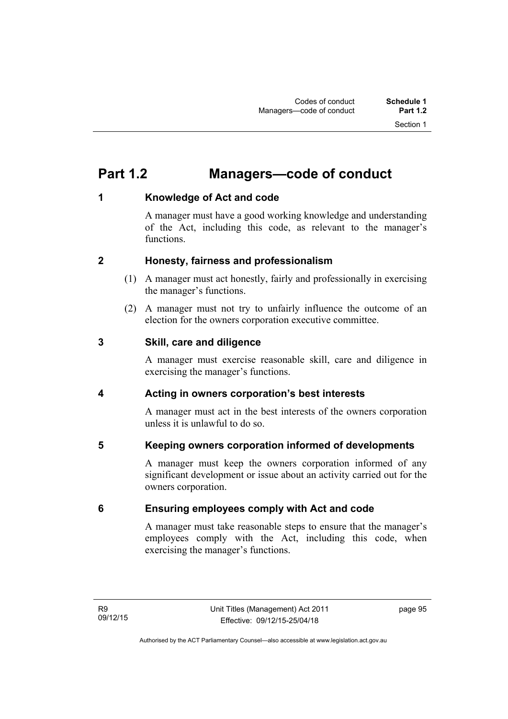# **Part 1.2 Managers—code of conduct**

# **1 Knowledge of Act and code**

A manager must have a good working knowledge and understanding of the Act, including this code, as relevant to the manager's functions.

# **2 Honesty, fairness and professionalism**

- (1) A manager must act honestly, fairly and professionally in exercising the manager's functions.
- (2) A manager must not try to unfairly influence the outcome of an election for the owners corporation executive committee.

# **3 Skill, care and diligence**

A manager must exercise reasonable skill, care and diligence in exercising the manager's functions.

# **4 Acting in owners corporation's best interests**

A manager must act in the best interests of the owners corporation unless it is unlawful to do so.

# **5 Keeping owners corporation informed of developments**

A manager must keep the owners corporation informed of any significant development or issue about an activity carried out for the owners corporation.

# **6 Ensuring employees comply with Act and code**

A manager must take reasonable steps to ensure that the manager's employees comply with the Act, including this code, when exercising the manager's functions.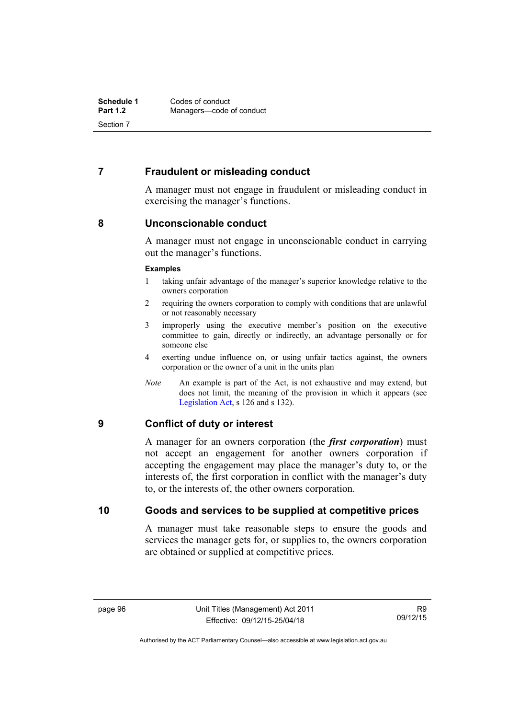# **7 Fraudulent or misleading conduct**

A manager must not engage in fraudulent or misleading conduct in exercising the manager's functions.

# **8 Unconscionable conduct**

A manager must not engage in unconscionable conduct in carrying out the manager's functions.

### **Examples**

- 1 taking unfair advantage of the manager's superior knowledge relative to the owners corporation
- 2 requiring the owners corporation to comply with conditions that are unlawful or not reasonably necessary
- 3 improperly using the executive member's position on the executive committee to gain, directly or indirectly, an advantage personally or for someone else
- 4 exerting undue influence on, or using unfair tactics against, the owners corporation or the owner of a unit in the units plan
- *Note* An example is part of the Act, is not exhaustive and may extend, but does not limit, the meaning of the provision in which it appears (see [Legislation Act,](http://www.legislation.act.gov.au/a/2001-14) s 126 and s 132).

### **9 Conflict of duty or interest**

A manager for an owners corporation (the *first corporation*) must not accept an engagement for another owners corporation if accepting the engagement may place the manager's duty to, or the interests of, the first corporation in conflict with the manager's duty to, or the interests of, the other owners corporation.

# **10 Goods and services to be supplied at competitive prices**

A manager must take reasonable steps to ensure the goods and services the manager gets for, or supplies to, the owners corporation are obtained or supplied at competitive prices.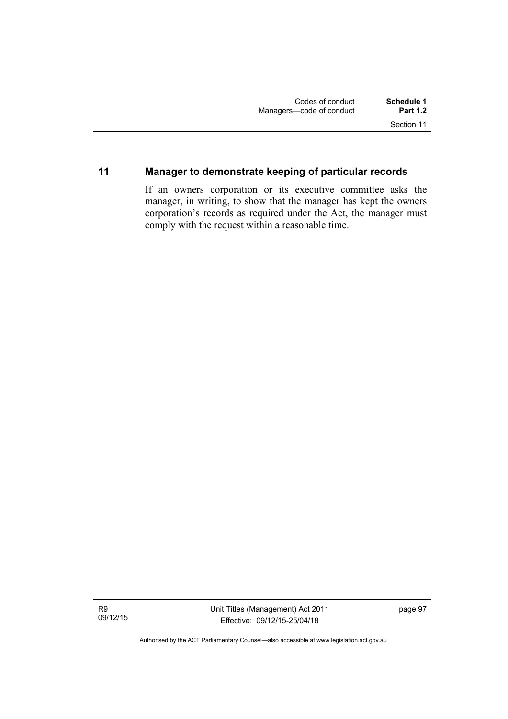## **11 Manager to demonstrate keeping of particular records**

If an owners corporation or its executive committee asks the manager, in writing, to show that the manager has kept the owners corporation's records as required under the Act, the manager must comply with the request within a reasonable time.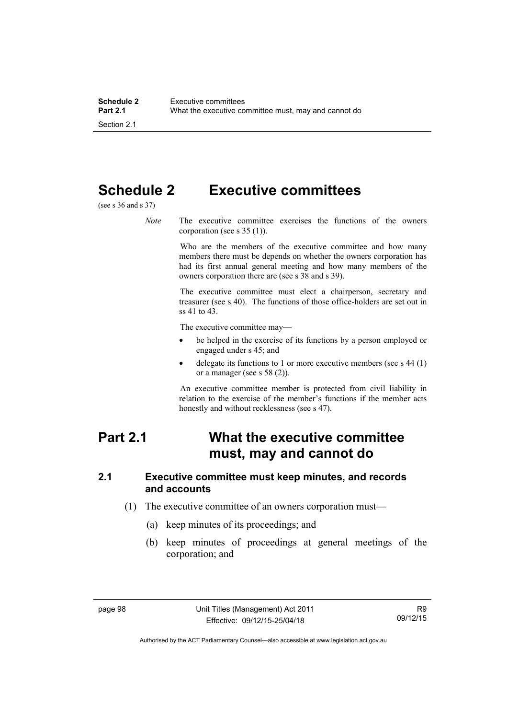## **Schedule 2 Executive committees**

(see s 36 and s 37)

*Note* The executive committee exercises the functions of the owners corporation (see s 35 (1)).

> Who are the members of the executive committee and how many members there must be depends on whether the owners corporation has had its first annual general meeting and how many members of the owners corporation there are (see s 38 and s 39).

> The executive committee must elect a chairperson, secretary and treasurer (see s 40). The functions of those office-holders are set out in ss 41 to 43.

The executive committee may—

- be helped in the exercise of its functions by a person employed or engaged under s 45; and
- delegate its functions to 1 or more executive members (see s 44 (1) or a manager (see s  $58(2)$ ).

An executive committee member is protected from civil liability in relation to the exercise of the member's functions if the member acts honestly and without recklessness (see s 47).

## **Part 2.1 What the executive committee must, may and cannot do**

#### **2.1 Executive committee must keep minutes, and records and accounts**

- (1) The executive committee of an owners corporation must—
	- (a) keep minutes of its proceedings; and
	- (b) keep minutes of proceedings at general meetings of the corporation; and

Authorised by the ACT Parliamentary Counsel—also accessible at www.legislation.act.gov.au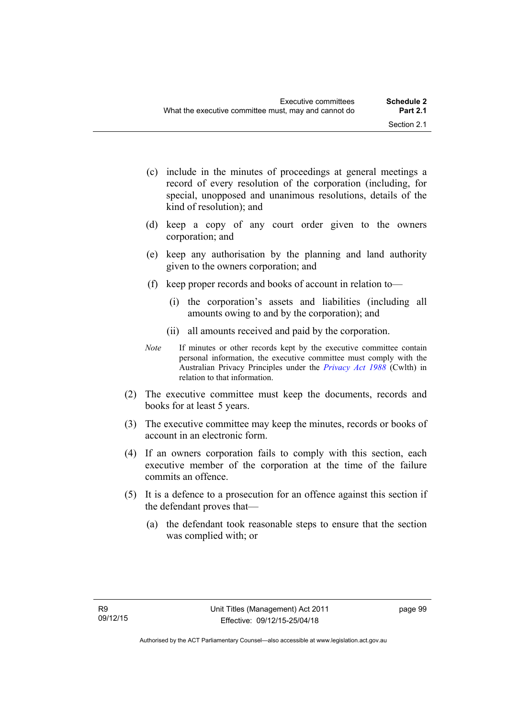- (c) include in the minutes of proceedings at general meetings a record of every resolution of the corporation (including, for special, unopposed and unanimous resolutions, details of the kind of resolution); and
- (d) keep a copy of any court order given to the owners corporation; and
- (e) keep any authorisation by the planning and land authority given to the owners corporation; and
- (f) keep proper records and books of account in relation to—
	- (i) the corporation's assets and liabilities (including all amounts owing to and by the corporation); and
	- (ii) all amounts received and paid by the corporation.
- *Note* If minutes or other records kept by the executive committee contain personal information, the executive committee must comply with the Australian Privacy Principles under the *[Privacy Act 1988](http://www.comlaw.gov.au/Current/C2004A03712)* (Cwlth) in relation to that information.
- (2) The executive committee must keep the documents, records and books for at least 5 years.
- (3) The executive committee may keep the minutes, records or books of account in an electronic form.
- (4) If an owners corporation fails to comply with this section, each executive member of the corporation at the time of the failure commits an offence.
- (5) It is a defence to a prosecution for an offence against this section if the defendant proves that—
	- (a) the defendant took reasonable steps to ensure that the section was complied with; or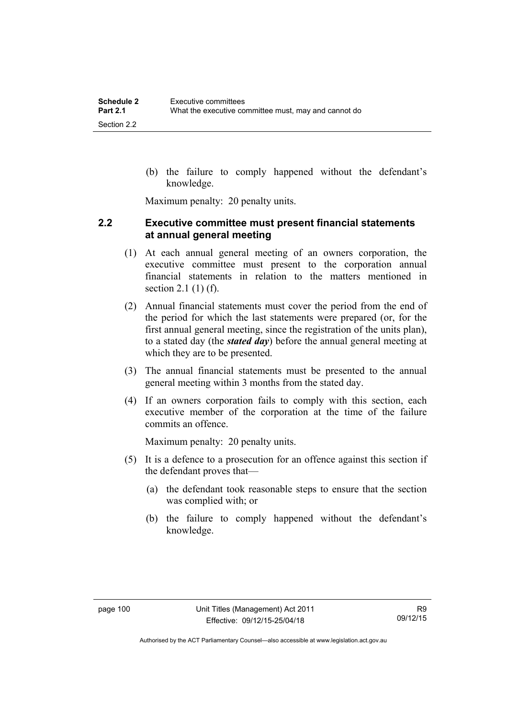(b) the failure to comply happened without the defendant's knowledge.

Maximum penalty: 20 penalty units.

#### **2.2 Executive committee must present financial statements at annual general meeting**

- (1) At each annual general meeting of an owners corporation, the executive committee must present to the corporation annual financial statements in relation to the matters mentioned in section 2.1 (1) (f).
- (2) Annual financial statements must cover the period from the end of the period for which the last statements were prepared (or, for the first annual general meeting, since the registration of the units plan), to a stated day (the *stated day*) before the annual general meeting at which they are to be presented.
- (3) The annual financial statements must be presented to the annual general meeting within 3 months from the stated day.
- (4) If an owners corporation fails to comply with this section, each executive member of the corporation at the time of the failure commits an offence.

Maximum penalty: 20 penalty units.

- (5) It is a defence to a prosecution for an offence against this section if the defendant proves that—
	- (a) the defendant took reasonable steps to ensure that the section was complied with; or
	- (b) the failure to comply happened without the defendant's knowledge.

Authorised by the ACT Parliamentary Counsel—also accessible at www.legislation.act.gov.au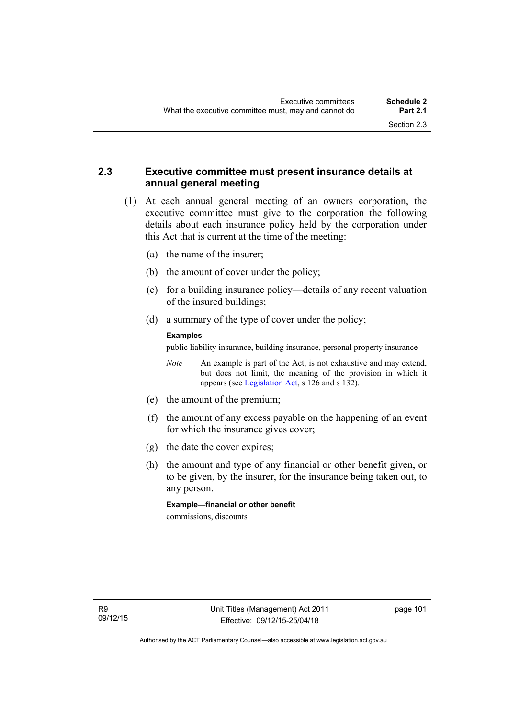## **2.3 Executive committee must present insurance details at annual general meeting**

- (1) At each annual general meeting of an owners corporation, the executive committee must give to the corporation the following details about each insurance policy held by the corporation under this Act that is current at the time of the meeting:
	- (a) the name of the insurer;
	- (b) the amount of cover under the policy;
	- (c) for a building insurance policy—details of any recent valuation of the insured buildings;
	- (d) a summary of the type of cover under the policy;

#### **Examples**

public liability insurance, building insurance, personal property insurance

*Note* An example is part of the Act, is not exhaustive and may extend, but does not limit, the meaning of the provision in which it appears (see [Legislation Act,](http://www.legislation.act.gov.au/a/2001-14) s 126 and s 132).

- (e) the amount of the premium;
- (f) the amount of any excess payable on the happening of an event for which the insurance gives cover;
- (g) the date the cover expires;
- (h) the amount and type of any financial or other benefit given, or to be given, by the insurer, for the insurance being taken out, to any person.

**Example—financial or other benefit** 

commissions, discounts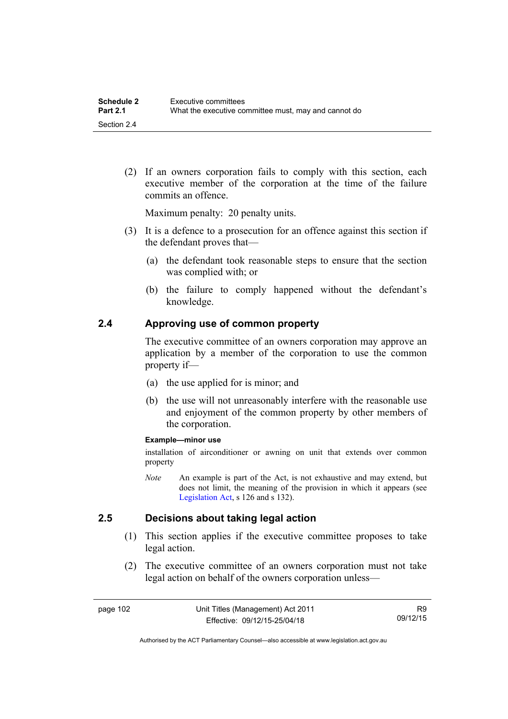(2) If an owners corporation fails to comply with this section, each executive member of the corporation at the time of the failure commits an offence.

Maximum penalty: 20 penalty units.

- (3) It is a defence to a prosecution for an offence against this section if the defendant proves that—
	- (a) the defendant took reasonable steps to ensure that the section was complied with; or
	- (b) the failure to comply happened without the defendant's knowledge.

#### **2.4 Approving use of common property**

The executive committee of an owners corporation may approve an application by a member of the corporation to use the common property if—

- (a) the use applied for is minor; and
- (b) the use will not unreasonably interfere with the reasonable use and enjoyment of the common property by other members of the corporation.

#### **Example—minor use**

installation of airconditioner or awning on unit that extends over common property

*Note* An example is part of the Act, is not exhaustive and may extend, but does not limit, the meaning of the provision in which it appears (see [Legislation Act,](http://www.legislation.act.gov.au/a/2001-14) s 126 and s 132).

#### **2.5 Decisions about taking legal action**

- (1) This section applies if the executive committee proposes to take legal action.
- (2) The executive committee of an owners corporation must not take legal action on behalf of the owners corporation unless—

R9 09/12/15

Authorised by the ACT Parliamentary Counsel—also accessible at www.legislation.act.gov.au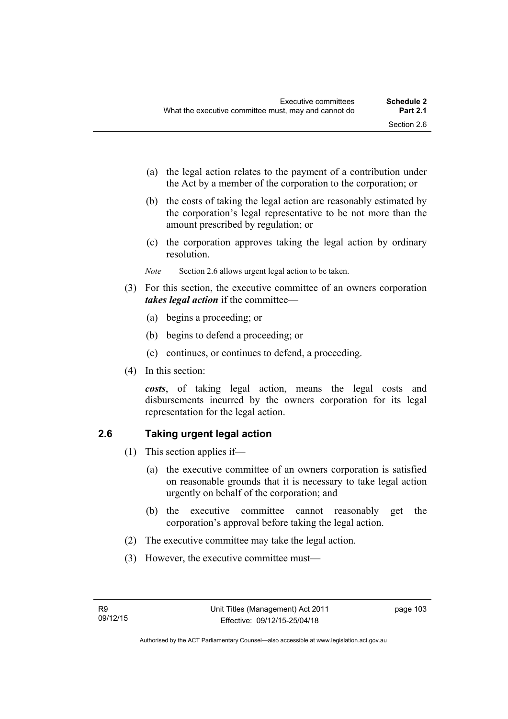- (a) the legal action relates to the payment of a contribution under the Act by a member of the corporation to the corporation; or
- (b) the costs of taking the legal action are reasonably estimated by the corporation's legal representative to be not more than the amount prescribed by regulation; or
- (c) the corporation approves taking the legal action by ordinary resolution.
- *Note* Section 2.6 allows urgent legal action to be taken.
- (3) For this section, the executive committee of an owners corporation *takes legal action* if the committee—
	- (a) begins a proceeding; or
	- (b) begins to defend a proceeding; or
	- (c) continues, or continues to defend, a proceeding.
- (4) In this section:

*costs*, of taking legal action, means the legal costs and disbursements incurred by the owners corporation for its legal representation for the legal action.

## **2.6 Taking urgent legal action**

- (1) This section applies if—
	- (a) the executive committee of an owners corporation is satisfied on reasonable grounds that it is necessary to take legal action urgently on behalf of the corporation; and
	- (b) the executive committee cannot reasonably get the corporation's approval before taking the legal action.
- (2) The executive committee may take the legal action.
- (3) However, the executive committee must—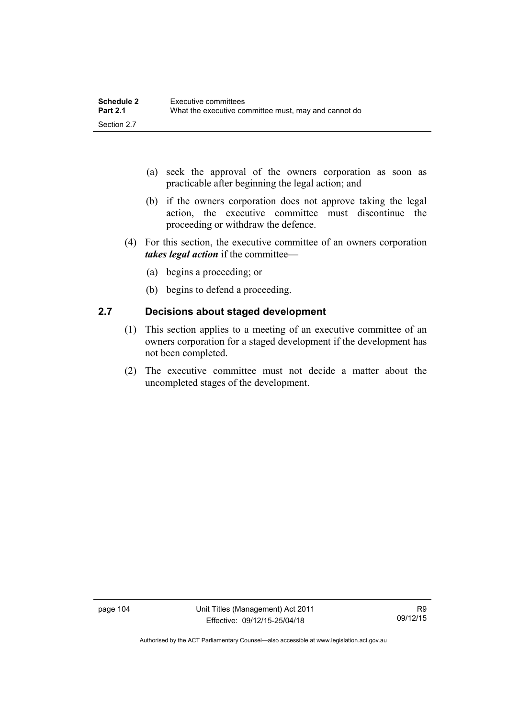| <b>Schedule 2</b> | Executive committees                                 |
|-------------------|------------------------------------------------------|
| <b>Part 2.1</b>   | What the executive committee must, may and cannot do |
| Section 2.7       |                                                      |

- (a) seek the approval of the owners corporation as soon as practicable after beginning the legal action; and
- (b) if the owners corporation does not approve taking the legal action, the executive committee must discontinue the proceeding or withdraw the defence.
- (4) For this section, the executive committee of an owners corporation *takes legal action* if the committee—
	- (a) begins a proceeding; or
	- (b) begins to defend a proceeding.

### **2.7 Decisions about staged development**

- (1) This section applies to a meeting of an executive committee of an owners corporation for a staged development if the development has not been completed.
- (2) The executive committee must not decide a matter about the uncompleted stages of the development.

Authorised by the ACT Parliamentary Counsel—also accessible at www.legislation.act.gov.au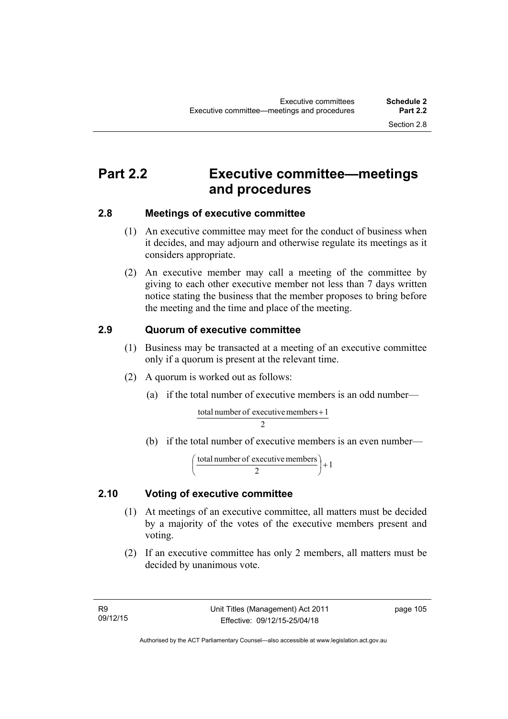## **Part 2.2 Executive committee—meetings and procedures**

### **2.8 Meetings of executive committee**

- (1) An executive committee may meet for the conduct of business when it decides, and may adjourn and otherwise regulate its meetings as it considers appropriate.
- (2) An executive member may call a meeting of the committee by giving to each other executive member not less than 7 days written notice stating the business that the member proposes to bring before the meeting and the time and place of the meeting.

## **2.9 Quorum of executive committee**

- (1) Business may be transacted at a meeting of an executive committee only if a quorum is present at the relevant time.
- (2) A quorum is worked out as follows:
	- (a) if the total number of executive members is an odd number—

 $\overline{2}$ total number of executive members +  $1$ 

(b) if the total number of executive members is an even number—

$$
\left(\frac{\text{total number of executive members}}{2}\right) + 1
$$

### **2.10 Voting of executive committee**

- (1) At meetings of an executive committee, all matters must be decided by a majority of the votes of the executive members present and voting.
- (2) If an executive committee has only 2 members, all matters must be decided by unanimous vote.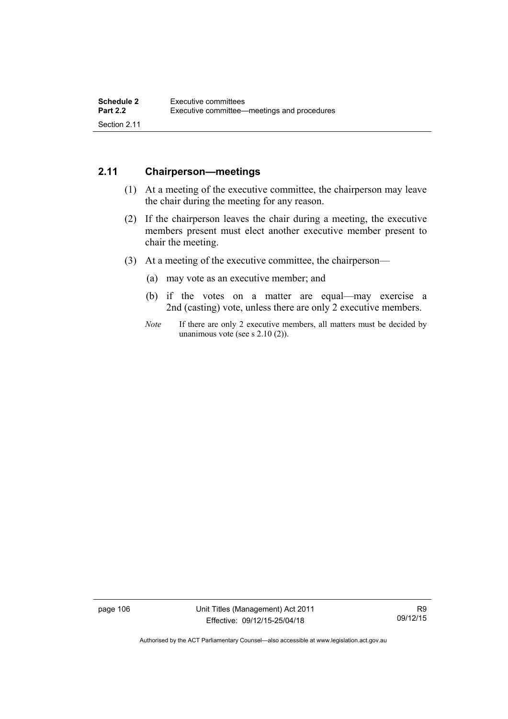## **2.11 Chairperson—meetings**

- (1) At a meeting of the executive committee, the chairperson may leave the chair during the meeting for any reason.
- (2) If the chairperson leaves the chair during a meeting, the executive members present must elect another executive member present to chair the meeting.
- (3) At a meeting of the executive committee, the chairperson—
	- (a) may vote as an executive member; and
	- (b) if the votes on a matter are equal—may exercise a 2nd (casting) vote, unless there are only 2 executive members.
	- *Note* If there are only 2 executive members, all matters must be decided by unanimous vote (see s 2.10 (2)).

page 106 Unit Titles (Management) Act 2011 Effective: 09/12/15-25/04/18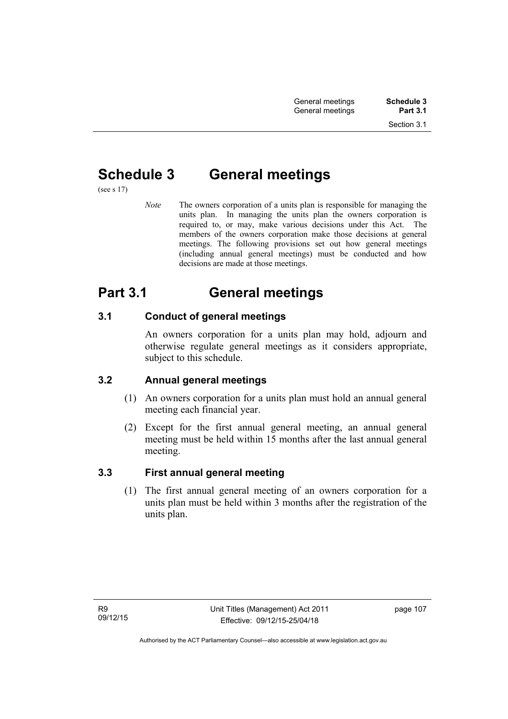# **Schedule 3 General meetings**

(see s 17)

*Note* The owners corporation of a units plan is responsible for managing the units plan. In managing the units plan the owners corporation is required to, or may, make various decisions under this Act. The members of the owners corporation make those decisions at general meetings. The following provisions set out how general meetings (including annual general meetings) must be conducted and how decisions are made at those meetings.

## **Part 3.1 General meetings**

## **3.1 Conduct of general meetings**

An owners corporation for a units plan may hold, adjourn and otherwise regulate general meetings as it considers appropriate, subject to this schedule.

## **3.2 Annual general meetings**

- (1) An owners corporation for a units plan must hold an annual general meeting each financial year.
- (2) Except for the first annual general meeting, an annual general meeting must be held within 15 months after the last annual general meeting.

## **3.3 First annual general meeting**

(1) The first annual general meeting of an owners corporation for a units plan must be held within 3 months after the registration of the units plan.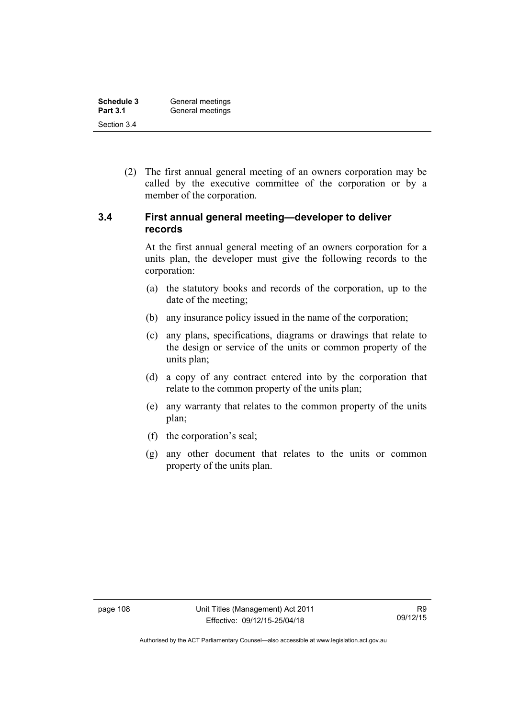| <b>Schedule 3</b> | General meetings |
|-------------------|------------------|
| <b>Part 3.1</b>   | General meetings |
| Section 3.4       |                  |

 (2) The first annual general meeting of an owners corporation may be called by the executive committee of the corporation or by a member of the corporation.

#### **3.4 First annual general meeting—developer to deliver records**

At the first annual general meeting of an owners corporation for a units plan, the developer must give the following records to the corporation:

- (a) the statutory books and records of the corporation, up to the date of the meeting;
- (b) any insurance policy issued in the name of the corporation;
- (c) any plans, specifications, diagrams or drawings that relate to the design or service of the units or common property of the units plan;
- (d) a copy of any contract entered into by the corporation that relate to the common property of the units plan;
- (e) any warranty that relates to the common property of the units plan;
- (f) the corporation's seal;
- (g) any other document that relates to the units or common property of the units plan.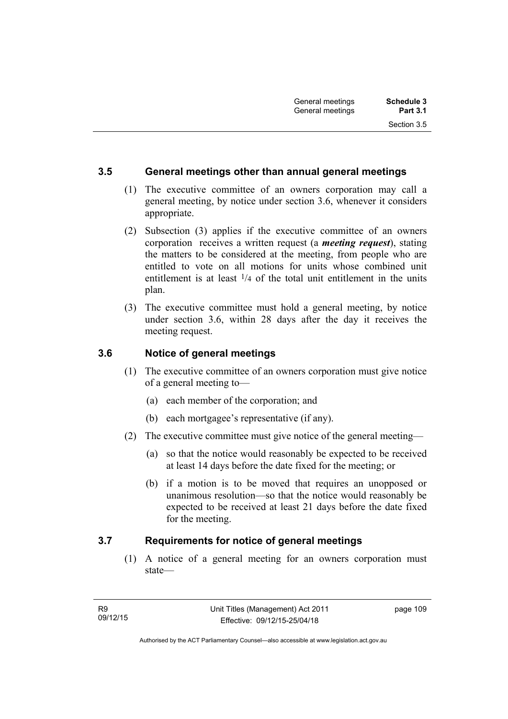### **3.5 General meetings other than annual general meetings**

- (1) The executive committee of an owners corporation may call a general meeting, by notice under section 3.6, whenever it considers appropriate.
- (2) Subsection (3) applies if the executive committee of an owners corporation receives a written request (a *meeting request*), stating the matters to be considered at the meeting, from people who are entitled to vote on all motions for units whose combined unit entitlement is at least  $\frac{1}{4}$  of the total unit entitlement in the units plan.
- (3) The executive committee must hold a general meeting, by notice under section 3.6, within 28 days after the day it receives the meeting request.

#### **3.6 Notice of general meetings**

- (1) The executive committee of an owners corporation must give notice of a general meeting to—
	- (a) each member of the corporation; and
	- (b) each mortgagee's representative (if any).
- (2) The executive committee must give notice of the general meeting—
	- (a) so that the notice would reasonably be expected to be received at least 14 days before the date fixed for the meeting; or
	- (b) if a motion is to be moved that requires an unopposed or unanimous resolution—so that the notice would reasonably be expected to be received at least 21 days before the date fixed for the meeting.

#### **3.7 Requirements for notice of general meetings**

(1) A notice of a general meeting for an owners corporation must state—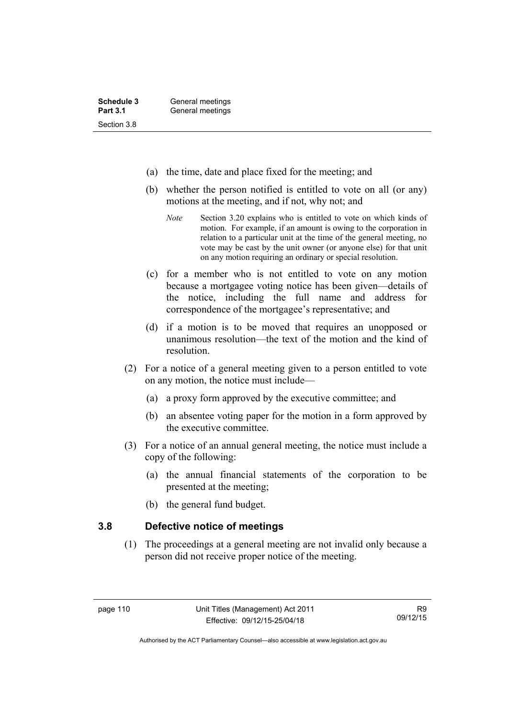- (a) the time, date and place fixed for the meeting; and
- (b) whether the person notified is entitled to vote on all (or any) motions at the meeting, and if not, why not; and
	- *Note* Section 3.20 explains who is entitled to vote on which kinds of motion. For example, if an amount is owing to the corporation in relation to a particular unit at the time of the general meeting, no vote may be cast by the unit owner (or anyone else) for that unit on any motion requiring an ordinary or special resolution.
- (c) for a member who is not entitled to vote on any motion because a mortgagee voting notice has been given—details of the notice, including the full name and address for correspondence of the mortgagee's representative; and
- (d) if a motion is to be moved that requires an unopposed or unanimous resolution—the text of the motion and the kind of resolution.
- (2) For a notice of a general meeting given to a person entitled to vote on any motion, the notice must include—
	- (a) a proxy form approved by the executive committee; and
	- (b) an absentee voting paper for the motion in a form approved by the executive committee.
- (3) For a notice of an annual general meeting, the notice must include a copy of the following:
	- (a) the annual financial statements of the corporation to be presented at the meeting;
	- (b) the general fund budget.

#### **3.8 Defective notice of meetings**

(1) The proceedings at a general meeting are not invalid only because a person did not receive proper notice of the meeting.

Authorised by the ACT Parliamentary Counsel—also accessible at www.legislation.act.gov.au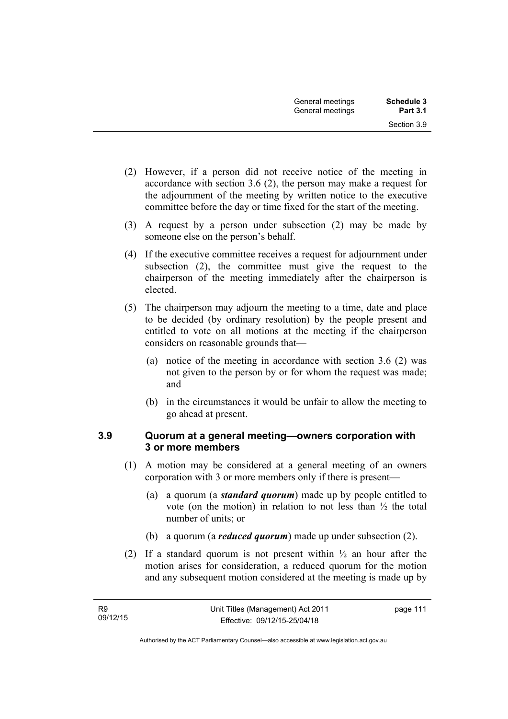- (2) However, if a person did not receive notice of the meeting in accordance with section 3.6 (2), the person may make a request for the adjournment of the meeting by written notice to the executive committee before the day or time fixed for the start of the meeting.
- (3) A request by a person under subsection (2) may be made by someone else on the person's behalf.
- (4) If the executive committee receives a request for adjournment under subsection (2), the committee must give the request to the chairperson of the meeting immediately after the chairperson is elected.
- (5) The chairperson may adjourn the meeting to a time, date and place to be decided (by ordinary resolution) by the people present and entitled to vote on all motions at the meeting if the chairperson considers on reasonable grounds that—
	- (a) notice of the meeting in accordance with section 3.6 (2) was not given to the person by or for whom the request was made; and
	- (b) in the circumstances it would be unfair to allow the meeting to go ahead at present.

### **3.9 Quorum at a general meeting—owners corporation with 3 or more members**

- (1) A motion may be considered at a general meeting of an owners corporation with 3 or more members only if there is present—
	- (a) a quorum (a *standard quorum*) made up by people entitled to vote (on the motion) in relation to not less than ½ the total number of units; or
	- (b) a quorum (a *reduced quorum*) made up under subsection (2).
- (2) If a standard quorum is not present within  $\frac{1}{2}$  an hour after the motion arises for consideration, a reduced quorum for the motion and any subsequent motion considered at the meeting is made up by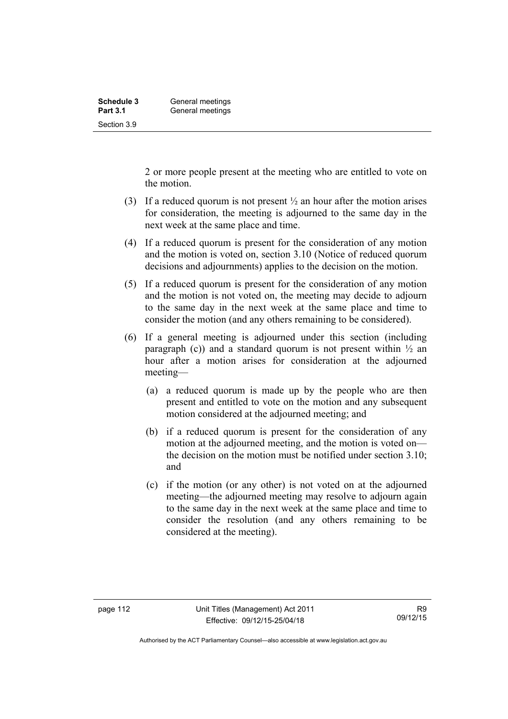| <b>Schedule 3</b> | General meetings |
|-------------------|------------------|
| <b>Part 3.1</b>   | General meetings |
| Section 3.9       |                  |

2 or more people present at the meeting who are entitled to vote on the motion.

- (3) If a reduced quorum is not present  $\frac{1}{2}$  an hour after the motion arises for consideration, the meeting is adjourned to the same day in the next week at the same place and time.
- (4) If a reduced quorum is present for the consideration of any motion and the motion is voted on, section 3.10 (Notice of reduced quorum decisions and adjournments) applies to the decision on the motion.
- (5) If a reduced quorum is present for the consideration of any motion and the motion is not voted on, the meeting may decide to adjourn to the same day in the next week at the same place and time to consider the motion (and any others remaining to be considered).
- (6) If a general meeting is adjourned under this section (including paragraph (c)) and a standard quorum is not present within  $\frac{1}{2}$  an hour after a motion arises for consideration at the adjourned meeting—
	- (a) a reduced quorum is made up by the people who are then present and entitled to vote on the motion and any subsequent motion considered at the adjourned meeting; and
	- (b) if a reduced quorum is present for the consideration of any motion at the adjourned meeting, and the motion is voted on the decision on the motion must be notified under section 3.10; and
	- (c) if the motion (or any other) is not voted on at the adjourned meeting—the adjourned meeting may resolve to adjourn again to the same day in the next week at the same place and time to consider the resolution (and any others remaining to be considered at the meeting).

Authorised by the ACT Parliamentary Counsel—also accessible at www.legislation.act.gov.au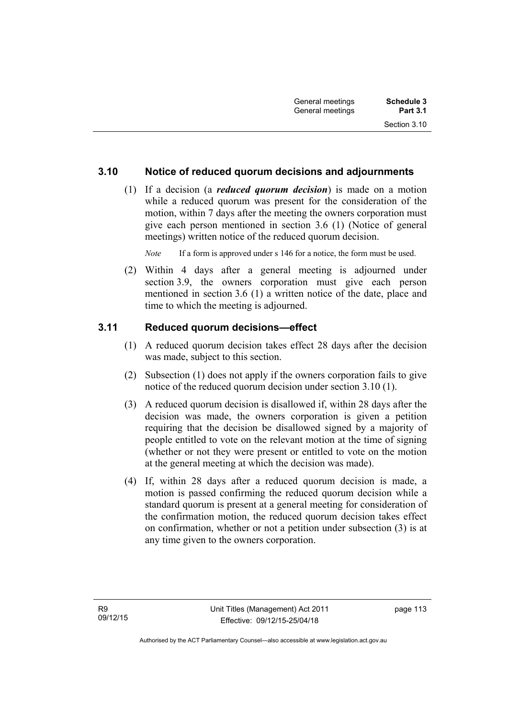## **3.10 Notice of reduced quorum decisions and adjournments**

 (1) If a decision (a *reduced quorum decision*) is made on a motion while a reduced quorum was present for the consideration of the motion, within 7 days after the meeting the owners corporation must give each person mentioned in section 3.6 (1) (Notice of general meetings) written notice of the reduced quorum decision.

*Note* If a form is approved under s 146 for a notice, the form must be used.

 (2) Within 4 days after a general meeting is adjourned under section 3.9, the owners corporation must give each person mentioned in section 3.6 (1) a written notice of the date, place and time to which the meeting is adjourned.

### **3.11 Reduced quorum decisions—effect**

- (1) A reduced quorum decision takes effect 28 days after the decision was made, subject to this section.
- (2) Subsection (1) does not apply if the owners corporation fails to give notice of the reduced quorum decision under section 3.10 (1).
- (3) A reduced quorum decision is disallowed if, within 28 days after the decision was made, the owners corporation is given a petition requiring that the decision be disallowed signed by a majority of people entitled to vote on the relevant motion at the time of signing (whether or not they were present or entitled to vote on the motion at the general meeting at which the decision was made).
- (4) If, within 28 days after a reduced quorum decision is made, a motion is passed confirming the reduced quorum decision while a standard quorum is present at a general meeting for consideration of the confirmation motion, the reduced quorum decision takes effect on confirmation, whether or not a petition under subsection (3) is at any time given to the owners corporation.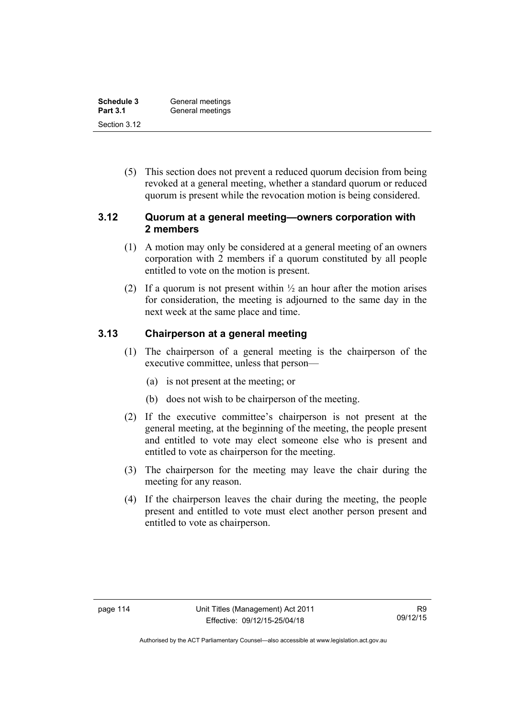| Schedule 3      | General meetings |
|-----------------|------------------|
| <b>Part 3.1</b> | General meetings |
| Section 3.12    |                  |

 (5) This section does not prevent a reduced quorum decision from being revoked at a general meeting, whether a standard quorum or reduced quorum is present while the revocation motion is being considered.

#### **3.12 Quorum at a general meeting—owners corporation with 2 members**

- (1) A motion may only be considered at a general meeting of an owners corporation with 2 members if a quorum constituted by all people entitled to vote on the motion is present.
- (2) If a quorum is not present within  $\frac{1}{2}$  an hour after the motion arises for consideration, the meeting is adjourned to the same day in the next week at the same place and time.

#### **3.13 Chairperson at a general meeting**

- (1) The chairperson of a general meeting is the chairperson of the executive committee, unless that person—
	- (a) is not present at the meeting; or
	- (b) does not wish to be chairperson of the meeting.
- (2) If the executive committee's chairperson is not present at the general meeting, at the beginning of the meeting, the people present and entitled to vote may elect someone else who is present and entitled to vote as chairperson for the meeting.
- (3) The chairperson for the meeting may leave the chair during the meeting for any reason.
- (4) If the chairperson leaves the chair during the meeting, the people present and entitled to vote must elect another person present and entitled to vote as chairperson.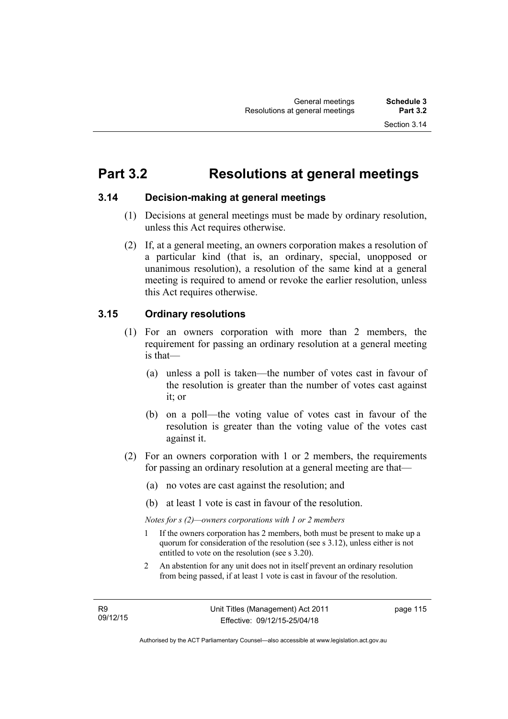## **Part 3.2 Resolutions at general meetings**

#### **3.14 Decision-making at general meetings**

- (1) Decisions at general meetings must be made by ordinary resolution, unless this Act requires otherwise.
- (2) If, at a general meeting, an owners corporation makes a resolution of a particular kind (that is, an ordinary, special, unopposed or unanimous resolution), a resolution of the same kind at a general meeting is required to amend or revoke the earlier resolution, unless this Act requires otherwise.

### **3.15 Ordinary resolutions**

- (1) For an owners corporation with more than 2 members, the requirement for passing an ordinary resolution at a general meeting is that—
	- (a) unless a poll is taken—the number of votes cast in favour of the resolution is greater than the number of votes cast against it; or
	- (b) on a poll—the voting value of votes cast in favour of the resolution is greater than the voting value of the votes cast against it.
- (2) For an owners corporation with 1 or 2 members, the requirements for passing an ordinary resolution at a general meeting are that—
	- (a) no votes are cast against the resolution; and
	- (b) at least 1 vote is cast in favour of the resolution.

*Notes for s (2)—owners corporations with 1 or 2 members* 

- 1 If the owners corporation has 2 members, both must be present to make up a quorum for consideration of the resolution (see s 3.12), unless either is not entitled to vote on the resolution (see s 3.20).
- 2 An abstention for any unit does not in itself prevent an ordinary resolution from being passed, if at least 1 vote is cast in favour of the resolution.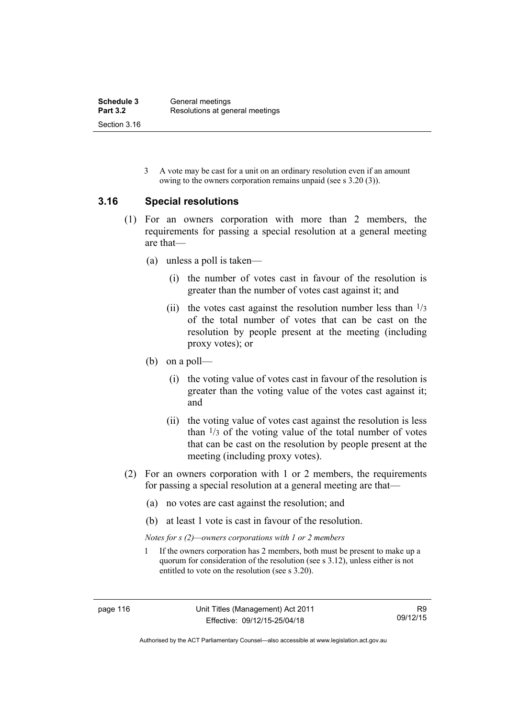3 A vote may be cast for a unit on an ordinary resolution even if an amount owing to the owners corporation remains unpaid (see s 3.20 (3)).

#### **3.16 Special resolutions**

- (1) For an owners corporation with more than 2 members, the requirements for passing a special resolution at a general meeting are that—
	- (a) unless a poll is taken—
		- (i) the number of votes cast in favour of the resolution is greater than the number of votes cast against it; and
		- (ii) the votes cast against the resolution number less than  $\frac{1}{3}$ of the total number of votes that can be cast on the resolution by people present at the meeting (including proxy votes); or
	- (b) on a poll—
		- (i) the voting value of votes cast in favour of the resolution is greater than the voting value of the votes cast against it; and
		- (ii) the voting value of votes cast against the resolution is less than  $\frac{1}{3}$  of the voting value of the total number of votes that can be cast on the resolution by people present at the meeting (including proxy votes).
- (2) For an owners corporation with 1 or 2 members, the requirements for passing a special resolution at a general meeting are that—
	- (a) no votes are cast against the resolution; and
	- (b) at least 1 vote is cast in favour of the resolution.
	- *Notes for s (2)—owners corporations with 1 or 2 members*
	- 1 If the owners corporation has 2 members, both must be present to make up a quorum for consideration of the resolution (see s 3.12), unless either is not entitled to vote on the resolution (see s 3.20).

Authorised by the ACT Parliamentary Counsel—also accessible at www.legislation.act.gov.au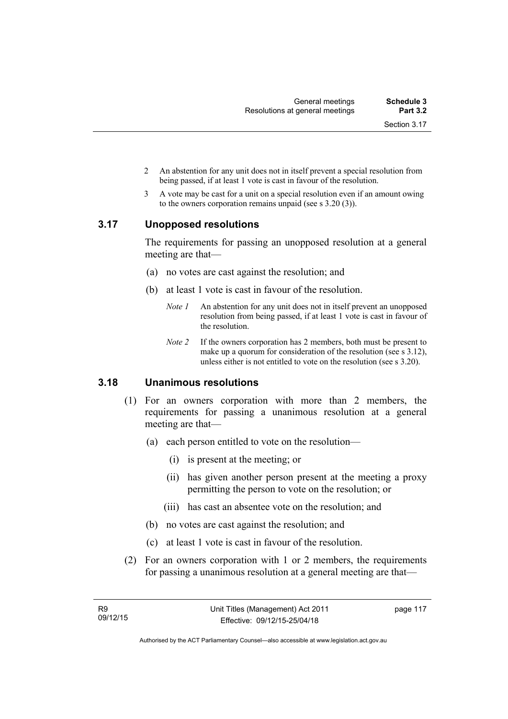- 2 An abstention for any unit does not in itself prevent a special resolution from being passed, if at least 1 vote is cast in favour of the resolution.
- 3 A vote may be cast for a unit on a special resolution even if an amount owing to the owners corporation remains unpaid (see s 3.20 (3)).

#### **3.17 Unopposed resolutions**

The requirements for passing an unopposed resolution at a general meeting are that—

- (a) no votes are cast against the resolution; and
- (b) at least 1 vote is cast in favour of the resolution.
	- *Note 1* An abstention for any unit does not in itself prevent an unopposed resolution from being passed, if at least 1 vote is cast in favour of the resolution.
	- *Note 2* If the owners corporation has 2 members, both must be present to make up a quorum for consideration of the resolution (see s 3.12), unless either is not entitled to vote on the resolution (see s 3.20).

### **3.18 Unanimous resolutions**

- (1) For an owners corporation with more than 2 members, the requirements for passing a unanimous resolution at a general meeting are that—
	- (a) each person entitled to vote on the resolution—
		- (i) is present at the meeting; or
		- (ii) has given another person present at the meeting a proxy permitting the person to vote on the resolution; or
		- (iii) has cast an absentee vote on the resolution; and
	- (b) no votes are cast against the resolution; and
	- (c) at least 1 vote is cast in favour of the resolution.
- (2) For an owners corporation with 1 or 2 members, the requirements for passing a unanimous resolution at a general meeting are that—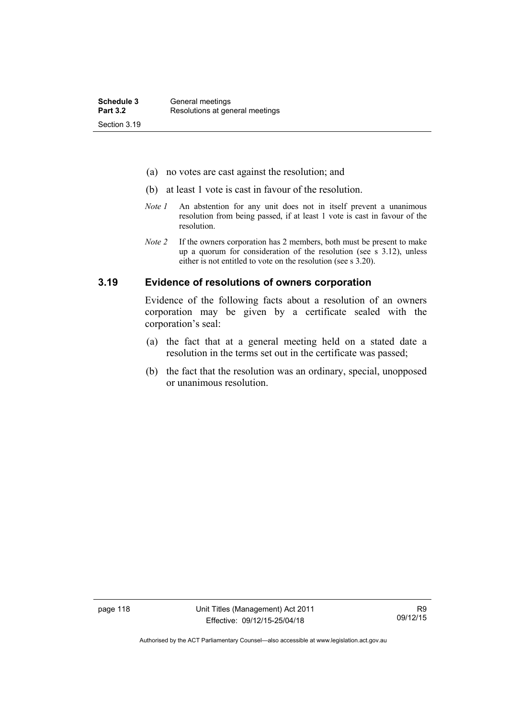- (a) no votes are cast against the resolution; and
- (b) at least 1 vote is cast in favour of the resolution.
- *Note 1* An abstention for any unit does not in itself prevent a unanimous resolution from being passed, if at least 1 vote is cast in favour of the resolution.
- *Note 2* If the owners corporation has 2 members, both must be present to make up a quorum for consideration of the resolution (see s 3.12), unless either is not entitled to vote on the resolution (see s 3.20).

#### **3.19 Evidence of resolutions of owners corporation**

Evidence of the following facts about a resolution of an owners corporation may be given by a certificate sealed with the corporation's seal:

- (a) the fact that at a general meeting held on a stated date a resolution in the terms set out in the certificate was passed;
- (b) the fact that the resolution was an ordinary, special, unopposed or unanimous resolution.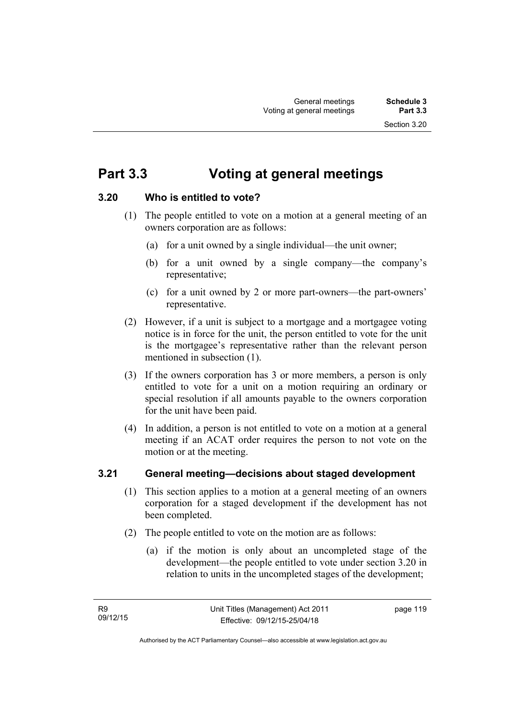## **Part 3.3 Voting at general meetings**

## **3.20 Who is entitled to vote?**

- (1) The people entitled to vote on a motion at a general meeting of an owners corporation are as follows:
	- (a) for a unit owned by a single individual—the unit owner;
	- (b) for a unit owned by a single company—the company's representative;
	- (c) for a unit owned by 2 or more part-owners—the part-owners' representative.
- (2) However, if a unit is subject to a mortgage and a mortgagee voting notice is in force for the unit, the person entitled to vote for the unit is the mortgagee's representative rather than the relevant person mentioned in subsection (1).
- (3) If the owners corporation has 3 or more members, a person is only entitled to vote for a unit on a motion requiring an ordinary or special resolution if all amounts payable to the owners corporation for the unit have been paid.
- (4) In addition, a person is not entitled to vote on a motion at a general meeting if an ACAT order requires the person to not vote on the motion or at the meeting.

## **3.21 General meeting—decisions about staged development**

- (1) This section applies to a motion at a general meeting of an owners corporation for a staged development if the development has not been completed.
- (2) The people entitled to vote on the motion are as follows:
	- (a) if the motion is only about an uncompleted stage of the development—the people entitled to vote under section 3.20 in relation to units in the uncompleted stages of the development;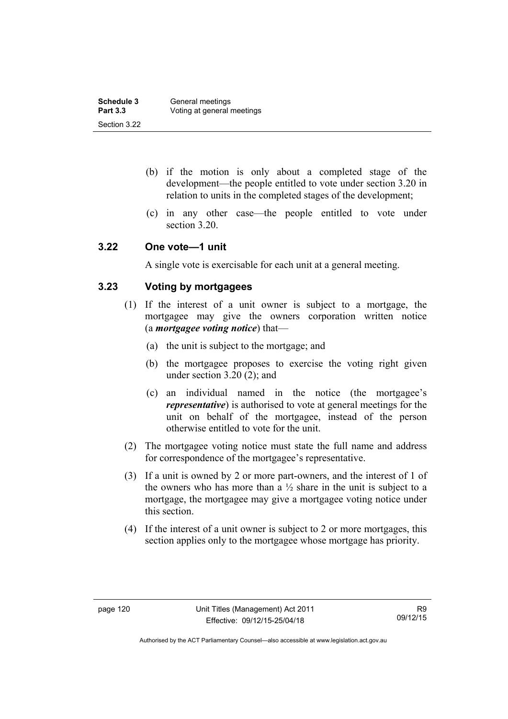- (b) if the motion is only about a completed stage of the development—the people entitled to vote under section 3.20 in relation to units in the completed stages of the development;
- (c) in any other case—the people entitled to vote under section 3.20.

#### **3.22 One vote—1 unit**

A single vote is exercisable for each unit at a general meeting.

## **3.23 Voting by mortgagees**

- (1) If the interest of a unit owner is subject to a mortgage, the mortgagee may give the owners corporation written notice (a *mortgagee voting notice*) that—
	- (a) the unit is subject to the mortgage; and
	- (b) the mortgagee proposes to exercise the voting right given under section 3.20 (2); and
	- (c) an individual named in the notice (the mortgagee's *representative*) is authorised to vote at general meetings for the unit on behalf of the mortgagee, instead of the person otherwise entitled to vote for the unit.
- (2) The mortgagee voting notice must state the full name and address for correspondence of the mortgagee's representative.
- (3) If a unit is owned by 2 or more part-owners, and the interest of 1 of the owners who has more than a  $\frac{1}{2}$  share in the unit is subject to a mortgage, the mortgagee may give a mortgagee voting notice under this section.
- (4) If the interest of a unit owner is subject to 2 or more mortgages, this section applies only to the mortgagee whose mortgage has priority.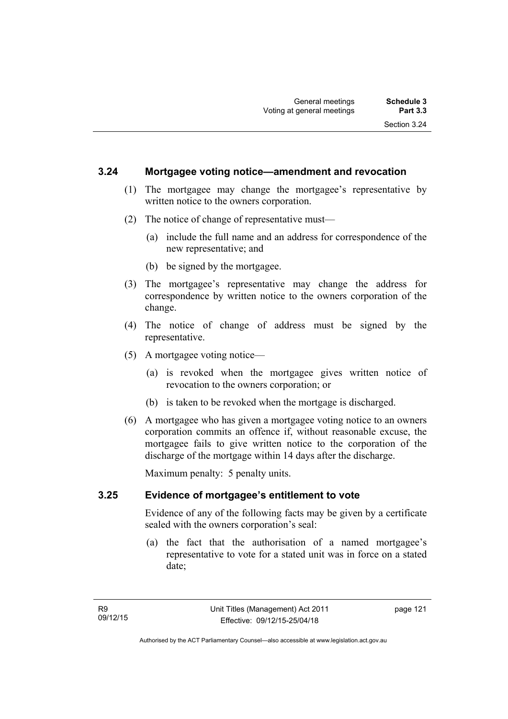#### **3.24 Mortgagee voting notice—amendment and revocation**

- (1) The mortgagee may change the mortgagee's representative by written notice to the owners corporation.
- (2) The notice of change of representative must—
	- (a) include the full name and an address for correspondence of the new representative; and
	- (b) be signed by the mortgagee.
- (3) The mortgagee's representative may change the address for correspondence by written notice to the owners corporation of the change.
- (4) The notice of change of address must be signed by the representative.
- (5) A mortgagee voting notice—
	- (a) is revoked when the mortgagee gives written notice of revocation to the owners corporation; or
	- (b) is taken to be revoked when the mortgage is discharged.
- (6) A mortgagee who has given a mortgagee voting notice to an owners corporation commits an offence if, without reasonable excuse, the mortgagee fails to give written notice to the corporation of the discharge of the mortgage within 14 days after the discharge.

Maximum penalty: 5 penalty units.

#### **3.25 Evidence of mortgagee's entitlement to vote**

Evidence of any of the following facts may be given by a certificate sealed with the owners corporation's seal:

 (a) the fact that the authorisation of a named mortgagee's representative to vote for a stated unit was in force on a stated date;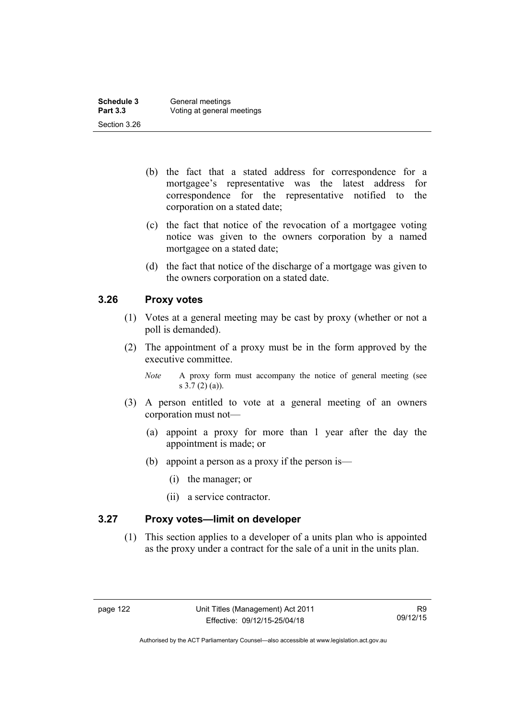| Schedule 3      | General meetings           |
|-----------------|----------------------------|
| <b>Part 3.3</b> | Voting at general meetings |
| Section 3.26    |                            |

- (b) the fact that a stated address for correspondence for a mortgagee's representative was the latest address for correspondence for the representative notified to the corporation on a stated date;
- (c) the fact that notice of the revocation of a mortgagee voting notice was given to the owners corporation by a named mortgagee on a stated date;
- (d) the fact that notice of the discharge of a mortgage was given to the owners corporation on a stated date.

### **3.26 Proxy votes**

- (1) Votes at a general meeting may be cast by proxy (whether or not a poll is demanded).
- (2) The appointment of a proxy must be in the form approved by the executive committee.
	- *Note* A proxy form must accompany the notice of general meeting (see s 3.7 (2) (a)).
- (3) A person entitled to vote at a general meeting of an owners corporation must not—
	- (a) appoint a proxy for more than 1 year after the day the appointment is made; or
	- (b) appoint a person as a proxy if the person is—
		- (i) the manager; or
		- (ii) a service contractor.

#### **3.27 Proxy votes—limit on developer**

(1) This section applies to a developer of a units plan who is appointed as the proxy under a contract for the sale of a unit in the units plan.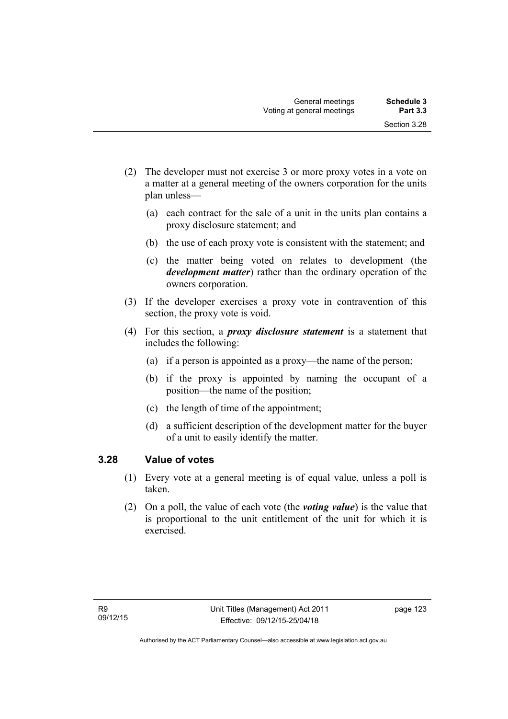- (2) The developer must not exercise 3 or more proxy votes in a vote on a matter at a general meeting of the owners corporation for the units plan unless—
	- (a) each contract for the sale of a unit in the units plan contains a proxy disclosure statement; and
	- (b) the use of each proxy vote is consistent with the statement; and
	- (c) the matter being voted on relates to development (the *development matter*) rather than the ordinary operation of the owners corporation.
- (3) If the developer exercises a proxy vote in contravention of this section, the proxy vote is void.
- (4) For this section, a *proxy disclosure statement* is a statement that includes the following:
	- (a) if a person is appointed as a proxy—the name of the person;
	- (b) if the proxy is appointed by naming the occupant of a position—the name of the position;
	- (c) the length of time of the appointment;
	- (d) a sufficient description of the development matter for the buyer of a unit to easily identify the matter.

### **3.28 Value of votes**

- (1) Every vote at a general meeting is of equal value, unless a poll is taken.
- (2) On a poll, the value of each vote (the *voting value*) is the value that is proportional to the unit entitlement of the unit for which it is exercised.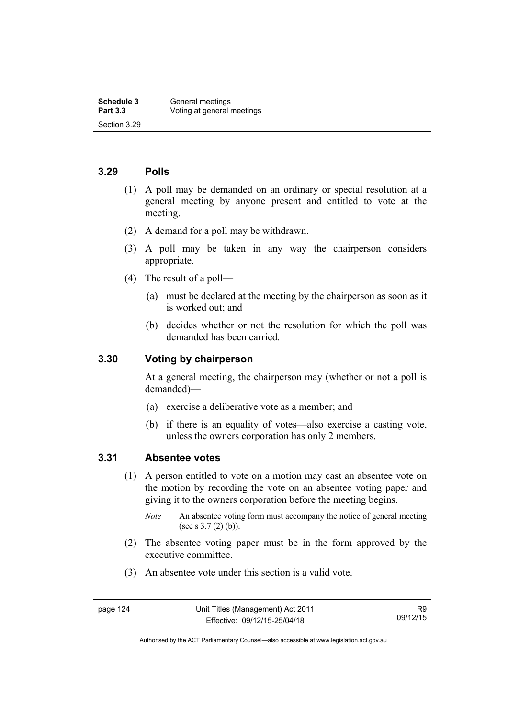#### **3.29 Polls**

- (1) A poll may be demanded on an ordinary or special resolution at a general meeting by anyone present and entitled to vote at the meeting.
- (2) A demand for a poll may be withdrawn.
- (3) A poll may be taken in any way the chairperson considers appropriate.
- (4) The result of a poll—
	- (a) must be declared at the meeting by the chairperson as soon as it is worked out; and
	- (b) decides whether or not the resolution for which the poll was demanded has been carried.

#### **3.30 Voting by chairperson**

At a general meeting, the chairperson may (whether or not a poll is demanded)—

- (a) exercise a deliberative vote as a member; and
- (b) if there is an equality of votes—also exercise a casting vote, unless the owners corporation has only 2 members.

#### **3.31 Absentee votes**

- (1) A person entitled to vote on a motion may cast an absentee vote on the motion by recording the vote on an absentee voting paper and giving it to the owners corporation before the meeting begins.
	- *Note* An absentee voting form must accompany the notice of general meeting (see s 3.7 (2) (b)).
- (2) The absentee voting paper must be in the form approved by the executive committee.
- (3) An absentee vote under this section is a valid vote.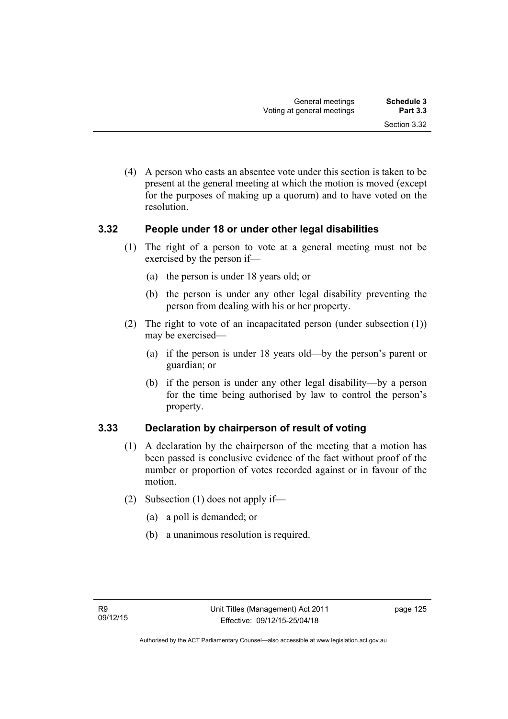(4) A person who casts an absentee vote under this section is taken to be present at the general meeting at which the motion is moved (except for the purposes of making up a quorum) and to have voted on the resolution.

#### **3.32 People under 18 or under other legal disabilities**

- (1) The right of a person to vote at a general meeting must not be exercised by the person if—
	- (a) the person is under 18 years old; or
	- (b) the person is under any other legal disability preventing the person from dealing with his or her property.
- (2) The right to vote of an incapacitated person (under subsection (1)) may be exercised—
	- (a) if the person is under 18 years old—by the person's parent or guardian; or
	- (b) if the person is under any other legal disability—by a person for the time being authorised by law to control the person's property.

### **3.33 Declaration by chairperson of result of voting**

- (1) A declaration by the chairperson of the meeting that a motion has been passed is conclusive evidence of the fact without proof of the number or proportion of votes recorded against or in favour of the motion.
- (2) Subsection (1) does not apply if—
	- (a) a poll is demanded; or
	- (b) a unanimous resolution is required.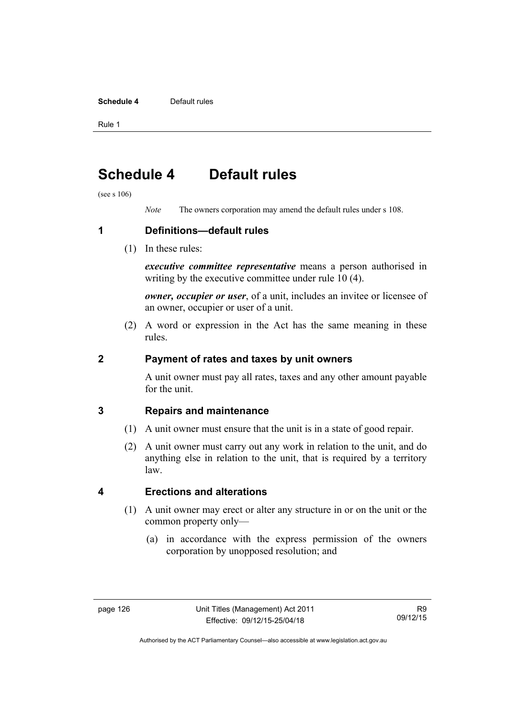#### **Schedule 4** Default rules

Rule 1

## **Schedule 4 Default rules**

(see s 106)

*Note* The owners corporation may amend the default rules under s 108.

**1 Definitions—default rules** 

(1) In these rules:

*executive committee representative* means a person authorised in writing by the executive committee under rule 10 (4).

*owner, occupier or user*, of a unit, includes an invitee or licensee of an owner, occupier or user of a unit.

 (2) A word or expression in the Act has the same meaning in these rules.

#### **2 Payment of rates and taxes by unit owners**

A unit owner must pay all rates, taxes and any other amount payable for the unit.

### **3 Repairs and maintenance**

- (1) A unit owner must ensure that the unit is in a state of good repair.
- (2) A unit owner must carry out any work in relation to the unit, and do anything else in relation to the unit, that is required by a territory law.

## **4 Erections and alterations**

- (1) A unit owner may erect or alter any structure in or on the unit or the common property only—
	- (a) in accordance with the express permission of the owners corporation by unopposed resolution; and

Authorised by the ACT Parliamentary Counsel—also accessible at www.legislation.act.gov.au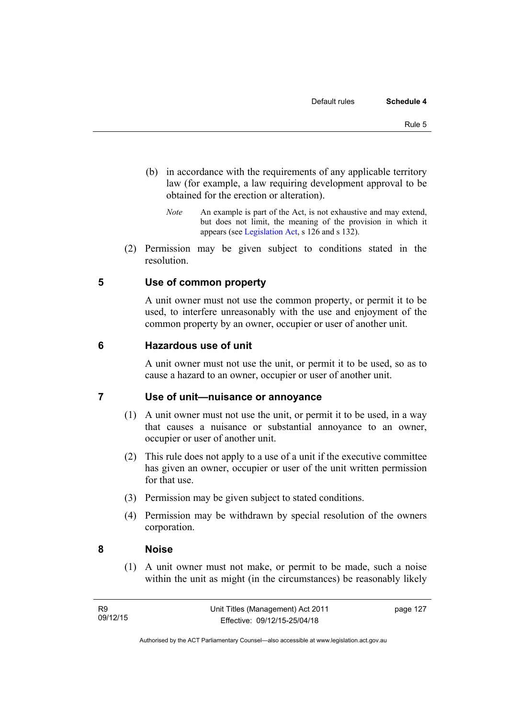- (b) in accordance with the requirements of any applicable territory law (for example, a law requiring development approval to be obtained for the erection or alteration).
	- *Note* An example is part of the Act, is not exhaustive and may extend, but does not limit, the meaning of the provision in which it appears (see [Legislation Act,](http://www.legislation.act.gov.au/a/2001-14) s 126 and s 132).
- (2) Permission may be given subject to conditions stated in the resolution.

### **5 Use of common property**

A unit owner must not use the common property, or permit it to be used, to interfere unreasonably with the use and enjoyment of the common property by an owner, occupier or user of another unit.

#### **6 Hazardous use of unit**

A unit owner must not use the unit, or permit it to be used, so as to cause a hazard to an owner, occupier or user of another unit.

#### **7 Use of unit—nuisance or annoyance**

- (1) A unit owner must not use the unit, or permit it to be used, in a way that causes a nuisance or substantial annoyance to an owner, occupier or user of another unit.
- (2) This rule does not apply to a use of a unit if the executive committee has given an owner, occupier or user of the unit written permission for that use.
- (3) Permission may be given subject to stated conditions.
- (4) Permission may be withdrawn by special resolution of the owners corporation.

#### **8 Noise**

(1) A unit owner must not make, or permit to be made, such a noise within the unit as might (in the circumstances) be reasonably likely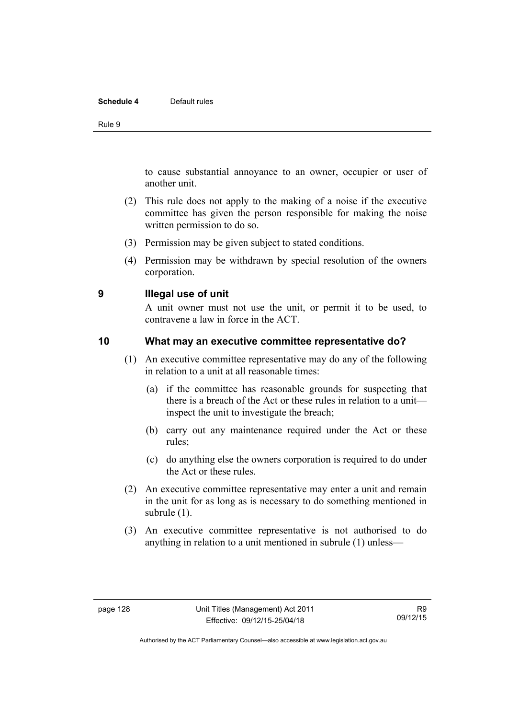#### **Schedule 4** Default rules

Rule 9

to cause substantial annoyance to an owner, occupier or user of another unit.

- (2) This rule does not apply to the making of a noise if the executive committee has given the person responsible for making the noise written permission to do so.
- (3) Permission may be given subject to stated conditions.
- (4) Permission may be withdrawn by special resolution of the owners corporation.

#### **9 Illegal use of unit**

A unit owner must not use the unit, or permit it to be used, to contravene a law in force in the ACT.

#### **10 What may an executive committee representative do?**

- (1) An executive committee representative may do any of the following in relation to a unit at all reasonable times:
	- (a) if the committee has reasonable grounds for suspecting that there is a breach of the Act or these rules in relation to a unit inspect the unit to investigate the breach;
	- (b) carry out any maintenance required under the Act or these rules;
	- (c) do anything else the owners corporation is required to do under the Act or these rules.
- (2) An executive committee representative may enter a unit and remain in the unit for as long as is necessary to do something mentioned in subrule (1).
- (3) An executive committee representative is not authorised to do anything in relation to a unit mentioned in subrule (1) unless—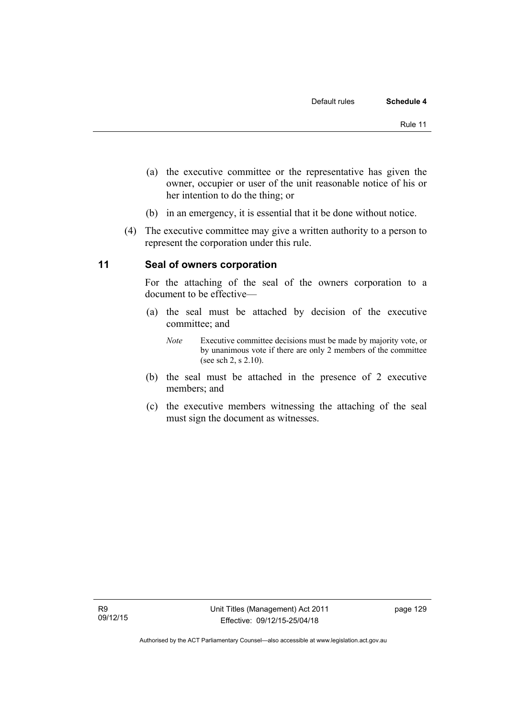- (a) the executive committee or the representative has given the owner, occupier or user of the unit reasonable notice of his or her intention to do the thing; or
- (b) in an emergency, it is essential that it be done without notice.
- (4) The executive committee may give a written authority to a person to represent the corporation under this rule.

#### **11 Seal of owners corporation**

For the attaching of the seal of the owners corporation to a document to be effective—

- (a) the seal must be attached by decision of the executive committee; and
	- *Note* Executive committee decisions must be made by majority vote, or by unanimous vote if there are only 2 members of the committee (see sch 2, s 2.10).
- (b) the seal must be attached in the presence of 2 executive members; and
- (c) the executive members witnessing the attaching of the seal must sign the document as witnesses.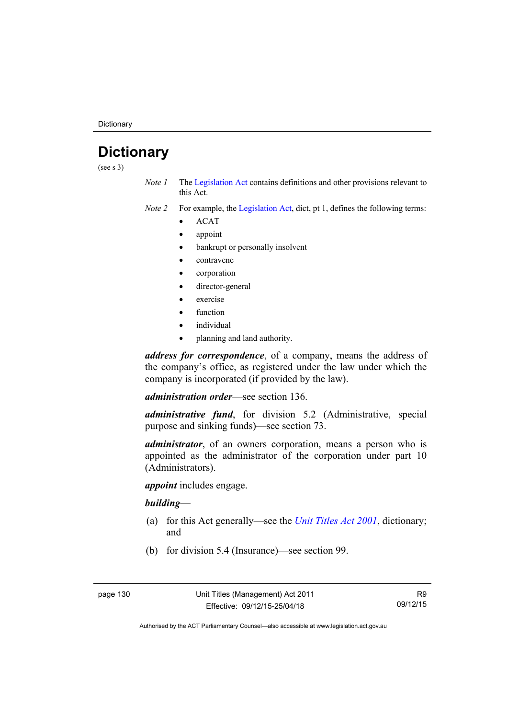**Dictionary** 

## **Dictionary**

(see s 3)

- *Note 1* The [Legislation Act](http://www.legislation.act.gov.au/a/2001-14) contains definitions and other provisions relevant to this Act.
- *Note 2* For example, the [Legislation Act,](http://www.legislation.act.gov.au/a/2001-14) dict, pt 1, defines the following terms:
	- ACAT
	- appoint
	- bankrupt or personally insolvent
	- contravene
	- corporation
	- director-general
	- exercise
	- function
	- individual
	- planning and land authority.

*address for correspondence*, of a company, means the address of the company's office, as registered under the law under which the company is incorporated (if provided by the law).

*administration order*—see section 136.

*administrative fund*, for division 5.2 (Administrative, special purpose and sinking funds)—see section 73.

*administrator*, of an owners corporation, means a person who is appointed as the administrator of the corporation under part 10 (Administrators).

*appoint* includes engage.

#### *building*—

- (a) for this Act generally—see the *[Unit Titles Act 2001](http://www.legislation.act.gov.au/a/2001-16)*, dictionary; and
- (b) for division 5.4 (Insurance)—see section 99.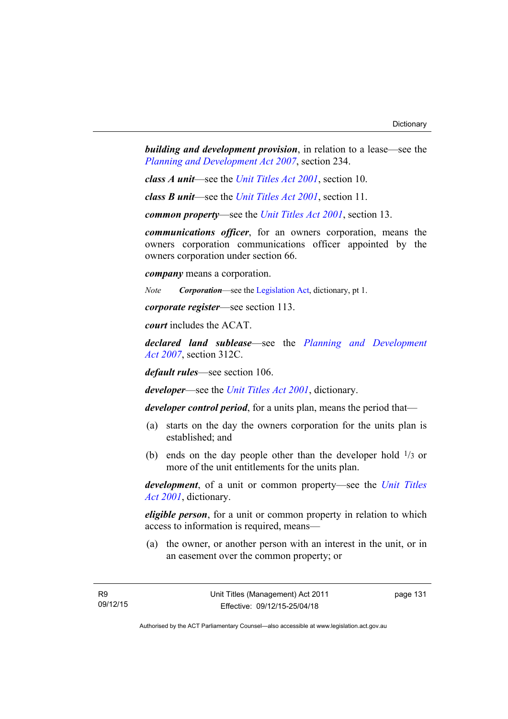*building and development provision*, in relation to a lease—see the *[Planning and Development Act 2007](http://www.legislation.act.gov.au/a/2007-24)*, section 234.

*class A unit*—see the *[Unit Titles Act 2001](http://www.legislation.act.gov.au/a/2001-16)*, section 10.

*class B unit*—see the *[Unit Titles Act 2001](http://www.legislation.act.gov.au/a/2001-16)*, section 11.

*common property*—see the *[Unit Titles Act 2001](http://www.legislation.act.gov.au/a/2001-16)*, section 13.

*communications officer*, for an owners corporation, means the owners corporation communications officer appointed by the owners corporation under section 66.

*company* means a corporation.

*Note Corporation*—see the [Legislation Act,](http://www.legislation.act.gov.au/a/2001-14) dictionary, pt 1.

*corporate register*—see section 113.

*court* includes the ACAT.

*declared land sublease*—see the *[Planning and Development](http://www.legislation.act.gov.au/a/2007-24)  [Act 2007](http://www.legislation.act.gov.au/a/2007-24)*, section 312C.

*default rules*—see section 106.

*developer*—see the *[Unit Titles Act 2001](http://www.legislation.act.gov.au/a/2001-16)*, dictionary.

*developer control period*, for a units plan, means the period that—

- (a) starts on the day the owners corporation for the units plan is established; and
- (b) ends on the day people other than the developer hold  $\frac{1}{3}$  or more of the unit entitlements for the units plan.

*development*, of a unit or common property—see the *[Unit Titles](http://www.legislation.act.gov.au/a/2001-16)  [Act 2001](http://www.legislation.act.gov.au/a/2001-16)*, dictionary.

*eligible person*, for a unit or common property in relation to which access to information is required, means—

 (a) the owner, or another person with an interest in the unit, or in an easement over the common property; or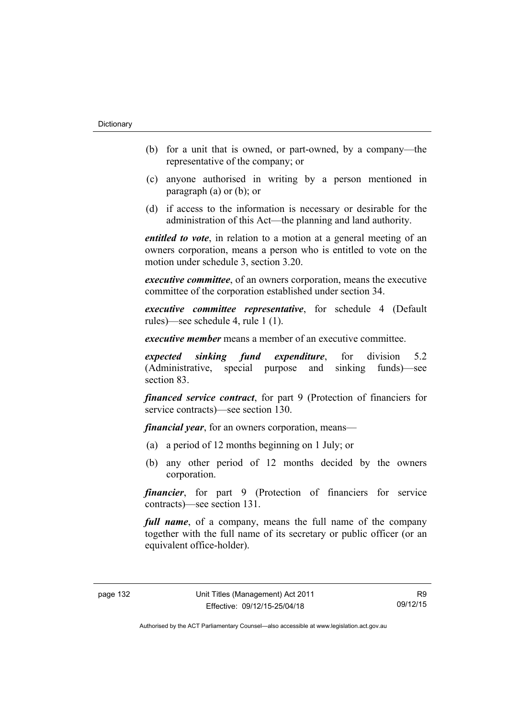- (b) for a unit that is owned, or part-owned, by a company—the representative of the company; or
- (c) anyone authorised in writing by a person mentioned in paragraph (a) or (b); or
- (d) if access to the information is necessary or desirable for the administration of this Act—the planning and land authority.

*entitled to vote*, in relation to a motion at a general meeting of an owners corporation, means a person who is entitled to vote on the motion under schedule 3, section 3.20.

*executive committee*, of an owners corporation, means the executive committee of the corporation established under section 34.

*executive committee representative*, for schedule 4 (Default rules)—see schedule 4, rule 1 (1).

*executive member* means a member of an executive committee.

*expected sinking fund expenditure*, for division 5.2 (Administrative, special purpose and sinking funds)—see section 83.

*financed service contract*, for part 9 (Protection of financiers for service contracts)—see section 130.

*financial year*, for an owners corporation, means—

- (a) a period of 12 months beginning on 1 July; or
- (b) any other period of 12 months decided by the owners corporation.

*financier*, for part 9 (Protection of financiers for service contracts)—see section 131.

*full name*, of a company, means the full name of the company together with the full name of its secretary or public officer (or an equivalent office-holder).

R9 09/12/15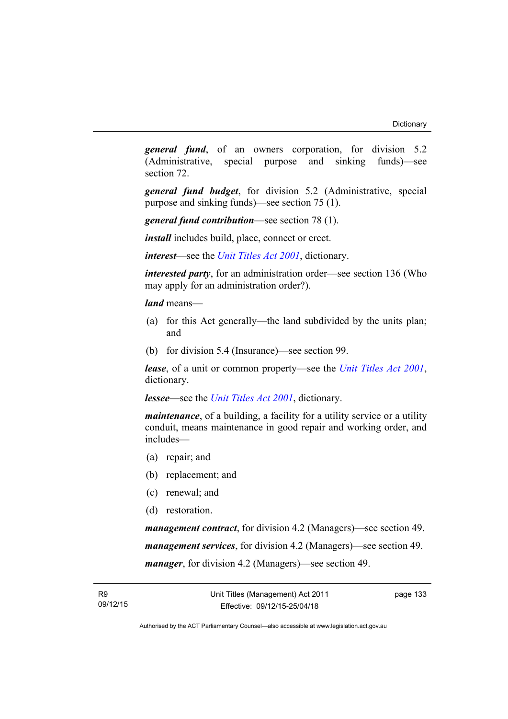*general fund*, of an owners corporation, for division 5.2 (Administrative, special purpose and sinking funds)—see section 72.

*general fund budget*, for division 5.2 (Administrative, special purpose and sinking funds)—see section 75 (1).

*general fund contribution*—see section 78 (1).

*install* includes build, place, connect or erect.

*interest*—see the *[Unit Titles Act 2001](http://www.legislation.act.gov.au/a/2001-16)*, dictionary.

*interested party*, for an administration order—see section 136 (Who may apply for an administration order?).

*land* means—

- (a) for this Act generally—the land subdivided by the units plan; and
- (b) for division 5.4 (Insurance)—see section 99.

*lease*, of a unit or common property—see the *[Unit Titles Act 2001](http://www.legislation.act.gov.au/a/2001-16)*, dictionary.

*lessee—*see the *[Unit Titles Act 2001](http://www.legislation.act.gov.au/a/2001-16)*, dictionary.

*maintenance*, of a building, a facility for a utility service or a utility conduit, means maintenance in good repair and working order, and includes—

- (a) repair; and
- (b) replacement; and
- (c) renewal; and
- (d) restoration.

*management contract*, for division 4.2 (Managers)—see section 49. *management services*, for division 4.2 (Managers)—see section 49. *manager*, for division 4.2 (Managers)—see section 49.

page 133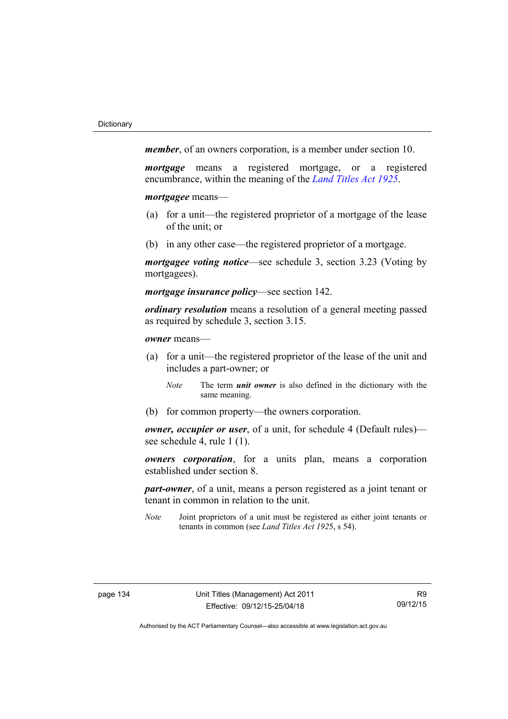*member*, of an owners corporation, is a member under section 10.

*mortgage* means a registered mortgage, or a registered encumbrance, within the meaning of the *[Land Titles Act 1925](http://www.legislation.act.gov.au/a/1925-1)*.

*mortgagee* means—

- (a) for a unit—the registered proprietor of a mortgage of the lease of the unit; or
- (b) in any other case—the registered proprietor of a mortgage.

*mortgagee voting notice*—see schedule 3, section 3.23 (Voting by mortgagees).

*mortgage insurance policy*—see section 142.

*ordinary resolution* means a resolution of a general meeting passed as required by schedule 3, section 3.15.

*owner* means—

- (a) for a unit—the registered proprietor of the lease of the unit and includes a part-owner; or
	- *Note* The term *unit owner* is also defined in the dictionary with the same meaning.
- (b) for common property—the owners corporation.

*owner, occupier or user*, of a unit, for schedule 4 (Default rules) see schedule 4, rule 1 (1).

*owners corporation*, for a units plan, means a corporation established under section 8.

*part-owner*, of a unit, means a person registered as a joint tenant or tenant in common in relation to the unit.

*Note* Joint proprietors of a unit must be registered as either joint tenants or tenants in common (see *Land Titles Act 192*5, s 54).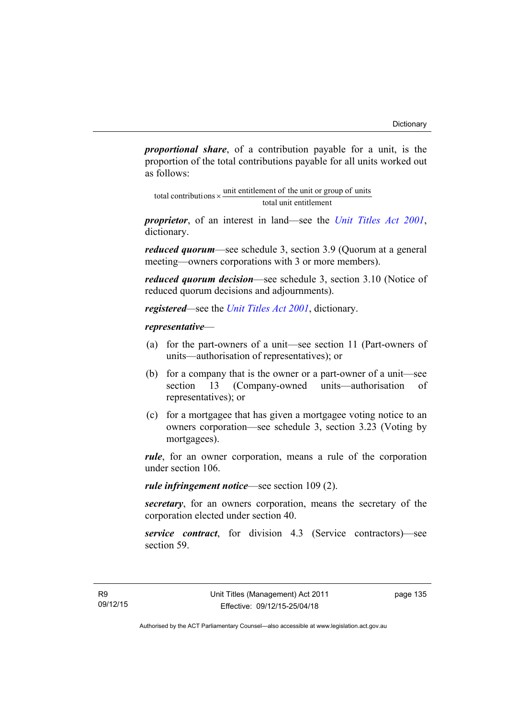*proportional share*, of a contribution payable for a unit, is the proportion of the total contributions payable for all units worked out as follows:

total unit entitlement total contributions  $\times$  unit entitlement of the unit or group of units

*proprietor*, of an interest in land—see the *[Unit Titles Act 2001](http://www.legislation.act.gov.au/a/2001-16)*, dictionary.

*reduced quorum*—see schedule 3, section 3.9 (Quorum at a general meeting—owners corporations with 3 or more members).

*reduced quorum decision*—see schedule 3, section 3.10 (Notice of reduced quorum decisions and adjournments).

*registered—*see the *[Unit Titles Act 2001](http://www.legislation.act.gov.au/a/2001-16)*, dictionary.

### *representative*—

- (a) for the part-owners of a unit—see section 11 (Part-owners of units—authorisation of representatives); or
- (b) for a company that is the owner or a part-owner of a unit—see section 13 (Company-owned units—authorisation of representatives); or
- (c) for a mortgagee that has given a mortgagee voting notice to an owners corporation—see schedule 3, section 3.23 (Voting by mortgagees).

*rule*, for an owner corporation, means a rule of the corporation under section 106.

*rule infringement notice*—see section 109 (2).

*secretary*, for an owners corporation, means the secretary of the corporation elected under section 40.

*service contract*, for division 4.3 (Service contractors)—see section 59.

page 135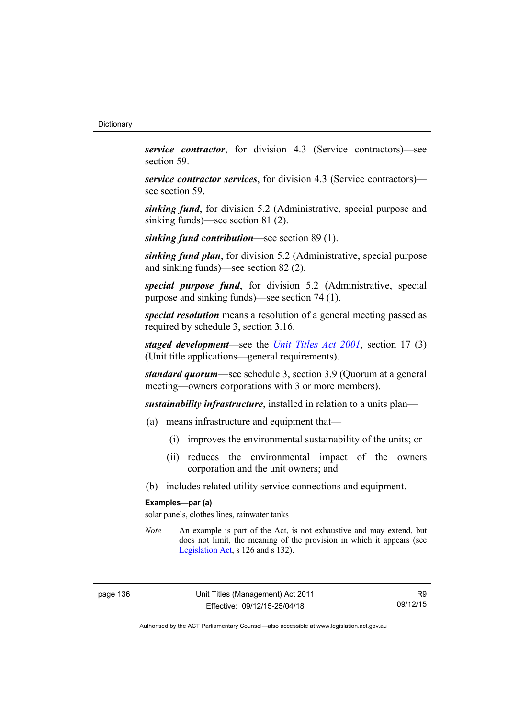*service contractor*, for division 4.3 (Service contractors)—see section 59.

*service contractor services*, for division 4.3 (Service contractors) see section 59.

*sinking fund*, for division 5.2 (Administrative, special purpose and sinking funds)—see section 81 (2).

*sinking fund contribution*—see section 89 (1).

*sinking fund plan*, for division 5.2 (Administrative, special purpose and sinking funds)—see section 82 (2).

*special purpose fund*, for division 5.2 (Administrative, special purpose and sinking funds)—see section 74 (1).

*special resolution* means a resolution of a general meeting passed as required by schedule 3, section 3.16.

*staged development*—see the *[Unit Titles Act 2001](http://www.legislation.act.gov.au/a/2001-16)*, section 17 (3) (Unit title applications—general requirements).

*standard quorum*—see schedule 3, section 3.9 (Quorum at a general meeting—owners corporations with 3 or more members).

*sustainability infrastructure*, installed in relation to a units plan—

- (a) means infrastructure and equipment that—
	- (i) improves the environmental sustainability of the units; or
	- (ii) reduces the environmental impact of the owners corporation and the unit owners; and
- (b) includes related utility service connections and equipment.

#### **Examples—par (a)**

solar panels, clothes lines, rainwater tanks

*Note* An example is part of the Act, is not exhaustive and may extend, but does not limit, the meaning of the provision in which it appears (see [Legislation Act,](http://www.legislation.act.gov.au/a/2001-14) s 126 and s 132).

R9 09/12/15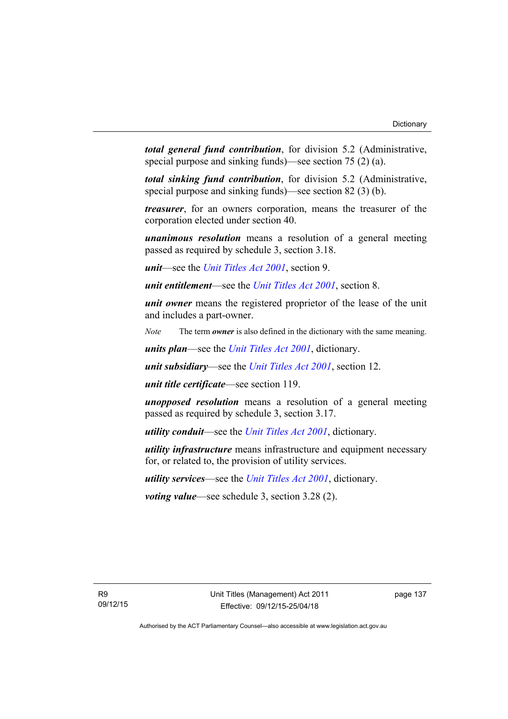*total general fund contribution*, for division 5.2 (Administrative, special purpose and sinking funds)—see section 75 (2) (a).

*total sinking fund contribution*, for division 5.2 (Administrative, special purpose and sinking funds)—see section 82 (3) (b).

*treasurer*, for an owners corporation, means the treasurer of the corporation elected under section 40.

*unanimous resolution* means a resolution of a general meeting passed as required by schedule 3, section 3.18.

*unit*—see the *[Unit Titles Act 2001](http://www.legislation.act.gov.au/a/2001-16)*, section 9.

*unit entitlement*—see the *[Unit Titles Act 2001](http://www.legislation.act.gov.au/a/2001-16)*, section 8.

*unit owner* means the registered proprietor of the lease of the unit and includes a part-owner.

*Note* The term *owner* is also defined in the dictionary with the same meaning.

*units plan*—see the *[Unit Titles Act 2001](http://www.legislation.act.gov.au/a/2001-16)*, dictionary.

*unit subsidiary*—see the *[Unit Titles Act 2001](http://www.legislation.act.gov.au/a/2001-16)*, section 12.

*unit title certificate*—see section 119.

*unopposed resolution* means a resolution of a general meeting passed as required by schedule 3, section 3.17.

*utility conduit*—see the *[Unit Titles Act 2001](http://www.legislation.act.gov.au/a/2001-16)*, dictionary.

*utility infrastructure* means infrastructure and equipment necessary for, or related to, the provision of utility services.

*utility services*—see the *[Unit Titles Act 2001](http://www.legislation.act.gov.au/a/2001-16)*, dictionary.

*voting value*—see schedule 3, section 3.28 (2).

page 137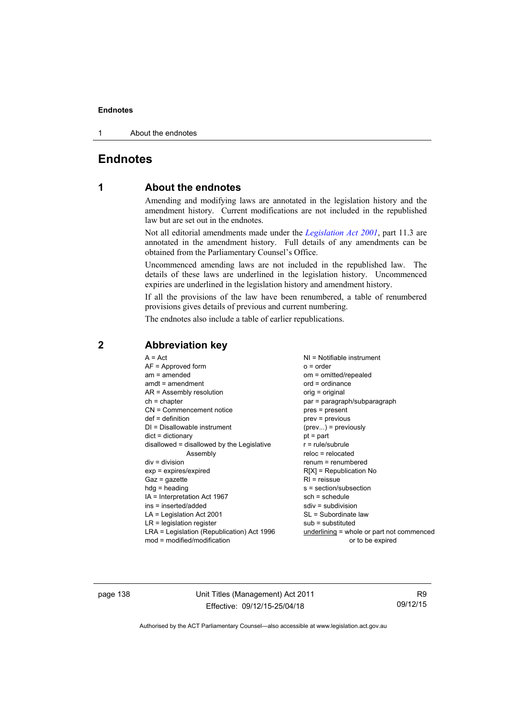1 About the endnotes

# **Endnotes**

# **1 About the endnotes**

Amending and modifying laws are annotated in the legislation history and the amendment history. Current modifications are not included in the republished law but are set out in the endnotes.

Not all editorial amendments made under the *[Legislation Act 2001](http://www.legislation.act.gov.au/a/2001-14)*, part 11.3 are annotated in the amendment history. Full details of any amendments can be obtained from the Parliamentary Counsel's Office.

Uncommenced amending laws are not included in the republished law. The details of these laws are underlined in the legislation history. Uncommenced expiries are underlined in the legislation history and amendment history.

If all the provisions of the law have been renumbered, a table of renumbered provisions gives details of previous and current numbering.

The endnotes also include a table of earlier republications.

| $A = Act$<br>$AF =$ Approved form<br>$am = amended$<br>$amdt = amendment$<br>AR = Assembly resolution<br>$ch = chapter$<br>CN = Commencement notice<br>$def = definition$<br>$DI = Disallowable instrument$<br>$dict = dictionary$<br>disallowed = disallowed by the Legislative<br>Assembly<br>$div = division$<br>$exp = expires/expired$<br>$Gaz = qazette$<br>$h dq =$ heading<br>IA = Interpretation Act 1967<br>ins = inserted/added<br>$LA =$ Legislation Act 2001<br>$LR =$ legislation register | $NI = Notifiable$ instrument<br>$o = order$<br>om = omitted/repealed<br>$ord = ordinance$<br>orig = original<br>par = paragraph/subparagraph<br>pres = present<br>$prev = previous$<br>$(\text{prev}) = \text{previously}$<br>$pt = part$<br>$r = rule/subrule$<br>$reloc = relocated$<br>$renum = renumbered$<br>$R[X]$ = Republication No<br>$RI =$ reissue<br>s = section/subsection<br>$sch = schedule$<br>$sdiv = subdivision$<br>SL = Subordinate law<br>$sub =$ substituted |
|----------------------------------------------------------------------------------------------------------------------------------------------------------------------------------------------------------------------------------------------------------------------------------------------------------------------------------------------------------------------------------------------------------------------------------------------------------------------------------------------------------|------------------------------------------------------------------------------------------------------------------------------------------------------------------------------------------------------------------------------------------------------------------------------------------------------------------------------------------------------------------------------------------------------------------------------------------------------------------------------------|
| LRA = Legislation (Republication) Act 1996                                                                                                                                                                                                                                                                                                                                                                                                                                                               | $underlining = whole or part not commenced$                                                                                                                                                                                                                                                                                                                                                                                                                                        |
| $mod = modified/modification$                                                                                                                                                                                                                                                                                                                                                                                                                                                                            | or to be expired                                                                                                                                                                                                                                                                                                                                                                                                                                                                   |

# **2 Abbreviation key**

page 138 Unit Titles (Management) Act 2011 Effective: 09/12/15-25/04/18

R9 09/12/15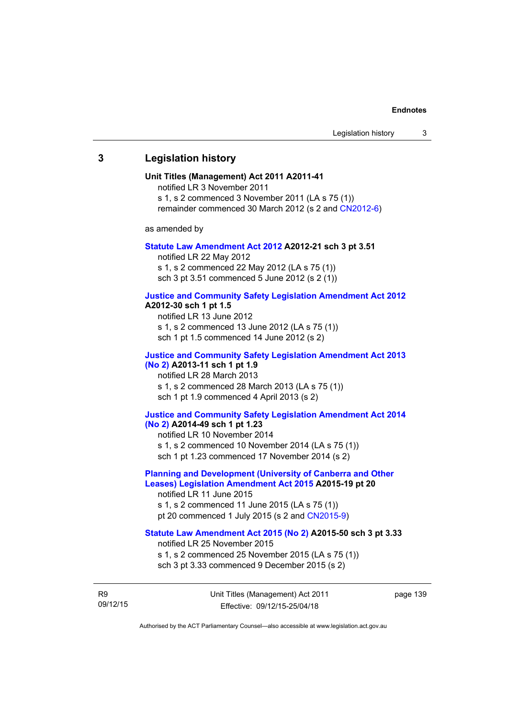### **3 Legislation history**

### **Unit Titles (Management) Act 2011 A2011-41**

notified LR 3 November 2011 s 1, s 2 commenced 3 November 2011 (LA s 75 (1))

remainder commenced 30 March 2012 (s 2 and [CN2012-6](http://www.legislation.act.gov.au/cn/2012-6/default.asp))

as amended by

#### **[Statute Law Amendment Act 2012](http://www.legislation.act.gov.au/a/2012-21) A2012-21 sch 3 pt 3.51**

notified LR 22 May 2012 s 1, s 2 commenced 22 May 2012 (LA s 75 (1)) sch 3 pt 3.51 commenced 5 June 2012 (s 2 (1))

### **[Justice and Community Safety Legislation Amendment Act 2012](http://www.legislation.act.gov.au/a/2012-13)**

### **A2012-30 sch 1 pt 1.5**

notified LR 13 June 2012 s 1, s 2 commenced 13 June 2012 (LA s 75 (1)) sch 1 pt 1.5 commenced 14 June 2012 (s 2)

# **[Justice and Community Safety Legislation Amendment Act 2013](http://www.legislation.act.gov.au/a/2013-11)  [\(No 2\)](http://www.legislation.act.gov.au/a/2013-11) A2013-11 sch 1 pt 1.9**  notified LR 28 March 2013

s 1, s 2 commenced 28 March 2013 (LA s 75 (1)) sch 1 pt 1.9 commenced 4 April 2013 (s 2)

#### **[Justice and Community Safety Legislation Amendment Act 2014](http://www.legislation.act.gov.au/a/2014-49)  [\(No 2\)](http://www.legislation.act.gov.au/a/2014-49) A2014-49 sch 1 pt 1.23**

notified LR 10 November 2014 s 1, s 2 commenced 10 November 2014 (LA s 75 (1)) sch 1 pt 1.23 commenced 17 November 2014 (s 2)

### **[Planning and Development \(University of Canberra and Other](http://www.legislation.act.gov.au/a/2015-19)  [Leases\) Legislation Amendment Act 2015](http://www.legislation.act.gov.au/a/2015-19) A2015-19 pt 20**

notified LR 11 June 2015 s 1, s 2 commenced 11 June 2015 (LA s 75 (1)) pt 20 commenced 1 July 2015 (s 2 and [CN2015-9\)](http://www.legislation.act.gov.au/cn/2015-8/default.asp)

### **[Statute Law Amendment Act 2015 \(No 2\)](http://www.legislation.act.gov.au/a/2015-50) A2015-50 sch 3 pt 3.33**

notified LR 25 November 2015

s 1, s 2 commenced 25 November 2015 (LA s 75 (1)) sch 3 pt 3.33 commenced 9 December 2015 (s 2)

R9 09/12/15 Unit Titles (Management) Act 2011 Effective: 09/12/15-25/04/18

page 139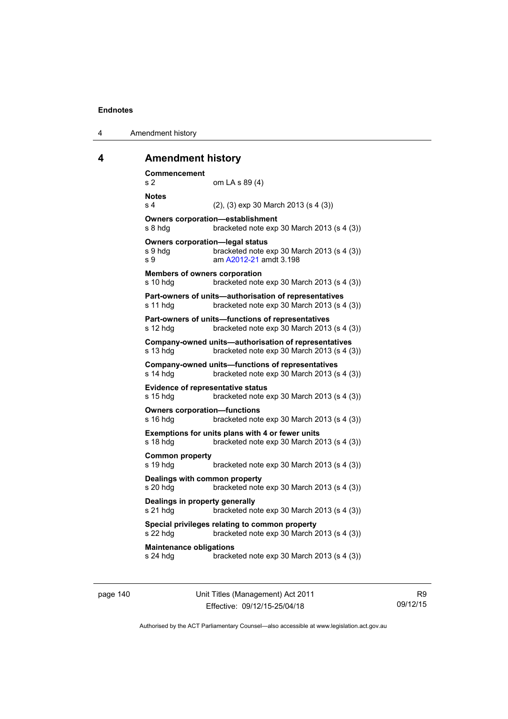| Amendment history |
|-------------------|

# **4 Amendment history**

| Commencement<br>s 2                                      | om LA s 89 (4)                                                                                        |
|----------------------------------------------------------|-------------------------------------------------------------------------------------------------------|
| <b>Notes</b><br>s <sub>4</sub>                           | $(2)$ , $(3)$ exp 30 March 2013 (s 4 $(3)$ )                                                          |
| s 8 hdg                                                  | <b>Owners corporation-establishment</b><br>bracketed note exp 30 March 2013 (s 4 (3))                 |
| <b>Owners corporation-legal status</b><br>s 9 hdg<br>s 9 | bracketed note exp 30 March 2013 (s 4 (3))<br>am A2012-21 amdt 3.198                                  |
| <b>Members of owners corporation</b><br>s 10 hdg         | bracketed note exp 30 March 2013 (s 4 (3))                                                            |
| s 11 hdg                                                 | Part-owners of units-authorisation of representatives<br>bracketed note exp 30 March 2013 (s 4 (3))   |
| s 12 hdg                                                 | Part-owners of units-functions of representatives<br>bracketed note exp 30 March 2013 (s 4 (3))       |
| s 13 hdg                                                 | Company-owned units-authorisation of representatives<br>bracketed note exp 30 March 2013 (s 4 (3))    |
| s 14 hdg                                                 | <b>Company-owned units-functions of representatives</b><br>bracketed note exp 30 March 2013 (s 4 (3)) |
| <b>Evidence of representative status</b><br>s 15 hdg     | bracketed note exp 30 March 2013 (s 4 (3))                                                            |
| <b>Owners corporation-functions</b><br>s 16 hdg          | bracketed note exp 30 March 2013 (s 4 (3))                                                            |
| s 18 hdg                                                 | Exemptions for units plans with 4 or fewer units<br>bracketed note exp 30 March 2013 (s 4 (3))        |
| <b>Common property</b><br>s 19 hdg                       | bracketed note exp 30 March 2013 (s 4 (3))                                                            |
| Dealings with common property<br>s 20 hdg                | bracketed note exp 30 March 2013 (s 4 (3))                                                            |
| Dealings in property generally<br>s 21 hdg               | bracketed note exp 30 March 2013 (s 4 (3))                                                            |
| s 22 hdg                                                 | Special privileges relating to common property<br>bracketed note exp 30 March 2013 (s 4 (3))          |
| <b>Maintenance obligations</b><br>s 24 hdg               | bracketed note exp 30 March 2013 (s 4 (3))                                                            |
|                                                          |                                                                                                       |

page 140 Unit Titles (Management) Act 2011 Effective: 09/12/15-25/04/18

R9 09/12/15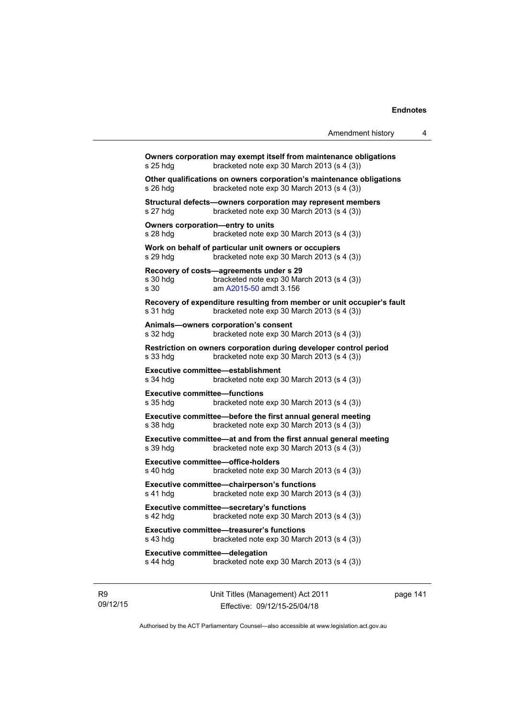**Owners corporation may exempt itself from maintenance obligations**  s 25 hdg bracketed note exp 30 March 2013 (s 4 (3)) **Other qualifications on owners corporation's maintenance obligations**  s 26 hdg bracketed note exp 30 March 2013 (s 4 (3)) **Structural defects—owners corporation may represent members**  s 27 hdg bracketed note exp 30 March 2013 (s 4 (3)) **Owners corporation—entry to units**  s 28 hdg bracketed note exp 30 March 2013 (s 4 (3)) **Work on behalf of particular unit owners or occupiers**  s 29 hdg bracketed note exp 30 March 2013 (s 4 (3)) **Recovery of costs—agreements under s 29**  s 30 hdg bracketed note exp 30 March 2013 (s 4 (3)) s 30 am [A2015-50](http://www.legislation.act.gov.au/a/2015-50) amdt 3.156 **Recovery of expenditure resulting from member or unit occupier's fault**  s 31 hdg bracketed note exp 30 March 2013 (s 4 (3)) **Animals—owners corporation's consent**  s 32 hdg bracketed note exp 30 March 2013 (s 4 (3)) **Restriction on owners corporation during developer control period**  s 33 hdg bracketed note exp 30 March 2013 (s 4 (3)) **Executive committee—establishment**<br>**s** 34 hdg bracketed note exp 3 bracketed note exp 30 March 2013 (s  $4$  (3)) **Executive committee—functions**  s 35 hdg bracketed note exp 30 March 2013 (s 4 (3)) **Executive committee—before the first annual general meeting**  s 38 hdg bracketed note exp 30 March 2013 (s 4 (3)) **Executive committee—at and from the first annual general meeting**  s 39 hdg bracketed note exp 30 March 2013 (s 4 (3)) **Executive committee—office-holders**  s 40 hdg bracketed note exp 30 March 2013 (s 4 (3)) **Executive committee—chairperson's functions**  s 41 hdg bracketed note exp 30 March 2013 (s 4 (3)) **Executive committee—secretary's functions**  s 42 hdg bracketed note exp 30 March 2013 (s 4 (3)) **Executive committee—treasurer's functions**  s 43 hdg bracketed note exp 30 March 2013 (s 4 (3)) **Executive committee—delegation**  s 44 hdg bracketed note exp 30 March 2013 (s 4 (3))

R9 09/12/15 Unit Titles (Management) Act 2011 Effective: 09/12/15-25/04/18

page 141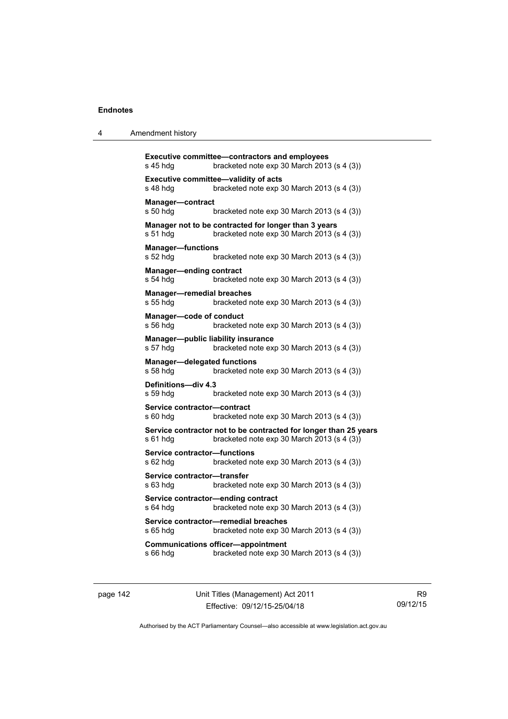| 4 | Amendment history |
|---|-------------------|
|---|-------------------|

```
Executive committee—contractors and employees 
s 45 hdg bracketed note exp 30 March 2013 (s 4 (3)) 
Executive committee—validity of acts 
s 48 hdg bracketed note exp 30 March 2013 (s 4 (3)) 
Manager—contract 
s 50 hdg bracketed note exp 30 March 2013 (s 4 (3)) 
Manager not to be contracted for longer than 3 years 
s 51 hdg bracketed note exp 30 March 2013 (s 4 (3)) 
Manager—functions 
s 52 hdg bracketed note exp 30 March 2013 (s 4 (3)) 
Manager—ending contract 
s 54 hdg bracketed note exp 30 March 2013 (s 4 (3)) 
Manager—remedial breaches 
s 55 hdg bracketed note exp 30 March 2013 (s 4 (3)) 
Manager—code of conduct 
s 56 hdg bracketed note exp 30 March 2013 (s 4 (3)) 
Manager—public liability insurance 
s 57 hdg bracketed note exp 30 March 2013 (s 4 (3)) 
Manager—delegated functions 
s 58 hdg bracketed note exp 30 March 2013 (s 4 (3)) 
Definitions—div 4.3 
s 59 hdg bracketed note exp 30 March 2013 (s 4 (3)) 
Service contractor—contract 
s 60 hdg bracketed note exp 30 March 2013 (s 4 (3)) 
Service contractor not to be contracted for longer than 25 years 
s 61 hdg bracketed note exp 30 March 2013 (s 4 (3))
Service contractor—functions 
s 62 hdg bracketed note exp 30 March 2013 (s 4 (3)) 
Service contractor—transfer 
s 63 hdg bracketed note exp 30 March 2013 (s 4 (3)) 
Service contractor—ending contract 
s 64 hdg bracketed note exp 30 March 2013 (s 4 (3)) 
Service contractor—remedial breaches 
s 65 hdg bracketed note exp 30 March 2013 (s 4 (3)) 
Communications officer—appointment 
s 66 hdg bracketed note exp 30 March 2013 (s 4 (3))
```
page 142 Unit Titles (Management) Act 2011 Effective: 09/12/15-25/04/18

R9 09/12/15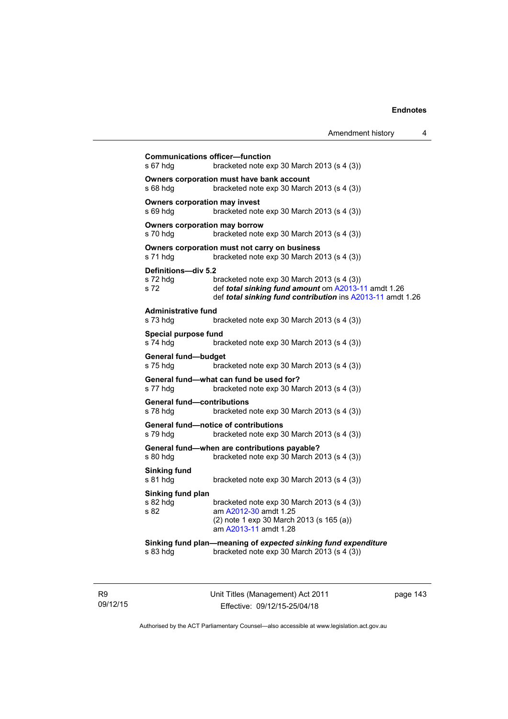| <b>Communications officer-function</b><br>s 67 hdg | bracketed note exp 30 March 2013 (s 4 (3))                                                                                                                      |
|----------------------------------------------------|-----------------------------------------------------------------------------------------------------------------------------------------------------------------|
| s 68 hdg                                           | Owners corporation must have bank account<br>bracketed note exp 30 March 2013 (s 4 (3))                                                                         |
| <b>Owners corporation may invest</b><br>s 69 hdg   | bracketed note $exp 30$ March 2013 (s 4 (3))                                                                                                                    |
| <b>Owners corporation may borrow</b><br>s 70 hdg   | bracketed note exp 30 March 2013 (s 4 (3))                                                                                                                      |
| s 71 hdg                                           | Owners corporation must not carry on business<br>bracketed note exp 30 March 2013 (s 4 (3))                                                                     |
| Definitions-div 5.2<br>s 72 hdg<br>s 72            | bracketed note exp 30 March 2013 (s 4 (3))<br>def total sinking fund amount om A2013-11 amdt 1.26<br>def total sinking fund contribution ins A2013-11 amdt 1.26 |
| <b>Administrative fund</b><br>s 73 hdg             | bracketed note exp 30 March 2013 (s 4 (3))                                                                                                                      |
| Special purpose fund<br>s 74 hdg                   | bracketed note exp 30 March 2013 (s 4 (3))                                                                                                                      |
| General fund-budget<br>s 75 hdg                    | bracketed note exp 30 March 2013 (s 4 (3))                                                                                                                      |
| s 77 hdg                                           | General fund-what can fund be used for?<br>bracketed note exp 30 March 2013 (s 4 (3))                                                                           |
| <b>General fund-contributions</b><br>s 78 hdg      | bracketed note exp 30 March 2013 (s 4 (3))                                                                                                                      |
| s 79 hdg                                           | General fund-notice of contributions<br>bracketed note exp 30 March 2013 (s 4 (3))                                                                              |
| s 80 hdg                                           | General fund-when are contributions payable?<br>bracketed note exp 30 March 2013 (s 4 (3))                                                                      |
| <b>Sinking fund</b><br>s 81 hdg                    | bracketed note exp 30 March 2013 (s 4 (3))                                                                                                                      |
| Sinking fund plan<br>s 82 hdg<br>s 82              | bracketed note exp 30 March 2013 (s 4 (3))<br>am A2012-30 amdt 1.25<br>(2) note 1 exp 30 March 2013 (s 165 (a))<br>am A2013-11 amdt 1.28                        |
| s 83 hdg                                           | Sinking fund plan-meaning of expected sinking fund expenditure<br>bracketed note exp 30 March 2013 (s 4 (3))                                                    |

R9 09/12/15 Unit Titles (Management) Act 2011 Effective: 09/12/15-25/04/18

page 143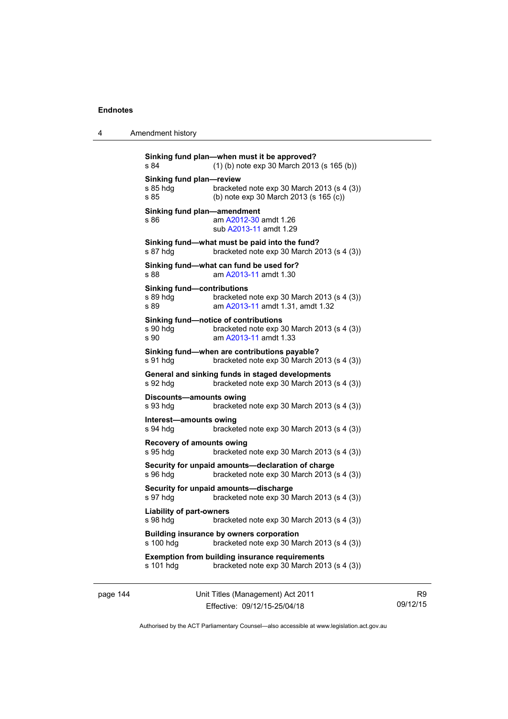| 4 | Amendment history |
|---|-------------------|
|---|-------------------|

```
Sinking fund plan—when must it be approved? 
s 84 (1) (b) note exp 30 March 2013 (s 165 (b)) 
Sinking fund plan—review 
s 85 hdg bracketed note exp 30 March 2013 (s 4 (3)) 
s 85 (b) note exp 30 March 2013 (s 165 (c)) 
Sinking fund plan—amendment 
s 86 A2012-30 amdt 1.26
                 sub A2013-11 amdt 1.29 
Sinking fund—what must be paid into the fund? 
s 87 hdg bracketed note exp 30 March 2013 (s 4 (3)) 
Sinking fund—what can fund be used for? 
s 88 am A2013-11 amdt 1.30
Sinking fund—contributions 
s 89 hdg bracketed note exp 30 March 2013 (s 4 (3))
s 89 am A2013-11 amdt 1.31, amdt 1.32 
Sinking fund—notice of contributions 
s 90 hdg bracketed note exp 30 March 2013 (s 4 (3))
s 90 am A2013-11 amdt 1.33
Sinking fund—when are contributions payable? 
s 91 hdg bracketed note exp 30 March 2013 (s 4 (3))
General and sinking funds in staged developments 
s 92 hdg bracketed note exp 30 March 2013 (s 4 (3)) 
Discounts—amounts owing 
s 93 hdg bracketed note exp 30 March 2013 (s 4 (3)) 
Interest—amounts owing 
s 94 hdg bracketed note exp 30 March 2013 (s 4 (3))
Recovery of amounts owing 
s 95 hdg bracketed note exp 30 March 2013 (s 4 (3)) 
Security for unpaid amounts—declaration of charge 
s 96 hdg bracketed note exp 30 March 2013 (s 4 (3))
Security for unpaid amounts—discharge 
s 97 hdg bracketed note exp 30 March 2013 (s 4 (3)) 
Liability of part-owners 
s 98 hdg bracketed note exp 30 March 2013 (s 4 (3))
Building insurance by owners corporation 
s 100 hdg bracketed note exp 30 March 2013 (s 4 (3)) 
Exemption from building insurance requirements 
s 101 hdg bracketed note exp 30 March 2013 (s 4 (3))
```
page 144 Unit Titles (Management) Act 2011 Effective: 09/12/15-25/04/18

R9 09/12/15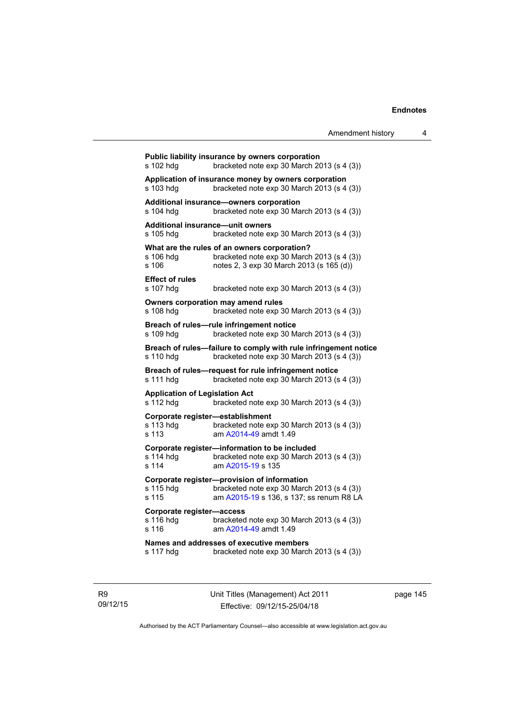| s 102 hdq                                              | Public liability insurance by owners corporation<br>bracketed note exp 30 March 2013 (s 4 (3))                                         |
|--------------------------------------------------------|----------------------------------------------------------------------------------------------------------------------------------------|
| s 103 hdg                                              | Application of insurance money by owners corporation<br>bracketed note exp 30 March 2013 (s 4 (3))                                     |
| s 104 hdg                                              | Additional insurance—owners corporation<br>bracketed note exp 30 March 2013 (s 4 (3))                                                  |
| <b>Additional insurance-unit owners</b><br>s 105 hdg   | bracketed note exp 30 March 2013 (s 4 (3))                                                                                             |
| s 106 hdg<br>s 106                                     | What are the rules of an owners corporation?<br>bracketed note exp 30 March 2013 (s 4 (3))<br>notes 2, 3 exp 30 March 2013 (s 165 (d)) |
| <b>Effect of rules</b><br>s 107 hdg                    | bracketed note exp 30 March 2013 (s 4 (3))                                                                                             |
| s 108 hdg                                              | Owners corporation may amend rules<br>bracketed note exp 30 March 2013 (s 4 (3))                                                       |
| s 109 hdg                                              | Breach of rules-rule infringement notice<br>bracketed note exp 30 March 2013 (s 4 (3))                                                 |
| s 110 hdg                                              | Breach of rules-failure to comply with rule infringement notice<br>bracketed note exp 30 March 2013 (s 4 (3))                          |
| s 111 hdg                                              | Breach of rules-request for rule infringement notice<br>bracketed note exp 30 March 2013 (s 4 (3))                                     |
| <b>Application of Legislation Act</b><br>s 112 hdq     | bracketed note exp 30 March 2013 (s 4 (3))                                                                                             |
| Corporate register-establishment<br>s 113 hdg<br>s 113 | bracketed note exp 30 March 2013 (s 4 (3))<br>am A2014-49 amdt 1.49                                                                    |
| s 114 hdq<br>$s$ 114                                   | Corporate register-information to be included<br>bracketed note exp 30 March 2013 (s 4 (3))<br>am A2015-19 s 135                       |
| s 115 hdg<br>s 115                                     | Corporate register-provision of information<br>bracketed note exp 30 March 2013 (s 4 (3))<br>am A2015-19 s 136, s 137; ss renum R8 LA  |
| Corporate register-access<br>s 116 hdg<br>s 116        | bracketed note exp 30 March 2013 (s 4 (3))<br>am A2014-49 amdt 1.49                                                                    |
| s 117 hdg                                              | Names and addresses of executive members<br>bracketed note exp 30 March 2013 (s 4 (3))                                                 |
|                                                        |                                                                                                                                        |

R9 09/12/15 Unit Titles (Management) Act 2011 Effective: 09/12/15-25/04/18

page 145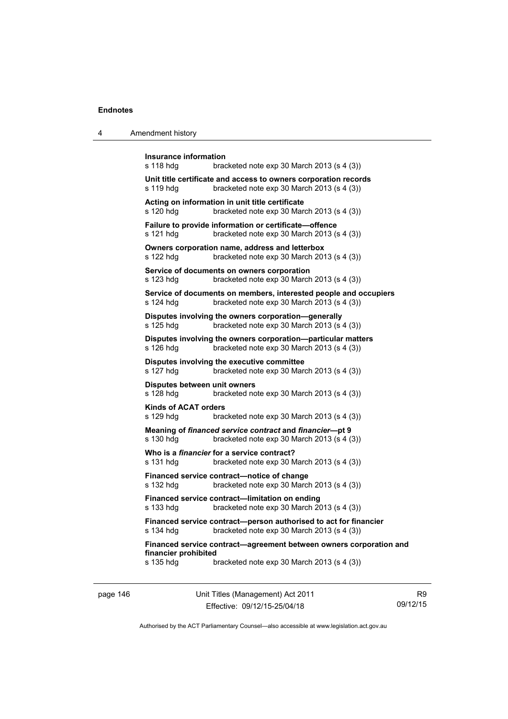| Amendment history<br>-4 |  |
|-------------------------|--|
|-------------------------|--|

| Insurance information<br>s 118 hdg        | bracketed note exp 30 March 2013 (s 4 (3))                                                                       |
|-------------------------------------------|------------------------------------------------------------------------------------------------------------------|
| s 119 hdg                                 | Unit title certificate and access to owners corporation records<br>bracketed note exp 30 March 2013 (s 4 (3))    |
| s 120 hdg                                 | Acting on information in unit title certificate<br>bracketed note exp 30 March 2013 (s 4 (3))                    |
| s 121 hdg                                 | Failure to provide information or certificate-offence<br>bracketed note exp 30 March 2013 (s 4 (3))              |
| s 122 hdg                                 | Owners corporation name, address and letterbox<br>bracketed note exp 30 March 2013 (s 4 (3))                     |
| s 123 hdg                                 | Service of documents on owners corporation<br>bracketed note exp 30 March 2013 (s 4 (3))                         |
| s 124 hdg                                 | Service of documents on members, interested people and occupiers<br>bracketed note $exp 30$ March 2013 (s 4 (3)) |
| s 125 hdg                                 | Disputes involving the owners corporation-generally<br>bracketed note exp 30 March 2013 (s 4 (3))                |
| s 126 hdg                                 | Disputes involving the owners corporation-particular matters<br>bracketed note exp 30 March 2013 (s 4 (3))       |
| s 127 hdg                                 | Disputes involving the executive committee<br>bracketed note exp 30 March 2013 (s 4 (3))                         |
| Disputes between unit owners<br>s 128 hdg | bracketed note exp 30 March 2013 (s 4 (3))                                                                       |
| <b>Kinds of ACAT orders</b><br>s 129 hdg  | bracketed note $\exp 30$ March 2013 (s 4 (3))                                                                    |
| s 130 hdg                                 | Meaning of financed service contract and financier-pt 9<br>bracketed note exp 30 March 2013 (s 4 (3))            |
| s 131 hdg                                 | Who is a <i>financier</i> for a service contract?<br>bracketed note exp 30 March 2013 (s 4 (3))                  |
| s 132 hdg                                 | Financed service contract—notice of change<br>bracketed note exp 30 March 2013 (s 4 (3))                         |
| s 133 hdg                                 | Financed service contract-limitation on ending<br>bracketed note exp 30 March 2013 (s 4 (3))                     |
| s 134 hdg                                 | Financed service contract-person authorised to act for financier<br>bracketed note exp 30 March 2013 (s 4 (3))   |
| financier prohibited                      | Financed service contract-agreement between owners corporation and                                               |
| s 135 hdg                                 | bracketed note exp 30 March 2013 (s 4 (3))                                                                       |

page 146 Unit Titles (Management) Act 2011 Effective: 09/12/15-25/04/18

R9 09/12/15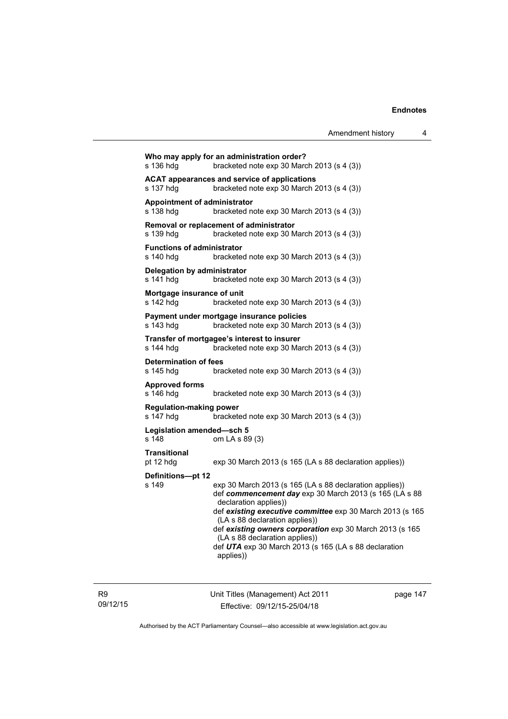| s 136 hdg                                      | Who may apply for an administration order?<br>bracketed note exp 30 March 2013 (s 4 (3))                                                                                                                                                                                                                                                                                                                      |
|------------------------------------------------|---------------------------------------------------------------------------------------------------------------------------------------------------------------------------------------------------------------------------------------------------------------------------------------------------------------------------------------------------------------------------------------------------------------|
| s 137 hdg                                      | ACAT appearances and service of applications<br>bracketed note exp 30 March 2013 (s 4 (3))                                                                                                                                                                                                                                                                                                                    |
| Appointment of administrator<br>s 138 hdg      | bracketed note $exp 30$ March 2013 (s 4 (3))                                                                                                                                                                                                                                                                                                                                                                  |
| s 139 hdg                                      | Removal or replacement of administrator<br>bracketed note exp 30 March 2013 (s 4 (3))                                                                                                                                                                                                                                                                                                                         |
| <b>Functions of administrator</b><br>s 140 hdg | bracketed note exp 30 March 2013 (s 4 (3))                                                                                                                                                                                                                                                                                                                                                                    |
| Delegation by administrator<br>s 141 hdg       | bracketed note exp 30 March 2013 (s 4 (3))                                                                                                                                                                                                                                                                                                                                                                    |
| Mortgage insurance of unit<br>s 142 hdg        | bracketed note exp 30 March 2013 (s 4 (3))                                                                                                                                                                                                                                                                                                                                                                    |
| s 143 hdg                                      | Payment under mortgage insurance policies<br>bracketed note $exp 30$ March 2013 (s 4 (3))                                                                                                                                                                                                                                                                                                                     |
| s 144 hdg                                      | Transfer of mortgagee's interest to insurer<br>bracketed note exp 30 March 2013 (s 4 (3))                                                                                                                                                                                                                                                                                                                     |
| <b>Determination of fees</b><br>s 145 hdg      | bracketed note $exp 30$ March 2013 (s 4 (3))                                                                                                                                                                                                                                                                                                                                                                  |
| <b>Approved forms</b><br>s 146 hdg             | bracketed note $exp 30$ March 2013 (s 4 (3))                                                                                                                                                                                                                                                                                                                                                                  |
| <b>Regulation-making power</b><br>s 147 hdg    | bracketed note $exp 30$ March 2013 (s 4 (3))                                                                                                                                                                                                                                                                                                                                                                  |
| Legislation amended-sch 5<br>s 148             | om LA s 89 (3)                                                                                                                                                                                                                                                                                                                                                                                                |
| <b>Transitional</b><br>pt 12 hdg               | exp 30 March 2013 (s 165 (LA s 88 declaration applies))                                                                                                                                                                                                                                                                                                                                                       |
| Definitions-pt 12<br>s 149                     | exp 30 March 2013 (s 165 (LA s 88 declaration applies))<br>def commencement day exp 30 March 2013 (s 165 (LA s 88<br>declaration applies))<br>def existing executive committee exp 30 March 2013 (s 165<br>(LA s 88 declaration applies))<br>def existing owners corporation exp 30 March 2013 (s 165<br>(LA s 88 declaration applies))<br>def UTA exp 30 March 2013 (s 165 (LA s 88 declaration<br>applies)) |
|                                                |                                                                                                                                                                                                                                                                                                                                                                                                               |

R9 09/12/15 Unit Titles (Management) Act 2011 Effective: 09/12/15-25/04/18

page 147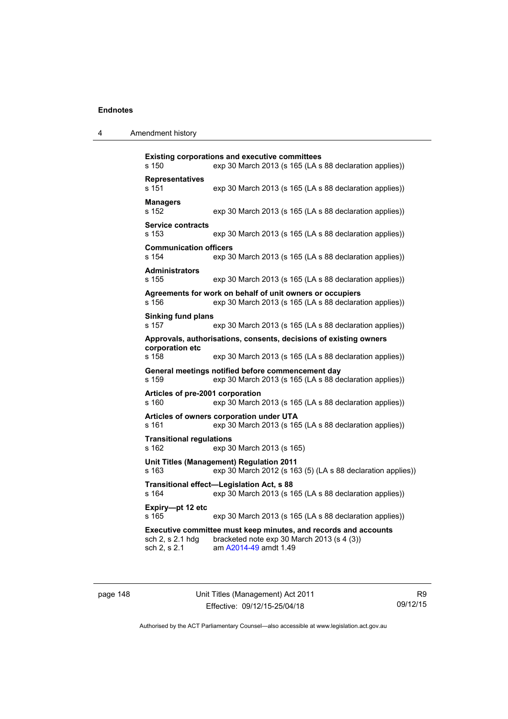| 4 | Amendment history |
|---|-------------------|
|---|-------------------|

| s 150                                     | <b>Existing corporations and executive committees</b><br>exp 30 March 2013 (s 165 (LA s 88 declaration applies))                       |
|-------------------------------------------|----------------------------------------------------------------------------------------------------------------------------------------|
| <b>Representatives</b><br>s 151           | exp 30 March 2013 (s 165 (LA s 88 declaration applies))                                                                                |
| <b>Managers</b><br>s 152                  | exp 30 March 2013 (s 165 (LA s 88 declaration applies))                                                                                |
| <b>Service contracts</b><br>s 153         | exp 30 March 2013 (s 165 (LA s 88 declaration applies))                                                                                |
| <b>Communication officers</b><br>s 154    | exp 30 March 2013 (s 165 (LA s 88 declaration applies))                                                                                |
| <b>Administrators</b><br>s 155            | exp 30 March 2013 (s 165 (LA s 88 declaration applies))                                                                                |
| s 156                                     | Agreements for work on behalf of unit owners or occupiers<br>exp 30 March 2013 (s 165 (LA s 88 declaration applies))                   |
| <b>Sinking fund plans</b><br>s 157        | exp 30 March 2013 (s 165 (LA s 88 declaration applies))                                                                                |
| corporation etc<br>s 158                  | Approvals, authorisations, consents, decisions of existing owners<br>exp 30 March 2013 (s 165 (LA s 88 declaration applies))           |
| s 159                                     | General meetings notified before commencement day<br>exp 30 March 2013 (s 165 (LA s 88 declaration applies))                           |
| Articles of pre-2001 corporation<br>s 160 | exp 30 March 2013 (s 165 (LA s 88 declaration applies))                                                                                |
| s 161                                     | Articles of owners corporation under UTA<br>exp 30 March 2013 (s 165 (LA s 88 declaration applies))                                    |
| <b>Transitional regulations</b><br>s 162  | exp 30 March 2013 (s 165)                                                                                                              |
| s 163                                     | Unit Titles (Management) Regulation 2011<br>exp 30 March 2012 (s 163 (5) (LA s 88 declaration applies))                                |
| s 164                                     | Transitional effect-Legislation Act, s 88<br>exp 30 March 2013 (s 165 (LA s 88 declaration applies))                                   |
| Expiry-pt 12 etc<br>s 165                 | exp 30 March 2013 (s 165 (LA s 88 declaration applies))                                                                                |
| sch 2, s 2.1 hdg<br>sch 2, s 2.1          | Executive committee must keep minutes, and records and accounts<br>bracketed note exp 30 March 2013 (s 4 (3))<br>am A2014-49 amdt 1.49 |

page 148 Unit Titles (Management) Act 2011 Effective: 09/12/15-25/04/18

R9 09/12/15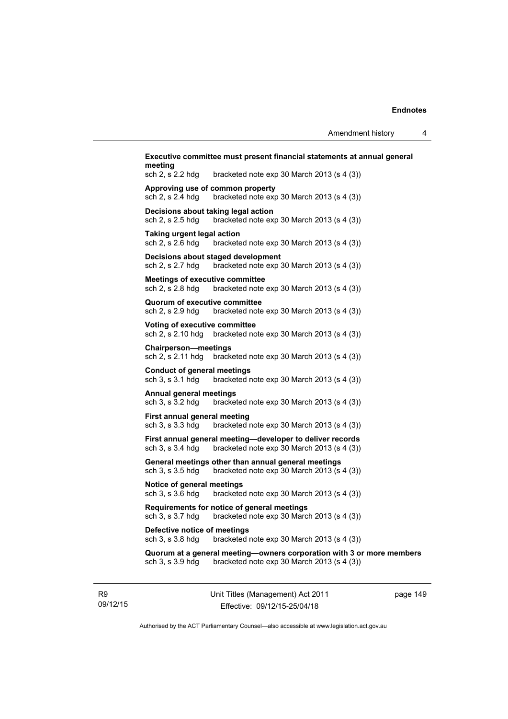| meeting<br>sch 2, s 2.2 hdg                                | bracketed note $exp 30$ March 2013 (s 4 (3))                                                            |
|------------------------------------------------------------|---------------------------------------------------------------------------------------------------------|
| sch 2, s 2.4 hdg                                           | Approving use of common property<br>bracketed note $exp 30$ March 2013 (s 4 (3))                        |
| sch 2, s 2.5 hdg                                           | Decisions about taking legal action<br>bracketed note $exp 30$ March 2013 (s 4 (3))                     |
| Taking urgent legal action<br>sch 2, s 2.6 hdg             | bracketed note exp 30 March 2013 (s 4 (3))                                                              |
| sch 2, s 2.7 hdg                                           | Decisions about staged development<br>bracketed note exp 30 March 2013 (s 4 (3))                        |
| <b>Meetings of executive committee</b><br>sch 2, s 2.8 hdg | bracketed note $exp 30$ March 2013 (s 4 (3))                                                            |
| Quorum of executive committee<br>sch 2, s 2.9 hdg          | bracketed note $exp 30$ March 2013 (s 4 (3))                                                            |
| <b>Voting of executive committee</b><br>sch 2, s 2.10 hdg  | bracketed note $exp 30$ March 2013 (s 4 (3))                                                            |
| <b>Chairperson-meetings</b><br>sch 2, s 2.11 hdg           | bracketed note exp 30 March 2013 (s 4 (3))                                                              |
| <b>Conduct of general meetings</b><br>sch 3, s 3.1 hdg     | bracketed note $exp 30$ March 2013 (s 4 (3))                                                            |
| Annual general meetings<br>sch 3, s 3.2 hdg                | bracketed note $exp 30$ March 2013 (s 4 (3))                                                            |
| <b>First annual general meeting</b><br>sch 3, s 3.3 hdg    | bracketed note exp 30 March 2013 (s 4 (3))                                                              |
| sch 3, s 3.4 hdg                                           | First annual general meeting-developer to deliver records<br>bracketed note exp 30 March 2013 (s 4 (3)) |
| sch 3, s 3.5 hdg                                           | General meetings other than annual general meetings<br>bracketed note exp 30 March 2013 (s 4 (3))       |
| Notice of general meetings<br>sch 3, s 3.6 hdg             | bracketed note $exp 30$ March 2013 (s 4 (3))                                                            |
| sch 3, s 3.7 hdg                                           | Requirements for notice of general meetings<br>bracketed note exp 30 March 2013 (s 4 (3))               |
| Defective notice of meetings<br>sch 3, s 3.8 hdg           | bracketed note exp 30 March 2013 (s 4 (3))                                                              |
|                                                            | Quorum at a general meeting-owners corporation with 3 or more members                                   |

R9 09/12/15 Unit Titles (Management) Act 2011 Effective: 09/12/15-25/04/18

page 149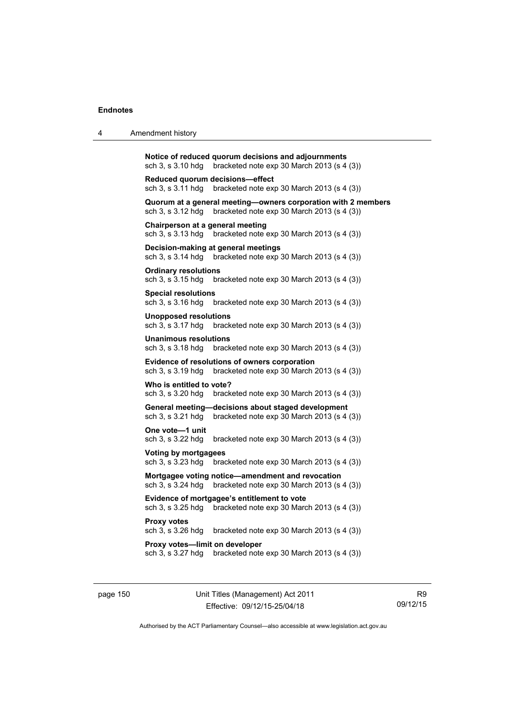| 4 | Amendment history                                                                                                                |  |  |  |  |
|---|----------------------------------------------------------------------------------------------------------------------------------|--|--|--|--|
|   | Notice of reduced quorum decisions and adjournments<br>bracketed note exp 30 March 2013 (s 4 (3))<br>sch 3, s 3.10 hdg           |  |  |  |  |
|   | Reduced quorum decisions—effect<br>sch 3, s 3.11 hdg<br>bracketed note exp 30 March 2013 (s 4 (3))                               |  |  |  |  |
|   | Quorum at a general meeting-owners corporation with 2 members<br>bracketed note exp 30 March 2013 (s 4 (3))<br>sch 3, s 3.12 hdg |  |  |  |  |
|   | Chairperson at a general meeting<br>bracketed note exp 30 March 2013 (s 4 (3))<br>sch 3, s 3.13 hdg                              |  |  |  |  |
|   | Decision-making at general meetings<br>bracketed note exp 30 March 2013 (s 4 (3))<br>sch 3, s 3.14 hdg                           |  |  |  |  |
|   | <b>Ordinary resolutions</b><br>sch 3, s 3.15 hdg<br>bracketed note $exp 30$ March 2013 (s 4 (3))                                 |  |  |  |  |
|   | <b>Special resolutions</b><br>sch 3, s 3.16 hdg<br>bracketed note $exp 30$ March 2013 (s 4 (3))                                  |  |  |  |  |
|   | Unopposed resolutions<br>sch 3, s 3.17 hdg<br>bracketed note $exp 30$ March 2013 (s 4 (3))                                       |  |  |  |  |
|   | <b>Unanimous resolutions</b><br>sch 3, s 3.18 hdg<br>bracketed note $exp 30$ March 2013 (s 4 (3))                                |  |  |  |  |
|   | <b>Evidence of resolutions of owners corporation</b><br>sch 3, s 3.19 hdg<br>bracketed note exp 30 March 2013 (s 4 (3))          |  |  |  |  |
|   | Who is entitled to vote?<br>sch 3, s 3.20 hdg<br>bracketed note $exp 30$ March 2013 (s 4 (3))                                    |  |  |  |  |
|   | General meeting-decisions about staged development<br>sch 3, s 3.21 hdg<br>bracketed note exp 30 March 2013 (s 4 (3))            |  |  |  |  |
|   | One vote-1 unit<br>sch 3, s 3.22 hdg<br>bracketed note exp 30 March 2013 (s 4 (3))                                               |  |  |  |  |
|   | <b>Voting by mortgagees</b><br>sch 3, s 3.23 hdg<br>bracketed note exp 30 March 2013 (s 4 (3))                                   |  |  |  |  |
|   | Mortgagee voting notice-amendment and revocation<br>sch 3, s 3.24 hdg<br>bracketed note exp 30 March 2013 (s 4 (3))              |  |  |  |  |
|   | Evidence of mortgagee's entitlement to vote<br>sch 3, s 3.25 hdg<br>bracketed note exp 30 March 2013 (s 4 (3))                   |  |  |  |  |
|   | <b>Proxy votes</b><br>sch 3, s 3.26 hdg<br>bracketed note $exp 30$ March 2013 (s 4 (3))                                          |  |  |  |  |
|   | Proxy votes-limit on developer<br>sch 3, s 3.27 hdg<br>bracketed note exp 30 March 2013 (s 4 (3))                                |  |  |  |  |
|   |                                                                                                                                  |  |  |  |  |

page 150 Unit Titles (Management) Act 2011 Effective: 09/12/15-25/04/18

R9 09/12/15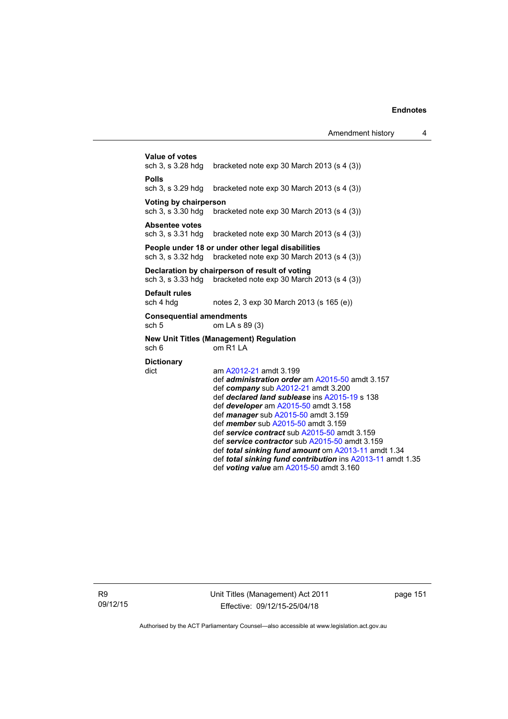| Value of votes<br>sch 3, s 3.28 hdg                                   | bracketed note $exp 30$ March 2013 (s 4 (3))                                                                                                                                                                                                                                                                                                                                                                                                                                                                                                                    |  |  |  |
|-----------------------------------------------------------------------|-----------------------------------------------------------------------------------------------------------------------------------------------------------------------------------------------------------------------------------------------------------------------------------------------------------------------------------------------------------------------------------------------------------------------------------------------------------------------------------------------------------------------------------------------------------------|--|--|--|
| <b>Polls</b><br>sch 3, s 3.29 hdg                                     | bracketed note $exp 30$ March 2013 (s 4 (3))                                                                                                                                                                                                                                                                                                                                                                                                                                                                                                                    |  |  |  |
| Voting by chairperson<br>sch 3, s 3.30 hdg                            | bracketed note $exp 30$ March 2013 (s 4 (3))                                                                                                                                                                                                                                                                                                                                                                                                                                                                                                                    |  |  |  |
| <b>Absentee votes</b><br>sch 3, s 3.31 hdg                            | bracketed note $exp 30$ March 2013 (s 4 (3))                                                                                                                                                                                                                                                                                                                                                                                                                                                                                                                    |  |  |  |
| sch 3, s 3.32 hdg                                                     | People under 18 or under other legal disabilities<br>bracketed note exp 30 March 2013 (s 4 (3))                                                                                                                                                                                                                                                                                                                                                                                                                                                                 |  |  |  |
| sch 3, s 3.33 hdg                                                     | Declaration by chairperson of result of voting<br>bracketed note exp 30 March 2013 (s 4 (3))                                                                                                                                                                                                                                                                                                                                                                                                                                                                    |  |  |  |
| Default rules<br>sch 4 hdg                                            | notes 2, 3 exp 30 March 2013 (s 165 (e))                                                                                                                                                                                                                                                                                                                                                                                                                                                                                                                        |  |  |  |
| <b>Consequential amendments</b><br>sch <sub>5</sub><br>om LA s 89 (3) |                                                                                                                                                                                                                                                                                                                                                                                                                                                                                                                                                                 |  |  |  |
| sch 6                                                                 | <b>New Unit Titles (Management) Regulation</b><br>om R1 LA                                                                                                                                                                                                                                                                                                                                                                                                                                                                                                      |  |  |  |
| <b>Dictionary</b><br>dict                                             | am A2012-21 amdt 3.199<br>def <i>administration order</i> am A2015-50 amdt 3.157<br>def company sub A2012-21 amdt 3.200<br>def declared land sublease ins A2015-19 s 138<br>def developer am A2015-50 amdt 3.158<br>def manager sub A2015-50 amdt 3.159<br>def member sub A2015-50 amdt 3.159<br>def service contract sub A2015-50 amdt 3.159<br>def service contractor sub A2015-50 amdt 3.159<br>def total sinking fund amount om A2013-11 amdt 1.34<br>def total sinking fund contribution ins A2013-11 amdt 1.35<br>def voting value am A2015-50 amdt 3.160 |  |  |  |
|                                                                       |                                                                                                                                                                                                                                                                                                                                                                                                                                                                                                                                                                 |  |  |  |

R9 09/12/15 Unit Titles (Management) Act 2011 Effective: 09/12/15-25/04/18

page 151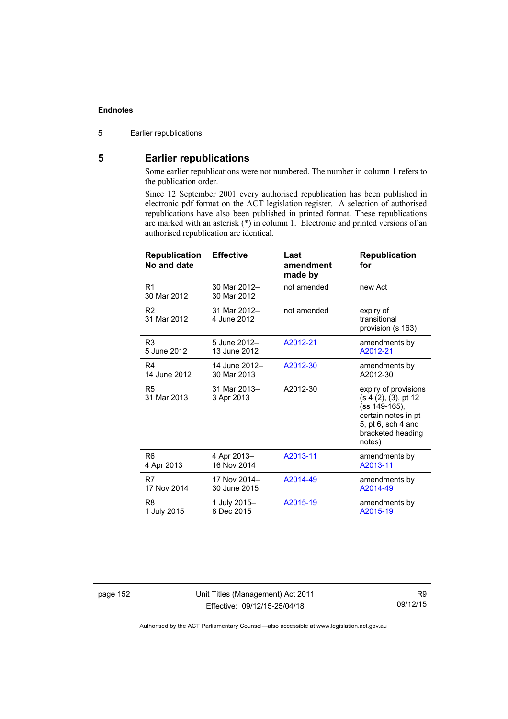5 Earlier republications

# **5 Earlier republications**

Some earlier republications were not numbered. The number in column 1 refers to the publication order.

Since 12 September 2001 every authorised republication has been published in electronic pdf format on the ACT legislation register. A selection of authorised republications have also been published in printed format. These republications are marked with an asterisk (\*) in column 1. Electronic and printed versions of an authorised republication are identical.

| <b>Republication</b><br>No and date | <b>Effective</b>            | Last<br>amendment<br>made by | <b>Republication</b><br>for                                                                                                               |
|-------------------------------------|-----------------------------|------------------------------|-------------------------------------------------------------------------------------------------------------------------------------------|
| R1<br>30 Mar 2012                   | 30 Mar 2012-<br>30 Mar 2012 | not amended                  | new Act                                                                                                                                   |
| R <sub>2</sub><br>31 Mar 2012       | 31 Mar 2012-<br>4 June 2012 | not amended                  | expiry of<br>transitional<br>provision (s 163)                                                                                            |
| R <sub>3</sub>                      | 5 June 2012-                | A2012-21                     | amendments by                                                                                                                             |
| 5 June 2012                         | 13 June 2012                |                              | A2012-21                                                                                                                                  |
| R4                                  | 14 June 2012-               | A2012-30                     | amendments by                                                                                                                             |
| 14 June 2012                        | 30 Mar 2013                 |                              | A2012-30                                                                                                                                  |
| R <sub>5</sub><br>31 Mar 2013       | 31 Mar 2013-<br>3 Apr 2013  | A2012-30                     | expiry of provisions<br>(s 4 (2), (3), pt 12<br>(ss 149-165),<br>certain notes in pt<br>5, pt 6, sch 4 and<br>bracketed heading<br>notes) |
| R6                                  | 4 Apr 2013-                 | A2013-11                     | amendments by                                                                                                                             |
| 4 Apr 2013                          | 16 Nov 2014                 |                              | A2013-11                                                                                                                                  |
| R7                                  | 17 Nov 2014-                | A2014-49                     | amendments by                                                                                                                             |
| 17 Nov 2014                         | 30 June 2015                |                              | A2014-49                                                                                                                                  |
| R <sub>8</sub>                      | 1 July 2015-                | A2015-19                     | amendments by                                                                                                                             |
| 1 July 2015                         | 8 Dec 2015                  |                              | A2015-19                                                                                                                                  |

page 152 Unit Titles (Management) Act 2011 Effective: 09/12/15-25/04/18

R9 09/12/15